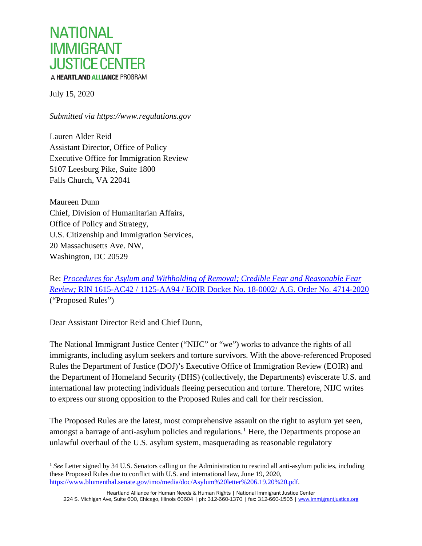

July 15, 2020

*Submitted via https://www.regulations.gov*

Lauren Alder Reid Assistant Director, Office of Policy Executive Office for Immigration Review 5107 Leesburg Pike, Suite 1800 Falls Church, VA 22041

Maureen Dunn Chief, Division of Humanitarian Affairs, Office of Policy and Strategy, U.S. Citizenship and Immigration Services, 20 Massachusetts Ave. NW, Washington, DC 20529

Re: *[Procedures for Asylum and Withholding of Removal; Credible Fear and Reasonable Fear](https://www.federalregister.gov/documents/2020/06/15/2020-12575/procedures-for-asylum-and-withholding-of-removal-credible-fear-and-reasonable-fear-review)  [Review;](https://www.federalregister.gov/documents/2020/06/15/2020-12575/procedures-for-asylum-and-withholding-of-removal-credible-fear-and-reasonable-fear-review)* [RIN 1615-AC42 / 1125-AA94 / EOIR Docket No. 18-0002/ A.G. Order No. 4714-2020](https://www.federalregister.gov/documents/2020/06/15/2020-12575/procedures-for-asylum-and-withholding-of-removal-credible-fear-and-reasonable-fear-review) ("Proposed Rules")

Dear Assistant Director Reid and Chief Dunn,

The National Immigrant Justice Center ("NIJC" or "we") works to advance the rights of all immigrants, including asylum seekers and torture survivors. With the above-referenced Proposed Rules the Department of Justice (DOJ)'s Executive Office of Immigration Review (EOIR) and the Department of Homeland Security (DHS) (collectively, the Departments) eviscerate U.S. and international law protecting individuals fleeing persecution and torture. Therefore, NIJC writes to express our strong opposition to the Proposed Rules and call for their rescission.

The Proposed Rules are the latest, most comprehensive assault on the right to asylum yet seen, amongst a barrage of anti-asylum policies and regulations.<sup>[1](#page-0-0)</sup> Here, the Departments propose an unlawful overhaul of the U.S. asylum system, masquerading as reasonable regulatory

<span id="page-0-0"></span><sup>&</sup>lt;sup>1</sup> See Letter signed by 34 U.S. Senators calling on the Administration to rescind all anti-asylum policies, including these Proposed Rules due to conflict with U.S. and international law, June 19, 2020, [https://www.blumenthal.senate.gov/imo/media/doc/Asylum%20letter%206.19.20%20.pdf.](https://www.blumenthal.senate.gov/imo/media/doc/Asylum%20letter%206.19.20%20.pdf) 

Heartland Alliance for Human Needs & Human Rights | National Immigrant Justice Center 224 S. Michigan Ave, Suite 600, Chicago, Illinois 60604 | ph: 312-660-1370 | fax: 312-660-1505 | [www.immigrantjustice.org](http://www.immigrantjustice.org/)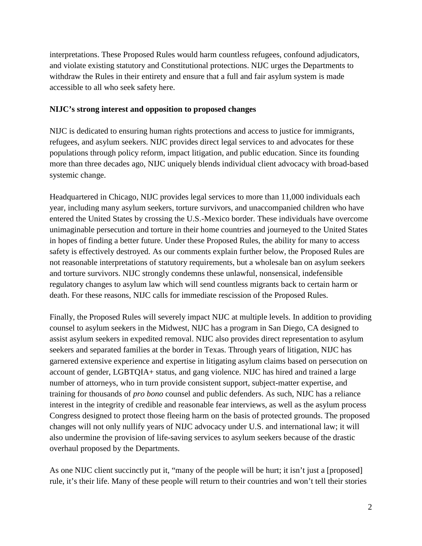interpretations. These Proposed Rules would harm countless refugees, confound adjudicators, and violate existing statutory and Constitutional protections. NIJC urges the Departments to withdraw the Rules in their entirety and ensure that a full and fair asylum system is made accessible to all who seek safety here.

#### **NIJC's strong interest and opposition to proposed changes**

NIJC is dedicated to ensuring human rights protections and access to justice for immigrants, refugees, and asylum seekers. NIJC provides direct legal services to and advocates for these populations through policy reform, impact litigation, and public education. Since its founding more than three decades ago, NIJC uniquely blends individual client advocacy with broad-based systemic change.

Headquartered in Chicago, NIJC provides legal services to more than 11,000 individuals each year, including many asylum seekers, torture survivors, and unaccompanied children who have entered the United States by crossing the U.S.-Mexico border. These individuals have overcome unimaginable persecution and torture in their home countries and journeyed to the United States in hopes of finding a better future. Under these Proposed Rules, the ability for many to access safety is effectively destroyed. As our comments explain further below, the Proposed Rules are not reasonable interpretations of statutory requirements, but a wholesale ban on asylum seekers and torture survivors. NIJC strongly condemns these unlawful, nonsensical, indefensible regulatory changes to asylum law which will send countless migrants back to certain harm or death. For these reasons, NIJC calls for immediate rescission of the Proposed Rules.

Finally, the Proposed Rules will severely impact NIJC at multiple levels. In addition to providing counsel to asylum seekers in the Midwest, NIJC has a program in San Diego, CA designed to assist asylum seekers in expedited removal. NIJC also provides direct representation to asylum seekers and separated families at the border in Texas. Through years of litigation, NIJC has garnered extensive experience and expertise in litigating asylum claims based on persecution on account of gender, LGBTQIA+ status, and gang violence. NIJC has hired and trained a large number of attorneys, who in turn provide consistent support, subject-matter expertise, and training for thousands of *pro bono* counsel and public defenders. As such, NIJC has a reliance interest in the integrity of credible and reasonable fear interviews, as well as the asylum process Congress designed to protect those fleeing harm on the basis of protected grounds. The proposed changes will not only nullify years of NIJC advocacy under U.S. and international law; it will also undermine the provision of life-saving services to asylum seekers because of the drastic overhaul proposed by the Departments.

As one NIJC client succinctly put it, "many of the people will be hurt; it isn't just a [proposed] rule, it's their life. Many of these people will return to their countries and won't tell their stories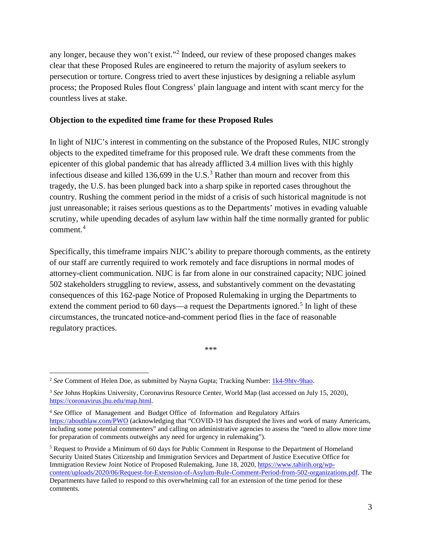any longer, because they won't exist."[2](#page-2-0) Indeed, our review of these proposed changes makes clear that these Proposed Rules are engineered to return the majority of asylum seekers to persecution or torture. Congress tried to avert these injustices by designing a reliable asylum process; the Proposed Rules flout Congress' plain language and intent with scant mercy for the countless lives at stake.

#### **Objection to the expedited time frame for these Proposed Rules**

In light of NIJC's interest in commenting on the substance of the Proposed Rules, NIJC strongly objects to the expedited timeframe for this proposed rule. We draft these comments from the epicenter of this global pandemic that has already afflicted 3.4 million lives with this highly infectious disease and killed 1[3](#page-2-1)6,699 in the U.S.<sup>3</sup> Rather than mourn and recover from this tragedy, the U.S. has been plunged back into a sharp spike in reported cases throughout the country. Rushing the comment period in the midst of a crisis of such historical magnitude is not just unreasonable; it raises serious questions as to the Departments' motives in evading valuable scrutiny, while upending decades of asylum law within half the time normally granted for public comment.[4](#page-2-2)

Specifically, this timeframe impairs NIJC's ability to prepare thorough comments, as the entirety of our staff are currently required to work remotely and face disruptions in normal modes of attorney-client communication. NIJC is far from alone in our constrained capacity; NIJC joined 502 stakeholders struggling to review, assess, and substantively comment on the devastating consequences of this 162-page Notice of Proposed Rulemaking in urging the Departments to extend the comment period to 60 days—a request the Departments ignored.<sup>[5](#page-2-3)</sup> In light of these circumstances, the truncated notice-and-comment period flies in the face of reasonable regulatory practices.

\*\*\*

<span id="page-2-0"></span> <sup>2</sup> *See* Comment of Helen Doe, as submitted by Nayna Gupta; Tracking Number: [1k4-9htv-9hao.](https://www.regulations.gov/searchResults?rpp=25&po=0&s=1k4-9htv-9hao)

<span id="page-2-1"></span><sup>3</sup> *See* Johns Hopkins University, Coronavirus Resource Center, World Map (last accessed on July 15, 2020), [https://coronavirus.jhu.edu/map.html.](https://coronavirus.jhu.edu/map.html)

<span id="page-2-2"></span><sup>4</sup> *See* Office of Management and Budget Office of Information and Regulatory Affairs <https://aboutblaw.com/PWO> (acknowledging that "COVID-19 has disrupted the lives and work of many Americans, including some potential commenters" and calling on administrative agencies to assess the "need to allow more time for preparation of comments outweighs any need for urgency in rulemaking").

<span id="page-2-3"></span><sup>5</sup> Request to Provide a Minimum of 60 days for Public Comment in Response to the Department of Homeland Security United States Citizenship and Immigration Services and Department of Justice Executive Office for Immigration Review Joint Notice of Proposed Rulemaking, June 18, 2020, [https://www.tahirih.org/wp](https://www.tahirih.org/wp-content/uploads/2020/06/Request-for-Extension-of-Asylum-Rule-Comment-Period-from-502-organizations.pdf)[content/uploads/2020/06/Request-for-Extension-of-Asylum-Rule-Comment-Period-from-502-organizations.pdf.](https://www.tahirih.org/wp-content/uploads/2020/06/Request-for-Extension-of-Asylum-Rule-Comment-Period-from-502-organizations.pdf) The Departments have failed to respond to this overwhelming call for an extension of the time period for these comments.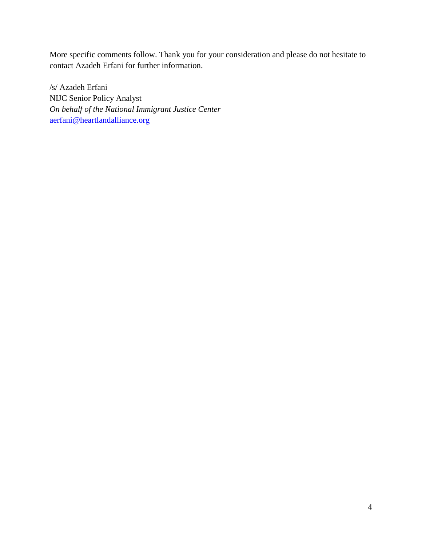More specific comments follow. Thank you for your consideration and please do not hesitate to contact Azadeh Erfani for further information.

/s/ Azadeh Erfani NIJC Senior Policy Analyst *On behalf of the National Immigrant Justice Center* [aerfani@heartlandalliance.org](mailto:aerfani@heartlandalliance.org)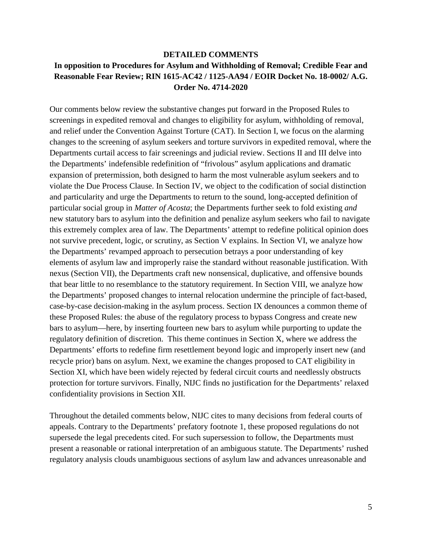## **DETAILED COMMENTS In opposition to Procedures for Asylum and Withholding of Removal; Credible Fear and Reasonable Fear Review; RIN 1615-AC42 / 1125-AA94 / EOIR Docket No. 18-0002/ A.G. Order No. 4714-2020**

Our comments below review the substantive changes put forward in the Proposed Rules to screenings in expedited removal and changes to eligibility for asylum, withholding of removal, and relief under the Convention Against Torture (CAT). In Section I, we focus on the alarming changes to the screening of asylum seekers and torture survivors in expedited removal, where the Departments curtail access to fair screenings and judicial review. Sections II and III delve into the Departments' indefensible redefinition of "frivolous" asylum applications and dramatic expansion of pretermission, both designed to harm the most vulnerable asylum seekers and to violate the Due Process Clause. In Section IV, we object to the codification of social distinction and particularity and urge the Departments to return to the sound, long-accepted definition of particular social group in *Matter of Acosta*; the Departments further seek to fold existing *and* new statutory bars to asylum into the definition and penalize asylum seekers who fail to navigate this extremely complex area of law. The Departments' attempt to redefine political opinion does not survive precedent, logic, or scrutiny, as Section V explains. In Section VI, we analyze how the Departments' revamped approach to persecution betrays a poor understanding of key elements of asylum law and improperly raise the standard without reasonable justification. With nexus (Section VII), the Departments craft new nonsensical, duplicative, and offensive bounds that bear little to no resemblance to the statutory requirement. In Section VIII, we analyze how the Departments' proposed changes to internal relocation undermine the principle of fact-based, case-by-case decision-making in the asylum process. Section IX denounces a common theme of these Proposed Rules: the abuse of the regulatory process to bypass Congress and create new bars to asylum—here, by inserting fourteen new bars to asylum while purporting to update the regulatory definition of discretion. This theme continues in Section X, where we address the Departments' efforts to redefine firm resettlement beyond logic and improperly insert new (and recycle prior) bans on asylum. Next, we examine the changes proposed to CAT eligibility in Section XI, which have been widely rejected by federal circuit courts and needlessly obstructs protection for torture survivors. Finally, NIJC finds no justification for the Departments' relaxed confidentiality provisions in Section XII.

Throughout the detailed comments below, NIJC cites to many decisions from federal courts of appeals. Contrary to the Departments' prefatory footnote 1, these proposed regulations do not supersede the legal precedents cited. For such supersession to follow, the Departments must present a reasonable or rational interpretation of an ambiguous statute. The Departments' rushed regulatory analysis clouds unambiguous sections of asylum law and advances unreasonable and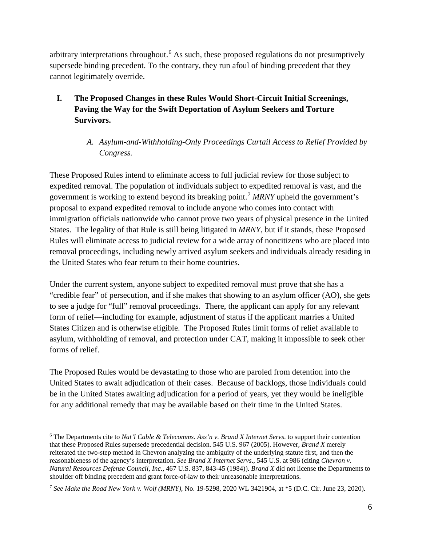arbitrary interpretations throughout.<sup>[6](#page-5-0)</sup> As such, these proposed regulations do not presumptively supersede binding precedent. To the contrary, they run afoul of binding precedent that they cannot legitimately override.

- **I. The Proposed Changes in these Rules Would Short-Circuit Initial Screenings, Paving the Way for the Swift Deportation of Asylum Seekers and Torture Survivors.**
	- *A. Asylum-and-Withholding-Only Proceedings Curtail Access to Relief Provided by Congress.*

These Proposed Rules intend to eliminate access to full judicial review for those subject to expedited removal. The population of individuals subject to expedited removal is vast, and the government is working to extend beyond its breaking point.[7](#page-5-1) *MRNY* upheld the government's proposal to expand expedited removal to include anyone who comes into contact with immigration officials nationwide who cannot prove two years of physical presence in the United States. The legality of that Rule is still being litigated in *MRNY*, but if it stands, these Proposed Rules will eliminate access to judicial review for a wide array of noncitizens who are placed into removal proceedings, including newly arrived asylum seekers and individuals already residing in the United States who fear return to their home countries.

Under the current system, anyone subject to expedited removal must prove that she has a "credible fear" of persecution, and if she makes that showing to an asylum officer (AO), she gets to see a judge for "full" removal proceedings. There, the applicant can apply for any relevant form of relief—including for example, adjustment of status if the applicant marries a United States Citizen and is otherwise eligible. The Proposed Rules limit forms of relief available to asylum, withholding of removal, and protection under CAT, making it impossible to seek other forms of relief.

The Proposed Rules would be devastating to those who are paroled from detention into the United States to await adjudication of their cases. Because of backlogs, those individuals could be in the United States awaiting adjudication for a period of years, yet they would be ineligible for any additional remedy that may be available based on their time in the United States.

<span id="page-5-0"></span> <sup>6</sup> The Departments cite to *Nat'l Cable & Telecomms. Ass'n v. Brand X Internet Servs*. to support their contention that these Proposed Rules supersede precedential decision. 545 U.S. 967 (2005). However, *Brand X* merely reiterated the two-step method in Chevron analyzing the ambiguity of the underlying statute first, and then the reasonableness of the agency's interpretation. *See Brand X Internet Servs*., 545 U.S. at 986 (citing *Chevron v. Natural Resources Defense Council, Inc.*, 467 U.S. 837, 843-45 (1984)). *Brand X* did not license the Departments to shoulder off binding precedent and grant force-of-law to their unreasonable interpretations.

<span id="page-5-1"></span><sup>7</sup> *See Make the Road New York v. Wolf (MRNY),* No. 19-5298, 2020 WL 3421904, at \*5 (D.C. Cir. June 23, 2020).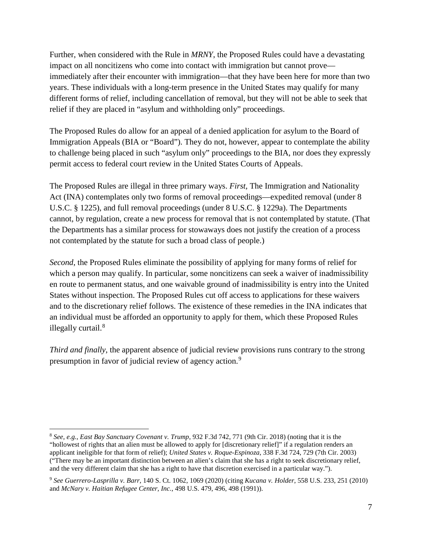Further, when considered with the Rule in *MRNY*, the Proposed Rules could have a devastating impact on all noncitizens who come into contact with immigration but cannot prove immediately after their encounter with immigration—that they have been here for more than two years. These individuals with a long-term presence in the United States may qualify for many different forms of relief, including cancellation of removal, but they will not be able to seek that relief if they are placed in "asylum and withholding only" proceedings.

The Proposed Rules do allow for an appeal of a denied application for asylum to the Board of Immigration Appeals (BIA or "Board"). They do not, however, appear to contemplate the ability to challenge being placed in such "asylum only" proceedings to the BIA, nor does they expressly permit access to federal court review in the United States Courts of Appeals.

The Proposed Rules are illegal in three primary ways. *First,* The Immigration and Nationality Act (INA) contemplates only two forms of removal proceedings—expedited removal (under 8 U.S.C. § 1225), and full removal proceedings (under 8 U.S.C. § 1229a). The Departments cannot, by regulation, create a new process for removal that is not contemplated by statute. (That the Departments has a similar process for stowaways does not justify the creation of a process not contemplated by the statute for such a broad class of people.)

*Second*, the Proposed Rules eliminate the possibility of applying for many forms of relief for which a person may qualify. In particular, some noncitizens can seek a waiver of inadmissibility en route to permanent status, and one waivable ground of inadmissibility is entry into the United States without inspection. The Proposed Rules cut off access to applications for these waivers and to the discretionary relief follows. The existence of these remedies in the INA indicates that an individual must be afforded an opportunity to apply for them, which these Proposed Rules illegally curtail.<sup>[8](#page-6-0)</sup>

*Third and finally*, the apparent absence of judicial review provisions runs contrary to the strong presumption in favor of judicial review of agency action.[9](#page-6-1)

<span id="page-6-0"></span> <sup>8</sup> *See, e.g.*, *East Bay Sanctuary Covenant v. Trump*, 932 F.3d 742, 771 (9th Cir. 2018) (noting that it is the "hollowest of rights that an alien must be allowed to apply for [discretionary relief]" if a regulation renders an applicant ineligible for that form of relief); *United States v. Roque-Espinoza*, 338 F.3d 724, 729 (7th Cir. 2003) ("There may be an important distinction between an alien's claim that she has a right to seek discretionary relief, and the very different claim that she has a right to have that discretion exercised in a particular way.").

<span id="page-6-1"></span><sup>9</sup> *See Guerrero-Lasprilla v. Barr*, 140 S. Ct. 1062, 1069 (2020) (citing *Kucana v. Holder*, 558 U.S. 233, 251 (2010) and *McNary v. Haitian Refugee Center, Inc.*, 498 U.S. 479, 496, 498 (1991)).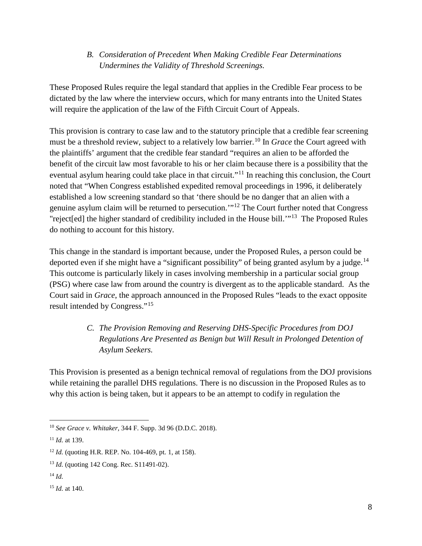#### *B. Consideration of Precedent When Making Credible Fear Determinations Undermines the Validity of Threshold Screenings.*

These Proposed Rules require the legal standard that applies in the Credible Fear process to be dictated by the law where the interview occurs, which for many entrants into the United States will require the application of the law of the Fifth Circuit Court of Appeals.

This provision is contrary to case law and to the statutory principle that a credible fear screening must be a threshold review, subject to a relatively low barrier.<sup>[10](#page-7-0)</sup> In *Grace* the Court agreed with the plaintiffs' argument that the credible fear standard "requires an alien to be afforded the benefit of the circuit law most favorable to his or her claim because there is a possibility that the eventual asylum hearing could take place in that circuit."<sup>[11](#page-7-1)</sup> In reaching this conclusion, the Court noted that "When Congress established expedited removal proceedings in 1996, it deliberately established a low screening standard so that 'there should be no danger that an alien with a genuine asylum claim will be returned to persecution.'"[12](#page-7-2) The Court further noted that Congress "reject[ed] the higher standard of credibility included in the House bill.'"[13](#page-7-3) The Proposed Rules do nothing to account for this history.

This change in the standard is important because, under the Proposed Rules, a person could be deported even if she might have a "significant possibility" of being granted asylum by a judge.<sup>[14](#page-7-4)</sup> This outcome is particularly likely in cases involving membership in a particular social group (PSG) where case law from around the country is divergent as to the applicable standard. As the Court said in *Grace*, the approach announced in the Proposed Rules "leads to the exact opposite result intended by Congress."[15](#page-7-5)

# *C. The Provision Removing and Reserving DHS-Specific Procedures from DOJ Regulations Are Presented as Benign but Will Result in Prolonged Detention of Asylum Seekers.*

This Provision is presented as a benign technical removal of regulations from the DOJ provisions while retaining the parallel DHS regulations. There is no discussion in the Proposed Rules as to why this action is being taken, but it appears to be an attempt to codify in regulation the

<span id="page-7-0"></span> <sup>10</sup> *See Grace v. Whitaker,* 344 F. Supp. 3d 96 (D.D.C. 2018).

<span id="page-7-1"></span><sup>11</sup> *Id.* at 139.

<span id="page-7-2"></span><sup>12</sup> *Id.* (quoting H.R. REP. No. 104-469, pt. 1, at 158).

<span id="page-7-3"></span><sup>13</sup> *Id.* (quoting 142 Cong. Rec. S11491-02).

<span id="page-7-4"></span><sup>14</sup> *Id.*

<span id="page-7-5"></span><sup>15</sup> *Id.* at 140.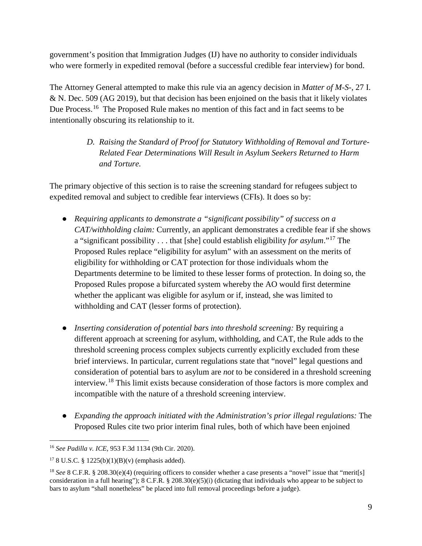government's position that Immigration Judges (IJ) have no authority to consider individuals who were formerly in expedited removal (before a successful credible fear interview) for bond.

The Attorney General attempted to make this rule via an agency decision in *Matter of M-S-*, 27 I. & N. Dec. 509 (AG 2019), but that decision has been enjoined on the basis that it likely violates Due Process.<sup>[16](#page-8-0)</sup> The Proposed Rule makes no mention of this fact and in fact seems to be intentionally obscuring its relationship to it.

> *D. Raising the Standard of Proof for Statutory Withholding of Removal and Torture-Related Fear Determinations Will Result in Asylum Seekers Returned to Harm and Torture.*

The primary objective of this section is to raise the screening standard for refugees subject to expedited removal and subject to credible fear interviews (CFIs). It does so by:

- *Requiring applicants to demonstrate a "significant possibility" of success on a CAT/withholding claim:* Currently, an applicant demonstrates a credible fear if she shows a "significant possibility . . . that [she] could establish eligibility *for asylum*."[17](#page-8-1) The Proposed Rules replace "eligibility for asylum" with an assessment on the merits of eligibility for withholding or CAT protection for those individuals whom the Departments determine to be limited to these lesser forms of protection. In doing so, the Proposed Rules propose a bifurcated system whereby the AO would first determine whether the applicant was eligible for asylum or if, instead, she was limited to withholding and CAT (lesser forms of protection).
- *Inserting consideration of potential bars into threshold screening:* By requiring a different approach at screening for asylum, withholding, and CAT, the Rule adds to the threshold screening process complex subjects currently explicitly excluded from these brief interviews. In particular, current regulations state that "novel" legal questions and consideration of potential bars to asylum are *not* to be considered in a threshold screening interview.[18](#page-8-2) This limit exists because consideration of those factors is more complex and incompatible with the nature of a threshold screening interview.
- *Expanding the approach initiated with the Administration's prior illegal regulations:* The Proposed Rules cite two prior interim final rules, both of which have been enjoined

<span id="page-8-0"></span> <sup>16</sup> *See Padilla v. ICE*, 953 F.3d 1134 (9th Cir. 2020).

<span id="page-8-1"></span><sup>&</sup>lt;sup>17</sup> 8 U.S.C. § 1225(b)(1)(B)(v) (emphasis added).

<span id="page-8-2"></span><sup>&</sup>lt;sup>18</sup> *See* 8 C.F.R. § 208.30(e)(4) (requiring officers to consider whether a case presents a "novel" issue that "merit[s] consideration in a full hearing");  $8 \text{ C.F.R.}$   $\frac{8}{208.30(e)(5)(i)}$  (dictating that individuals who appear to be subject to bars to asylum "shall nonetheless" be placed into full removal proceedings before a judge).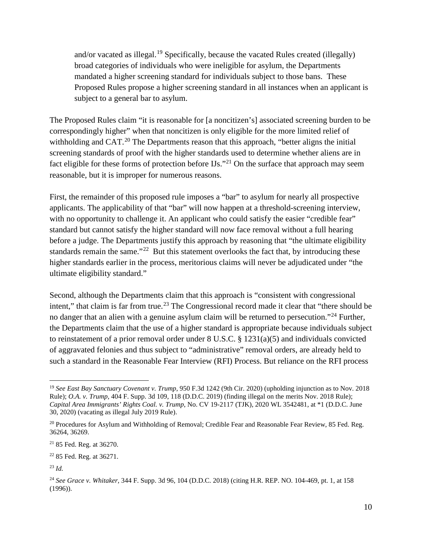and/or vacated as illegal.<sup>[19](#page-9-0)</sup> Specifically, because the vacated Rules created (illegally) broad categories of individuals who were ineligible for asylum, the Departments mandated a higher screening standard for individuals subject to those bans. These Proposed Rules propose a higher screening standard in all instances when an applicant is subject to a general bar to asylum.

The Proposed Rules claim "it is reasonable for [a noncitizen's] associated screening burden to be correspondingly higher" when that noncitizen is only eligible for the more limited relief of withholding and  $CAT<sup>20</sup>$  $CAT<sup>20</sup>$  $CAT<sup>20</sup>$ . The Departments reason that this approach, "better aligns the initial screening standards of proof with the higher standards used to determine whether aliens are in fact eligible for these forms of protection before  $I J s$ .<sup>[21](#page-9-2)</sup> On the surface that approach may seem reasonable, but it is improper for numerous reasons.

First, the remainder of this proposed rule imposes a "bar" to asylum for nearly all prospective applicants. The applicability of that "bar" will now happen at a threshold-screening interview, with no opportunity to challenge it. An applicant who could satisfy the easier "credible fear" standard but cannot satisfy the higher standard will now face removal without a full hearing before a judge. The Departments justify this approach by reasoning that "the ultimate eligibility standards remain the same."<sup>[22](#page-9-3)</sup> But this statement overlooks the fact that, by introducing these higher standards earlier in the process, meritorious claims will never be adjudicated under "the ultimate eligibility standard."

Second, although the Departments claim that this approach is "consistent with congressional intent," that claim is far from true.<sup>[23](#page-9-4)</sup> The Congressional record made it clear that "there should be no danger that an alien with a genuine asylum claim will be returned to persecution."<sup>[24](#page-9-5)</sup> Further, the Departments claim that the use of a higher standard is appropriate because individuals subject to reinstatement of a prior removal order under 8 U.S.C. § 1231(a)(5) and individuals convicted of aggravated felonies and thus subject to "administrative" removal orders, are already held to such a standard in the Reasonable Fear Interview (RFI) Process. But reliance on the RFI process

<span id="page-9-0"></span> <sup>19</sup> *See East Bay Sanctuary Covenant v. Trump*, 950 F.3d 1242 (9th Cir. 2020) (upholding injunction as to Nov. 2018 Rule); *O.A. v. Trump,* 404 F. Supp. 3d 109, 118 (D.D.C. 2019) (finding illegal on the merits Nov. 2018 Rule); *Capital Area Immigrants' Rights Coal. v. Trump*, No. CV 19-2117 (TJK), 2020 WL 3542481, at \*1 (D.D.C. June 30, 2020) (vacating as illegal July 2019 Rule).

<span id="page-9-1"></span><sup>&</sup>lt;sup>20</sup> Procedures for Asylum and Withholding of Removal; Credible Fear and Reasonable Fear Review, 85 Fed. Reg. 36264, 36269.

<span id="page-9-2"></span><sup>21</sup> 85 Fed. Reg. at 36270.

<span id="page-9-3"></span><sup>22</sup> 85 Fed. Reg. at 36271.

<span id="page-9-4"></span><sup>23</sup> *Id.*

<span id="page-9-5"></span><sup>24</sup> *See Grace v. Whitaker,* 344 F. Supp. 3d 96, 104 (D.D.C. 2018) (citing H.R. REP. NO. 104-469, pt. 1, at 158 (1996)).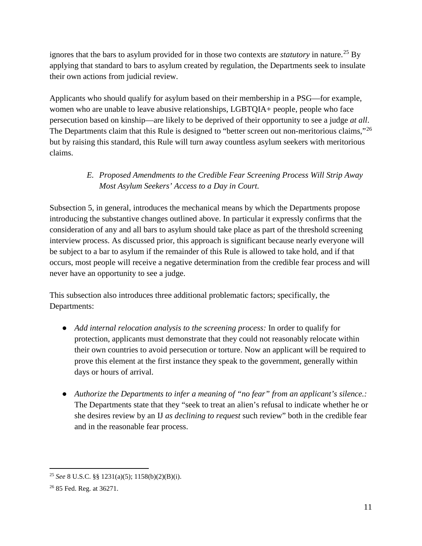ignores that the bars to asylum provided for in those two contexts are *statutory* in nature.<sup>[25](#page-10-0)</sup> By applying that standard to bars to asylum created by regulation, the Departments seek to insulate their own actions from judicial review.

Applicants who should qualify for asylum based on their membership in a PSG—for example, women who are unable to leave abusive relationships, LGBTQIA+ people, people who face persecution based on kinship—are likely to be deprived of their opportunity to see a judge *at all*. The Departments claim that this Rule is designed to "better screen out non-meritorious claims,"<sup>[26](#page-10-1)</sup> but by raising this standard, this Rule will turn away countless asylum seekers with meritorious claims.

# *E. Proposed Amendments to the Credible Fear Screening Process Will Strip Away Most Asylum Seekers' Access to a Day in Court.*

Subsection 5, in general, introduces the mechanical means by which the Departments propose introducing the substantive changes outlined above. In particular it expressly confirms that the consideration of any and all bars to asylum should take place as part of the threshold screening interview process. As discussed prior, this approach is significant because nearly everyone will be subject to a bar to asylum if the remainder of this Rule is allowed to take hold, and if that occurs, most people will receive a negative determination from the credible fear process and will never have an opportunity to see a judge.

This subsection also introduces three additional problematic factors; specifically, the Departments:

- *Add internal relocation analysis to the screening process:* In order to qualify for protection, applicants must demonstrate that they could not reasonably relocate within their own countries to avoid persecution or torture. Now an applicant will be required to prove this element at the first instance they speak to the government, generally within days or hours of arrival.
- *Authorize the Departments to infer a meaning of "no fear" from an applicant's silence.:*  The Departments state that they "seek to treat an alien's refusal to indicate whether he or she desires review by an IJ *as declining to request* such review" both in the credible fear and in the reasonable fear process.

<span id="page-10-0"></span> <sup>25</sup> *See* 8 U.S.C. §§ 1231(a)(5); 1158(b)(2)(B)(i).

<span id="page-10-1"></span><sup>26</sup> 85 Fed. Reg. at 36271.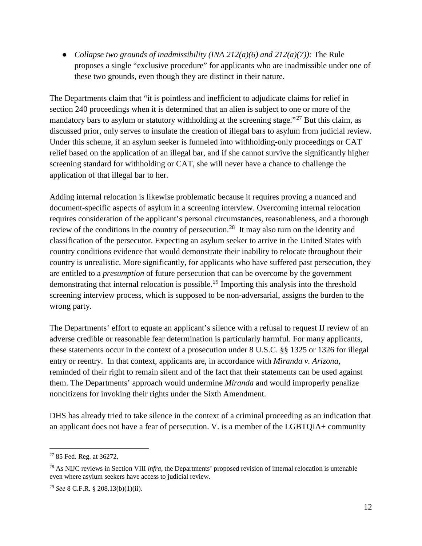● *Collapse two grounds of inadmissibility (INA 212(a)(6) and 212(a)(7)):* The Rule proposes a single "exclusive procedure" for applicants who are inadmissible under one of these two grounds, even though they are distinct in their nature.

The Departments claim that "it is pointless and inefficient to adjudicate claims for relief in section 240 proceedings when it is determined that an alien is subject to one or more of the mandatory bars to asylum or statutory withholding at the screening stage."<sup>[27](#page-11-0)</sup> But this claim, as discussed prior, only serves to insulate the creation of illegal bars to asylum from judicial review. Under this scheme, if an asylum seeker is funneled into withholding-only proceedings or CAT relief based on the application of an illegal bar, and if she cannot survive the significantly higher screening standard for withholding or CAT, she will never have a chance to challenge the application of that illegal bar to her.

Adding internal relocation is likewise problematic because it requires proving a nuanced and document-specific aspects of asylum in a screening interview. Overcoming internal relocation requires consideration of the applicant's personal circumstances, reasonableness, and a thorough review of the conditions in the country of persecution.<sup>28</sup> It may also turn on the identity and classification of the persecutor. Expecting an asylum seeker to arrive in the United States with country conditions evidence that would demonstrate their inability to relocate throughout their country is unrealistic. More significantly, for applicants who have suffered past persecution, they are entitled to a *presumption* of future persecution that can be overcome by the government demonstrating that internal relocation is possible.[29](#page-11-2) Importing this analysis into the threshold screening interview process, which is supposed to be non-adversarial, assigns the burden to the wrong party.

The Departments' effort to equate an applicant's silence with a refusal to request IJ review of an adverse credible or reasonable fear determination is particularly harmful. For many applicants, these statements occur in the context of a prosecution under 8 U.S.C. §§ 1325 or 1326 for illegal entry or reentry. In that context, applicants are, in accordance with *Miranda v. Arizona*, reminded of their right to remain silent and of the fact that their statements can be used against them. The Departments' approach would undermine *Miranda* and would improperly penalize noncitizens for invoking their rights under the Sixth Amendment.

DHS has already tried to take silence in the context of a criminal proceeding as an indication that an applicant does not have a fear of persecution. V. is a member of the LGBTQIA+ community

<span id="page-11-0"></span> <sup>27</sup> 85 Fed. Reg. at 36272.

<span id="page-11-1"></span><sup>28</sup> As NIJC reviews in Section VIII *infra*, the Departments' proposed revision of internal relocation is untenable even where asylum seekers have access to judicial review.

<span id="page-11-2"></span><sup>29</sup> *See* 8 C.F.R. § 208.13(b)(1)(ii).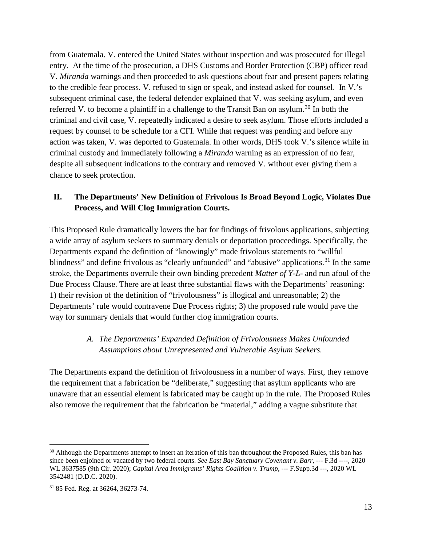from Guatemala. V. entered the United States without inspection and was prosecuted for illegal entry. At the time of the prosecution, a DHS Customs and Border Protection (CBP) officer read V. *Miranda* warnings and then proceeded to ask questions about fear and present papers relating to the credible fear process. V. refused to sign or speak, and instead asked for counsel. In V.'s subsequent criminal case, the federal defender explained that V. was seeking asylum, and even referred V. to become a plaintiff in a challenge to the Transit Ban on asylum.<sup>[30](#page-12-0)</sup> In both the criminal and civil case, V. repeatedly indicated a desire to seek asylum. Those efforts included a request by counsel to be schedule for a CFI. While that request was pending and before any action was taken, V. was deported to Guatemala. In other words, DHS took V.'s silence while in criminal custody and immediately following a *Miranda* warning as an expression of no fear, despite all subsequent indications to the contrary and removed V. without ever giving them a chance to seek protection.

#### **II. The Departments' New Definition of Frivolous Is Broad Beyond Logic, Violates Due Process, and Will Clog Immigration Courts.**

This Proposed Rule dramatically lowers the bar for findings of frivolous applications, subjecting a wide array of asylum seekers to summary denials or deportation proceedings. Specifically, the Departments expand the definition of "knowingly" made frivolous statements to "willful blindness" and define frivolous as "clearly unfounded" and "abusive" applications.<sup>[31](#page-12-1)</sup> In the same stroke, the Departments overrule their own binding precedent *Matter of Y-L-* and run afoul of the Due Process Clause. There are at least three substantial flaws with the Departments' reasoning: 1) their revision of the definition of "frivolousness" is illogical and unreasonable; 2) the Departments' rule would contravene Due Process rights; 3) the proposed rule would pave the way for summary denials that would further clog immigration courts.

#### *A. The Departments' Expanded Definition of Frivolousness Makes Unfounded Assumptions about Unrepresented and Vulnerable Asylum Seekers.*

The Departments expand the definition of frivolousness in a number of ways. First, they remove the requirement that a fabrication be "deliberate," suggesting that asylum applicants who are unaware that an essential element is fabricated may be caught up in the rule. The Proposed Rules also remove the requirement that the fabrication be "material," adding a vague substitute that

<span id="page-12-0"></span><sup>&</sup>lt;sup>30</sup> Although the Departments attempt to insert an iteration of this ban throughout the Proposed Rules, this ban has since been enjoined or vacated by two federal courts. *See East Bay Sanctuary Covenant v. Barr*, --- F.3d ----, 2020 WL 3637585 (9th Cir. 2020); *Capital Area Immigrants' Rights Coalition v. Trump*, --- F.Supp.3d ---, 2020 WL 3542481 (D.D.C. 2020).

<span id="page-12-1"></span><sup>31</sup> 85 Fed. Reg. at 36264, 36273-74.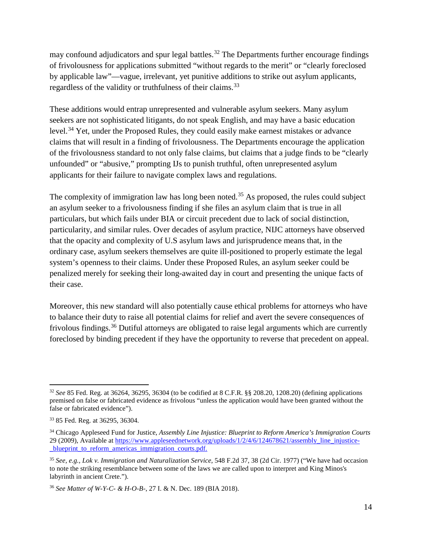may confound adjudicators and spur legal battles.<sup>[32](#page-13-0)</sup> The Departments further encourage findings of frivolousness for applications submitted "without regards to the merit" or "clearly foreclosed by applicable law"—vague, irrelevant, yet punitive additions to strike out asylum applicants, regardless of the validity or truthfulness of their claims.<sup>[33](#page-13-1)</sup>

These additions would entrap unrepresented and vulnerable asylum seekers. Many asylum seekers are not sophisticated litigants, do not speak English, and may have a basic education level.<sup>[34](#page-13-2)</sup> Yet, under the Proposed Rules, they could easily make earnest mistakes or advance claims that will result in a finding of frivolousness. The Departments encourage the application of the frivolousness standard to not only false claims, but claims that a judge finds to be "clearly unfounded" or "abusive," prompting IJs to punish truthful, often unrepresented asylum applicants for their failure to navigate complex laws and regulations.

The complexity of immigration law has long been noted.<sup>[35](#page-13-3)</sup> As proposed, the rules could subject an asylum seeker to a frivolousness finding if she files an asylum claim that is true in all particulars, but which fails under BIA or circuit precedent due to lack of social distinction, particularity, and similar rules. Over decades of asylum practice, NIJC attorneys have observed that the opacity and complexity of U.S asylum laws and jurisprudence means that, in the ordinary case, asylum seekers themselves are quite ill-positioned to properly estimate the legal system's openness to their claims. Under these Proposed Rules, an asylum seeker could be penalized merely for seeking their long-awaited day in court and presenting the unique facts of their case.

Moreover, this new standard will also potentially cause ethical problems for attorneys who have to balance their duty to raise all potential claims for relief and avert the severe consequences of frivolous findings.<sup>[36](#page-13-4)</sup> Dutiful attorneys are obligated to raise legal arguments which are currently foreclosed by binding precedent if they have the opportunity to reverse that precedent on appeal.

<span id="page-13-0"></span> <sup>32</sup> *See* 85 Fed. Reg. at 36264, 36295, 36304 (to be codified at 8 C.F.R. §§ 208.20, 1208.20) (defining applications premised on false or fabricated evidence as frivolous "unless the application would have been granted without the false or fabricated evidence").

<span id="page-13-1"></span><sup>33</sup> 85 Fed. Reg. at 36295, 36304.

<span id="page-13-2"></span><sup>34</sup> Chicago Appleseed Fund for Justice, *Assembly Line Injustice: Blueprint to Reform America's Immigration Courts* 29 (2009), Available at https://www.appleseednetwork.org/uploads/1/2/4/6/124678621/assembly\_line\_injusticeblueprint to reform americas immigration courts.pdf.

<span id="page-13-3"></span><sup>35</sup> *See, e.g., Lok v. Immigration and Naturalization Service*, 548 F.2d 37, 38 (2d Cir. 1977) ("We have had occasion to note the striking resemblance between some of the laws we are called upon to interpret and King Minos's labyrinth in ancient Crete.").

<span id="page-13-4"></span><sup>36</sup> *See Matter of W-Y-C- & H-O-B-*, 27 I. & N. Dec. 189 (BIA 2018).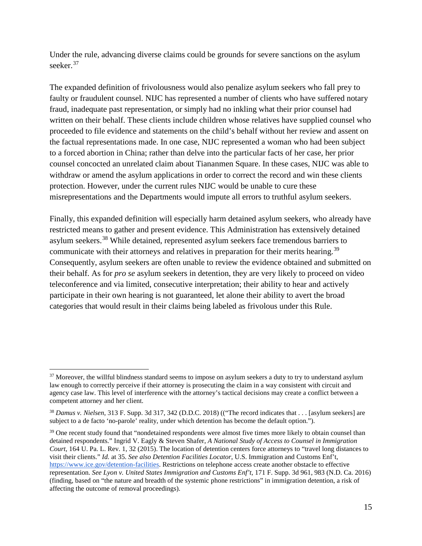Under the rule, advancing diverse claims could be grounds for severe sanctions on the asylum seeker.<sup>[37](#page-14-0)</sup>

The expanded definition of frivolousness would also penalize asylum seekers who fall prey to faulty or fraudulent counsel. NIJC has represented a number of clients who have suffered notary fraud, inadequate past representation, or simply had no inkling what their prior counsel had written on their behalf. These clients include children whose relatives have supplied counsel who proceeded to file evidence and statements on the child's behalf without her review and assent on the factual representations made. In one case, NIJC represented a woman who had been subject to a forced abortion in China; rather than delve into the particular facts of her case, her prior counsel concocted an unrelated claim about Tiananmen Square. In these cases, NIJC was able to withdraw or amend the asylum applications in order to correct the record and win these clients protection. However, under the current rules NIJC would be unable to cure these misrepresentations and the Departments would impute all errors to truthful asylum seekers.

Finally, this expanded definition will especially harm detained asylum seekers, who already have restricted means to gather and present evidence. This Administration has extensively detained asylum seekers.[38](#page-14-1) While detained, represented asylum seekers face tremendous barriers to communicate with their attorneys and relatives in preparation for their merits hearing.<sup>[39](#page-14-2)</sup> Consequently, asylum seekers are often unable to review the evidence obtained and submitted on their behalf. As for *pro se* asylum seekers in detention, they are very likely to proceed on video teleconference and via limited, consecutive interpretation; their ability to hear and actively participate in their own hearing is not guaranteed, let alone their ability to avert the broad categories that would result in their claims being labeled as frivolous under this Rule.

<span id="page-14-0"></span> $37$  Moreover, the willful blindness standard seems to impose on asylum seekers a duty to try to understand asylum law enough to correctly perceive if their attorney is prosecuting the claim in a way consistent with circuit and agency case law. This level of interference with the attorney's tactical decisions may create a conflict between a competent attorney and her client.

<span id="page-14-1"></span><sup>38</sup> *Damus v. Nielsen*, 313 F. Supp. 3d 317, 342 (D.D.C. 2018) (("The record indicates that . . . [asylum seekers] are subject to a de facto 'no-parole' reality, under which detention has become the default option.").

<span id="page-14-2"></span> $39$  One recent study found that "nondetained respondents were almost five times more likely to obtain counsel than detained respondents." Ingrid V. Eagly & Steven Shafer, *A National Study of Access to Counsel in Immigration Court*, 164 U. Pa. L. Rev. 1, 32 (2015). The location of detention centers force attorneys to "travel long distances to visit their clients." *Id.* at 35. *See also Detention Facilities Locator*, U.S. Immigration and Customs Enf't, [https://www.ice.gov/detention-facilities.](https://www.ice.gov/detention-facilities) Restrictions on telephone access create another obstacle to effective representation. *See Lyon v. United States Immigration and Customs Enf't*, 171 F. Supp. 3d 961, 983 (N.D. Ca. 2016) (finding, based on "the nature and breadth of the systemic phone restrictions" in immigration detention, a risk of affecting the outcome of removal proceedings).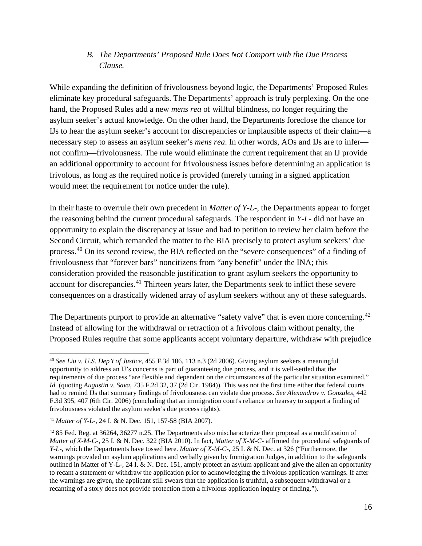#### *B. The Departments' Proposed Rule Does Not Comport with the Due Process Clause.*

While expanding the definition of frivolousness beyond logic, the Departments' Proposed Rules eliminate key procedural safeguards. The Departments' approach is truly perplexing. On the one hand, the Proposed Rules add a new *mens rea* of willful blindness, no longer requiring the asylum seeker's actual knowledge. On the other hand, the Departments foreclose the chance for IJs to hear the asylum seeker's account for discrepancies or implausible aspects of their claim—a necessary step to assess an asylum seeker's *mens rea*. In other words, AOs and IJs are to infer not confirm—frivolousness. The rule would eliminate the current requirement that an IJ provide an additional opportunity to account for frivolousness issues before determining an application is frivolous, as long as the required notice is provided (merely turning in a signed application would meet the requirement for notice under the rule).

In their haste to overrule their own precedent in *Matter of Y-L-*, the Departments appear to forget the reasoning behind the current procedural safeguards. The respondent in *Y-L-* did not have an opportunity to explain the discrepancy at issue and had to petition to review her claim before the Second Circuit, which remanded the matter to the BIA precisely to protect asylum seekers' due process.[40](#page-15-0) On its second review, the BIA reflected on the "severe consequences" of a finding of frivolousness that "forever bars" noncitizens from "any benefit" under the INA; this consideration provided the reasonable justification to grant asylum seekers the opportunity to account for discrepancies.<sup>[41](#page-15-1)</sup> Thirteen years later, the Departments seek to inflict these severe consequences on a drastically widened array of asylum seekers without any of these safeguards.

The Departments purport to provide an alternative "safety valve" that is even more concerning.<sup>[42](#page-15-2)</sup> Instead of allowing for the withdrawal or retraction of a frivolous claim without penalty, the Proposed Rules require that some applicants accept voluntary departure, withdraw with prejudice

<span id="page-15-0"></span> <sup>40</sup> *See Liu v. U.S. Dep't of Justice*, 455 F.3d 106, 113 n.3 (2d 2006). Giving asylum seekers a meaningful opportunity to address an IJ's concerns is part of guaranteeing due process, and it is well-settled that the requirements of due process "are flexible and dependent on the circumstances of the particular situation examined." *Id.* (quoting *Augustin v. Sava*, 735 F.2d 32, 37 (2d Cir. 1984)). This was not the first time either that federal courts had to remind IJs that summary findings of frivolousness can violate due process. *See Alexandrov v. Gonzales,* 442 F.3d 395, 407 (6th Cir. 2006) (concluding that an immigration court's reliance on hearsay to support a finding of frivolousness violated the asylum seeker's due process rights).

<span id="page-15-1"></span><sup>41</sup> *Matter of Y-L-*, 24 I. & N. Dec. 151, 157-58 (BIA 2007).

<span id="page-15-2"></span><sup>&</sup>lt;sup>42</sup> 85 Fed. Reg. at 36264, 36277 n.25. The Departments also mischaracterize their proposal as a modification of *Matter of X-M-C-*, 25 I. & N. Dec. 322 (BIA 2010). In fact, *Matter of X-M-C-* affirmed the procedural safeguards of *Y-L*-, which the Departments have tossed here. *Matter of X-M-C-*, 25 I. & N. Dec. at 326 ("Furthermore, the warnings provided on asylum applications and verbally given by Immigration Judges, in addition to the safeguards outlined in Matter of Y-L-, 24 I. & N. Dec. 151, amply protect an asylum applicant and give the alien an opportunity to recant a statement or withdraw the application prior to acknowledging the frivolous application warnings. If after the warnings are given, the applicant still swears that the application is truthful, a subsequent withdrawal or a recanting of a story does not provide protection from a frivolous application inquiry or finding.").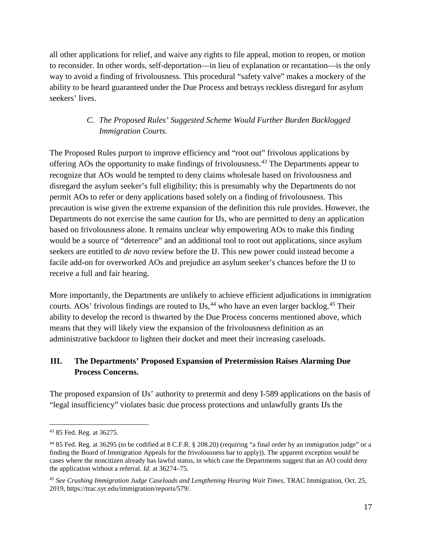all other applications for relief, and waive any rights to file appeal, motion to reopen, or motion to reconsider. In other words, self-deportation—in lieu of explanation or recantation—is the only way to avoid a finding of frivolousness. This procedural "safety valve" makes a mockery of the ability to be heard guaranteed under the Due Process and betrays reckless disregard for asylum seekers' lives.

# *C. The Proposed Rules' Suggested Scheme Would Further Burden Backlogged Immigration Courts.*

The Proposed Rules purport to improve efficiency and "root out" frivolous applications by offering AOs the opportunity to make findings of frivolousness.<sup>[43](#page-16-0)</sup> The Departments appear to recognize that AOs would be tempted to deny claims wholesale based on frivolousness and disregard the asylum seeker's full eligibility; this is presumably why the Departments do not permit AOs to refer or deny applications based solely on a finding of frivolousness. This precaution is wise given the extreme expansion of the definition this rule provides. However, the Departments do not exercise the same caution for IJs, who are permitted to deny an application based on frivolousness alone. It remains unclear why empowering AOs to make this finding would be a source of "deterrence" and an additional tool to root out applications, since asylum seekers are entitled to *de novo* review before the IJ. This new power could instead become a facile add-on for overworked AOs and prejudice an asylum seeker's chances before the IJ to receive a full and fair hearing.

More importantly, the Departments are unlikely to achieve efficient adjudications in immigration courts. AOs' frivolous findings are routed to  $\text{Us}$ ,  $^{44}$  $^{44}$  $^{44}$  who have an even larger backlog.  $^{45}$  $^{45}$  $^{45}$  Their ability to develop the record is thwarted by the Due Process concerns mentioned above, which means that they will likely view the expansion of the frivolousness definition as an administrative backdoor to lighten their docket and meet their increasing caseloads.

## **III. The Departments' Proposed Expansion of Pretermission Raises Alarming Due Process Concerns.**

The proposed expansion of IJs' authority to pretermit and deny I-589 applications on the basis of "legal insufficiency" violates basic due process protections and unlawfully grants IJs the

<span id="page-16-0"></span> <sup>43</sup> 85 Fed. Reg. at 36275.

<span id="page-16-1"></span><sup>44</sup> 85 Fed. Reg. at 36295 (to be codified at 8 C.F.R. § 208.20) (requiring "a final order by an immigration judge" or a finding the Board of Immigration Appeals for the frivolousness bar to apply)). The apparent exception would be cases where the noncitizen already has lawful status, in which case the Departments suggest that an AO could deny the application without a referral. *Id.* at 36274–75.

<span id="page-16-2"></span><sup>45</sup> *See Crushing Immigration Judge Caseloads and Lengthening Hearing Wait Times*, TRAC Immigration, Oct. 25, 2019, https://trac.syr.edu/immigration/reports/579/.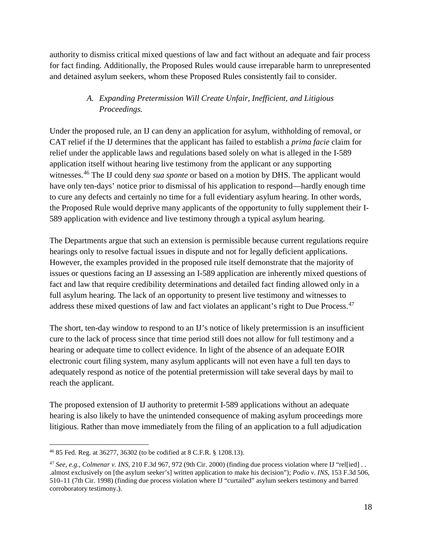authority to dismiss critical mixed questions of law and fact without an adequate and fair process for fact finding. Additionally, the Proposed Rules would cause irreparable harm to unrepresented and detained asylum seekers, whom these Proposed Rules consistently fail to consider.

# *A. Expanding Pretermission Will Create Unfair, Inefficient, and Litigious Proceedings.*

Under the proposed rule, an IJ can deny an application for asylum, withholding of removal, or CAT relief if the IJ determines that the applicant has failed to establish a *prima facie* claim for relief under the applicable laws and regulations based solely on what is alleged in the I-589 application itself without hearing live testimony from the applicant or any supporting witnesses.[46](#page-17-0) The IJ could deny *sua sponte* or based on a motion by DHS. The applicant would have only ten-days' notice prior to dismissal of his application to respond—hardly enough time to cure any defects and certainly no time for a full evidentiary asylum hearing. In other words, the Proposed Rule would deprive many applicants of the opportunity to fully supplement their I-589 application with evidence and live testimony through a typical asylum hearing.

The Departments argue that such an extension is permissible because current regulations require hearings only to resolve factual issues in dispute and not for legally deficient applications. However, the examples provided in the proposed rule itself demonstrate that the majority of issues or questions facing an IJ assessing an I-589 application are inherently mixed questions of fact and law that require credibility determinations and detailed fact finding allowed only in a full asylum hearing. The lack of an opportunity to present live testimony and witnesses to address these mixed questions of law and fact violates an applicant's right to Due Process.<sup>[47](#page-17-1)</sup>

The short, ten-day window to respond to an IJ's notice of likely pretermission is an insufficient cure to the lack of process since that time period still does not allow for full testimony and a hearing or adequate time to collect evidence. In light of the absence of an adequate EOIR electronic court filing system, many asylum applicants will not even have a full ten days to adequately respond as notice of the potential pretermission will take several days by mail to reach the applicant.

The proposed extension of IJ authority to pretermit I-589 applications without an adequate hearing is also likely to have the unintended consequence of making asylum proceedings more litigious. Rather than move immediately from the filing of an application to a full adjudication

<span id="page-17-0"></span> <sup>46</sup> 85 Fed. Reg. at 36277, 36302 (to be codified at 8 C.F.R. § 1208.13).

<span id="page-17-1"></span><sup>47</sup> *See, e.g.*, *Colmenar v. INS*, 210 F.3d 967, 972 (9th Cir. 2000) (finding due process violation where IJ "rel[ied] . . .almost exclusively on [the asylum seeker's] written application to make his decision"); *Podio v. INS*, 153 F.3d 506, 510–11 (7th Cir. 1998) (finding due process violation where IJ "curtailed" asylum seekers testimony and barred corroboratory testimony.).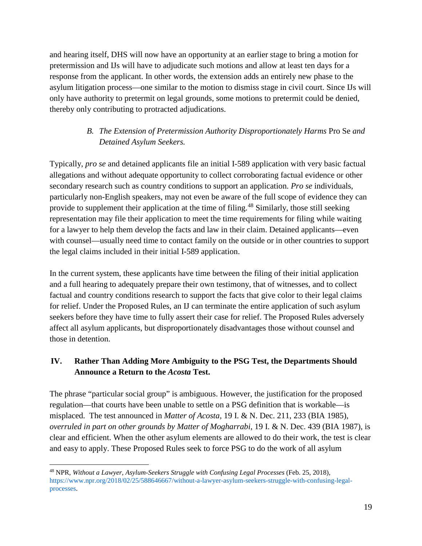and hearing itself, DHS will now have an opportunity at an earlier stage to bring a motion for pretermission and IJs will have to adjudicate such motions and allow at least ten days for a response from the applicant. In other words, the extension adds an entirely new phase to the asylum litigation process—one similar to the motion to dismiss stage in civil court. Since IJs will only have authority to pretermit on legal grounds, some motions to pretermit could be denied, thereby only contributing to protracted adjudications.

# *B. The Extension of Pretermission Authority Disproportionately Harms* Pro Se *and Detained Asylum Seekers.*

Typically, *pro se* and detained applicants file an initial I-589 application with very basic factual allegations and without adequate opportunity to collect corroborating factual evidence or other secondary research such as country conditions to support an application. *Pro se* individuals, particularly non-English speakers, may not even be aware of the full scope of evidence they can provide to supplement their application at the time of filing.<sup>[48](#page-18-0)</sup> Similarly, those still seeking representation may file their application to meet the time requirements for filing while waiting for a lawyer to help them develop the facts and law in their claim. Detained applicants—even with counsel—usually need time to contact family on the outside or in other countries to support the legal claims included in their initial I-589 application.

In the current system, these applicants have time between the filing of their initial application and a full hearing to adequately prepare their own testimony, that of witnesses, and to collect factual and country conditions research to support the facts that give color to their legal claims for relief. Under the Proposed Rules, an IJ can terminate the entire application of such asylum seekers before they have time to fully assert their case for relief. The Proposed Rules adversely affect all asylum applicants, but disproportionately disadvantages those without counsel and those in detention.

# **IV. Rather Than Adding More Ambiguity to the PSG Test, the Departments Should Announce a Return to the** *Acosta* **Test.**

The phrase "particular social group" is ambiguous. However, the justification for the proposed regulation—that courts have been unable to settle on a PSG definition that is workable—is misplaced. The test announced in *Matter of Acosta,* 19 I. & N. Dec. 211, 233 (BIA 1985), *overruled in part on other grounds by Matter of Mogharrabi*, 19 I. & N. Dec. 439 (BIA 1987), is clear and efficient. When the other asylum elements are allowed to do their work, the test is clear and easy to apply. These Proposed Rules seek to force PSG to do the work of all asylum

<span id="page-18-0"></span> <sup>48</sup> NPR, *Without a Lawyer, Asylum-Seekers Struggle with Confusing Legal Processes* (Feb. 25, 2018), https://www.npr.org/2018/02/25/588646667/without-a-lawyer-asylum-seekers-struggle-with-confusing-legalprocesses.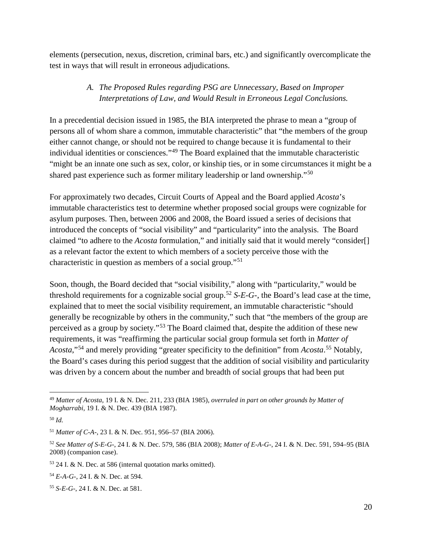elements (persecution, nexus, discretion, criminal bars, etc.) and significantly overcomplicate the test in ways that will result in erroneous adjudications.

# *A. The Proposed Rules regarding PSG are Unnecessary, Based on Improper Interpretations of Law, and Would Result in Erroneous Legal Conclusions.*

In a precedential decision issued in 1985, the BIA interpreted the phrase to mean a "group of persons all of whom share a common, immutable characteristic" that "the members of the group either cannot change, or should not be required to change because it is fundamental to their individual identities or consciences."[49](#page-19-0) The Board explained that the immutable characteristic "might be an innate one such as sex, color, or kinship ties, or in some circumstances it might be a shared past experience such as former military leadership or land ownership."[50](#page-19-1)

For approximately two decades, Circuit Courts of Appeal and the Board applied *Acosta*'s immutable characteristics test to determine whether proposed social groups were cognizable for asylum purposes. Then, between 2006 and 2008, the Board issued a series of decisions that introduced the concepts of "social visibility" and "particularity" into the analysis. The Board claimed "to adhere to the *Acosta* formulation," and initially said that it would merely "consider[] as a relevant factor the extent to which members of a society perceive those with the characteristic in question as members of a social group."[51](#page-19-2)

Soon, though, the Board decided that "social visibility," along with "particularity," would be threshold requirements for a cognizable social group.<sup>[52](#page-19-3)</sup> *S-E-G-*, the Board's lead case at the time, explained that to meet the social visibility requirement, an immutable characteristic "should generally be recognizable by others in the community," such that "the members of the group are perceived as a group by society."[53](#page-19-4) The Board claimed that, despite the addition of these new requirements, it was "reaffirming the particular social group formula set forth in *Matter of Acosta*,"[54](#page-19-5) and merely providing "greater specificity to the definition" from *Acosta*. [55](#page-19-6) Notably, the Board's cases during this period suggest that the addition of social visibility and particularity was driven by a concern about the number and breadth of social groups that had been put

<span id="page-19-0"></span> <sup>49</sup> *Matter of Acosta*, 19 I. & N. Dec. 211, 233 (BIA 1985), *overruled in part on other grounds by Matter of Mogharrabi*, 19 I. & N. Dec. 439 (BIA 1987).

<span id="page-19-1"></span><sup>50</sup> *Id.*

<span id="page-19-2"></span><sup>51</sup> *Matter of C-A-*, 23 I. & N. Dec. 951, 956–57 (BIA 2006).

<span id="page-19-3"></span><sup>52</sup> *See Matter of S-E-G-*, 24 I. & N. Dec. 579, 586 (BIA 2008); *Matter of E-A-G-*, 24 I. & N. Dec. 591, 594–95 (BIA 2008) (companion case).

<span id="page-19-4"></span><sup>53</sup> 24 I. & N. Dec. at 586 (internal quotation marks omitted).

<span id="page-19-5"></span><sup>54</sup> *E-A-G-*, 24 I. & N. Dec. at 594.

<span id="page-19-6"></span><sup>55</sup> *S-E-G-*, 24 I. & N. Dec. at 581.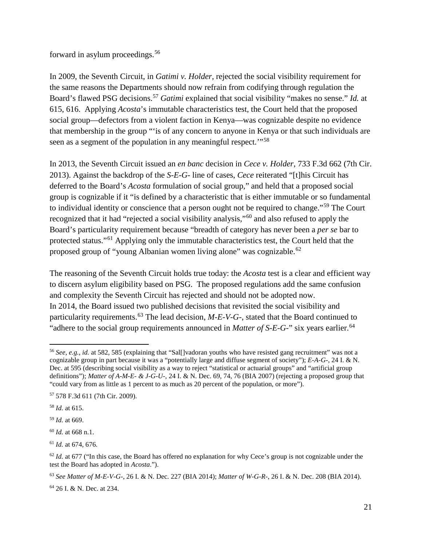forward in asylum proceedings.<sup>[56](#page-20-0)</sup>

In 2009, the Seventh Circuit, in *Gatimi v. Holder,* rejected the social visibility requirement for the same reasons the Departments should now refrain from codifying through regulation the Board's flawed PSG decisions.[57](#page-20-1) *Gatimi* explained that social visibility "makes no sense." *Id.* at 615, 616. Applying *Acosta*'s immutable characteristics test, the Court held that the proposed social group—defectors from a violent faction in Kenya—was cognizable despite no evidence that membership in the group "'is of any concern to anyone in Kenya or that such individuals are seen as a segment of the population in any meaningful respect."<sup>[58](#page-20-2)</sup>

In 2013, the Seventh Circuit issued an *en banc* decision in *Cece v. Holder*, 733 F.3d 662 (7th Cir. 2013). Against the backdrop of the *S-E-G-* line of cases, *Cece* reiterated "[t]his Circuit has deferred to the Board's *Acosta* formulation of social group," and held that a proposed social group is cognizable if it "is defined by a characteristic that is either immutable or so fundamental to individual identity or conscience that a person ought not be required to change."[59](#page-20-3) The Court recognized that it had "rejected a social visibility analysis,"[60](#page-20-4) and also refused to apply the Board's particularity requirement because "breadth of category has never been a *per se* bar to protected status."[61](#page-20-5) Applying only the immutable characteristics test, the Court held that the proposed group of "young Albanian women living alone" was cognizable.<sup>[62](#page-20-6)</sup>

The reasoning of the Seventh Circuit holds true today: the *Acosta* test is a clear and efficient way to discern asylum eligibility based on PSG. The proposed regulations add the same confusion and complexity the Seventh Circuit has rejected and should not be adopted now. In 2014, the Board issued two published decisions that revisited the social visibility and particularity requirements.<sup>[63](#page-20-7)</sup> The lead decision, *M-E-V-G-*, stated that the Board continued to "adhere to the social group requirements announced in *Matter of S-E-G-*" six years earlier.<sup>[64](#page-20-8)</sup>

<span id="page-20-0"></span> <sup>56</sup> *See, e.g.*, *id.* at 582, 585 (explaining that "Sal[]vadoran youths who have resisted gang recruitment" was not a cognizable group in part because it was a "potentially large and diffuse segment of society"); *E-A-G-*, 24 I. & N. Dec. at 595 (describing social visibility as a way to reject "statistical or actuarial groups" and "artificial group definitions"); *Matter of A-M-E- & J-G-U-*, 24 I. & N. Dec. 69, 74, 76 (BIA 2007) (rejecting a proposed group that "could vary from as little as 1 percent to as much as 20 percent of the population, or more").

<span id="page-20-1"></span><sup>57</sup> 578 F.3d 611 (7th Cir. 2009).

<span id="page-20-2"></span><sup>58</sup> *Id.* at 615.

<span id="page-20-3"></span><sup>59</sup> *Id.* at 669.

<span id="page-20-4"></span><sup>60</sup> *Id.* at 668 n.1.

<span id="page-20-5"></span><sup>61</sup> *Id.* at 674, 676.

<span id="page-20-6"></span> $62$  *Id.* at 677 ("In this case, the Board has offered no explanation for why Cece's group is not cognizable under the test the Board has adopted in *Acosta*.").

<span id="page-20-7"></span><sup>63</sup> *See Matter of M-E-V-G-*, 26 I. & N. Dec. 227 (BIA 2014); *Matter of W-G-R-*, 26 I. & N. Dec. 208 (BIA 2014).

<span id="page-20-8"></span><sup>64</sup> 26 I. & N. Dec. at 234.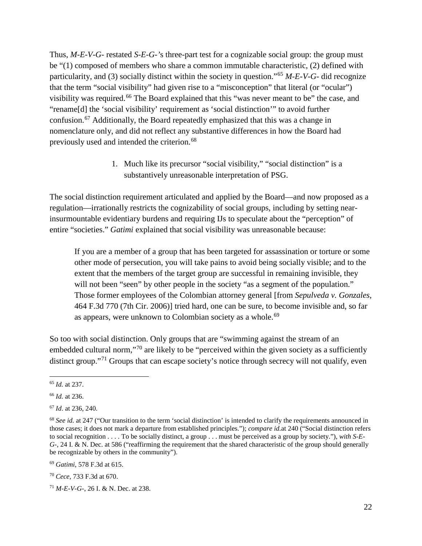Thus, *M-E-V-G-* restated *S-E-G-'*s three-part test for a cognizable social group: the group must be "(1) composed of members who share a common immutable characteristic, (2) defined with particularity, and (3) socially distinct within the society in question."[65](#page-21-0) *M-E-V-G-* did recognize that the term "social visibility" had given rise to a "misconception" that literal (or "ocular") visibility was required.<sup>[66](#page-21-1)</sup> The Board explained that this "was never meant to be" the case, and "rename[d] the 'social visibility' requirement as 'social distinction'" to avoid further confusion.[67](#page-21-2) Additionally, the Board repeatedly emphasized that this was a change in nomenclature only, and did not reflect any substantive differences in how the Board had previously used and intended the criterion.<sup>[68](#page-21-3)</sup>

> 1. Much like its precursor "social visibility," "social distinction" is a substantively unreasonable interpretation of PSG.

The social distinction requirement articulated and applied by the Board—and now proposed as a regulation—irrationally restricts the cognizability of social groups, including by setting nearinsurmountable evidentiary burdens and requiring IJs to speculate about the "perception" of entire "societies." *Gatimi* explained that social visibility was unreasonable because:

If you are a member of a group that has been targeted for assassination or torture or some other mode of persecution, you will take pains to avoid being socially visible; and to the extent that the members of the target group are successful in remaining invisible, they will not been "seen" by other people in the society "as a segment of the population." Those former employees of the Colombian attorney general [from *Sepulveda v. Gonzales*, 464 F.3d 770 (7th Cir. 2006)] tried hard, one can be sure, to become invisible and, so far as appears, were unknown to Colombian society as a whole.<sup>[69](#page-21-4)</sup>

So too with social distinction. Only groups that are "swimming against the stream of an embedded cultural norm,"<sup>[70](#page-21-5)</sup> are likely to be "perceived within the given society as a sufficiently distinct group."<sup>[71](#page-21-6)</sup> Groups that can escape society's notice through secrecy will not qualify, even

<span id="page-21-0"></span> <sup>65</sup> *Id.* at 237.

<span id="page-21-1"></span><sup>66</sup> *Id.* at 236.

<span id="page-21-2"></span><sup>67</sup> *Id*. at 236, 240.

<span id="page-21-3"></span><sup>&</sup>lt;sup>68</sup> See id. at 247 ("Our transition to the term 'social distinction' is intended to clarify the requirements announced in those cases; it does not mark a departure from established principles."); *compare id.*at 240 ("Social distinction refers to social recognition . . . . To be socially distinct, a group . . . must be perceived as a group by society."), *with S-E-G-*, 24 I. & N. Dec. at 586 ("reaffirming the requirement that the shared characteristic of the group should generally be recognizable by others in the community").

<span id="page-21-4"></span><sup>69</sup> *Gatimi*, 578 F.3d at 615.

<span id="page-21-5"></span><sup>70</sup> *Cece*, 733 F.3d at 670.

<span id="page-21-6"></span><sup>71</sup> *M-E-V-G-*, 26 I. & N. Dec. at 238.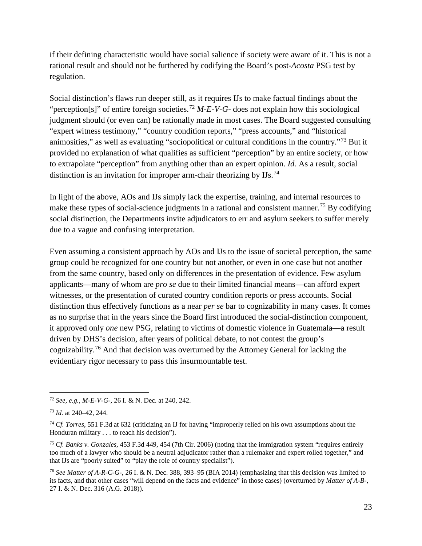if their defining characteristic would have social salience if society were aware of it. This is not a rational result and should not be furthered by codifying the Board's post-*Acosta* PSG test by regulation.

Social distinction's flaws run deeper still, as it requires IJs to make factual findings about the "perception[s]" of entire foreign societies.<sup>[72](#page-22-0)</sup> *M-E-V-G-* does not explain how this sociological judgment should (or even can) be rationally made in most cases. The Board suggested consulting "expert witness testimony," "country condition reports," "press accounts," and "historical animosities," as well as evaluating "sociopolitical or cultural conditions in the country."[73](#page-22-1) But it provided no explanation of what qualifies as sufficient "perception" by an entire society, or how to extrapolate "perception" from anything other than an expert opinion. *Id.* As a result, social distinction is an invitation for improper arm-chair theorizing by  $\text{IIs.}^{74}$  $\text{IIs.}^{74}$  $\text{IIs.}^{74}$ 

In light of the above, AOs and IJs simply lack the expertise, training, and internal resources to make these types of social-science judgments in a rational and consistent manner.<sup>[75](#page-22-3)</sup> By codifying social distinction, the Departments invite adjudicators to err and asylum seekers to suffer merely due to a vague and confusing interpretation.

Even assuming a consistent approach by AOs and IJs to the issue of societal perception, the same group could be recognized for one country but not another, or even in one case but not another from the same country, based only on differences in the presentation of evidence. Few asylum applicants—many of whom are *pro se* due to their limited financial means—can afford expert witnesses, or the presentation of curated country condition reports or press accounts. Social distinction thus effectively functions as a near *per se* bar to cognizability in many cases. It comes as no surprise that in the years since the Board first introduced the social-distinction component, it approved only *one* new PSG, relating to victims of domestic violence in Guatemala—a result driven by DHS's decision, after years of political debate, to not contest the group's cognizability.[76](#page-22-4) And that decision was overturned by the Attorney General for lacking the evidentiary rigor necessary to pass this insurmountable test.

<span id="page-22-0"></span> <sup>72</sup> *See, e.g.*, *M-E-V-G-*, 26 I. & N. Dec. at 240, 242.

<span id="page-22-1"></span><sup>73</sup> *Id.* at 240–42, 244.

<span id="page-22-2"></span><sup>74</sup> *Cf. Torres*, 551 F.3d at 632 (criticizing an IJ for having "improperly relied on his own assumptions about the Honduran military . . . to reach his decision").

<span id="page-22-3"></span><sup>75</sup> *Cf. Banks v. Gonzales*, 453 F.3d 449, 454 (7th Cir. 2006) (noting that the immigration system "requires entirely too much of a lawyer who should be a neutral adjudicator rather than a rulemaker and expert rolled together," and that IJs are "poorly suited" to "play the role of country specialist").

<span id="page-22-4"></span><sup>76</sup> *See Matter of A-R-C-G-*, 26 I. & N. Dec. 388, 393–95 (BIA 2014) (emphasizing that this decision was limited to its facts, and that other cases "will depend on the facts and evidence" in those cases) (overturned by *Matter of A-B-*, 27 I. & N. Dec. 316 (A.G. 2018)).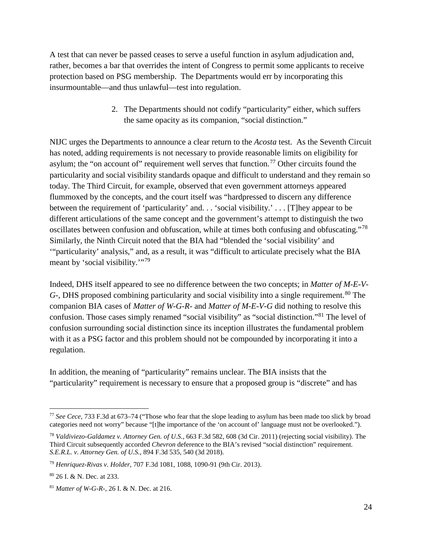A test that can never be passed ceases to serve a useful function in asylum adjudication and, rather, becomes a bar that overrides the intent of Congress to permit some applicants to receive protection based on PSG membership. The Departments would err by incorporating this insurmountable—and thus unlawful—test into regulation.

> 2. The Departments should not codify "particularity" either, which suffers the same opacity as its companion, "social distinction."

NIJC urges the Departments to announce a clear return to the *Acosta* test. As the Seventh Circuit has noted, adding requirements is not necessary to provide reasonable limits on eligibility for asylum; the "on account of" requirement well serves that function.<sup>[77](#page-23-0)</sup> Other circuits found the particularity and social visibility standards opaque and difficult to understand and they remain so today. The Third Circuit, for example, observed that even government attorneys appeared flummoxed by the concepts, and the court itself was "hardpressed to discern any difference between the requirement of 'particularity' and. . . 'social visibility.' . . . [T]hey appear to be different articulations of the same concept and the government's attempt to distinguish the two oscillates between confusion and obfuscation, while at times both confusing and obfuscating."[78](#page-23-1) Similarly, the Ninth Circuit noted that the BIA had "blended the 'social visibility' and '"particularity' analysis," and, as a result, it was "difficult to articulate precisely what the BIA meant by 'social visibility."<sup>[79](#page-23-2)</sup>

Indeed, DHS itself appeared to see no difference between the two concepts; in *Matter of M-E-V-G*-, DHS proposed combining particularity and social visibility into a single requirement.<sup>[80](#page-23-3)</sup> The companion BIA cases of *Matter of W-G-R-* and *Matter of M-E-V-G* did nothing to resolve this confusion. Those cases simply renamed "social visibility" as "social distinction."[81](#page-23-4) The level of confusion surrounding social distinction since its inception illustrates the fundamental problem with it as a PSG factor and this problem should not be compounded by incorporating it into a regulation.

In addition, the meaning of "particularity" remains unclear. The BIA insists that the "particularity" requirement is necessary to ensure that a proposed group is "discrete" and has

<span id="page-23-0"></span> <sup>77</sup> *See Cece*, 733 F.3d at 673–74 ("Those who fear that the slope leading to asylum has been made too slick by broad categories need not worry" because "[t]he importance of the 'on account of' language must not be overlooked.").

<span id="page-23-1"></span><sup>78</sup> *Valdiviezo-Galdamez v. Attorney Gen. of U.S.*, 663 F.3d 582, 608 (3d Cir. 2011) (rejecting social visibility). The Third Circuit subsequently accorded *Chevron* deference to the BIA's revised "social distinction" requirement. *S.E.R.L. v. Attorney Gen. of U.S.*, 894 F.3d 535, 540 (3d 2018).

<span id="page-23-2"></span><sup>79</sup> *Henriquez-Rivas v. Holder*, 707 F.3d 1081, 1088, 1090-91 (9th Cir. 2013).

<span id="page-23-3"></span><sup>80</sup> 26 I. & N. Dec. at 233.

<span id="page-23-4"></span><sup>81</sup> *Matter of W-G-R-*, 26 I. & N. Dec. at 216.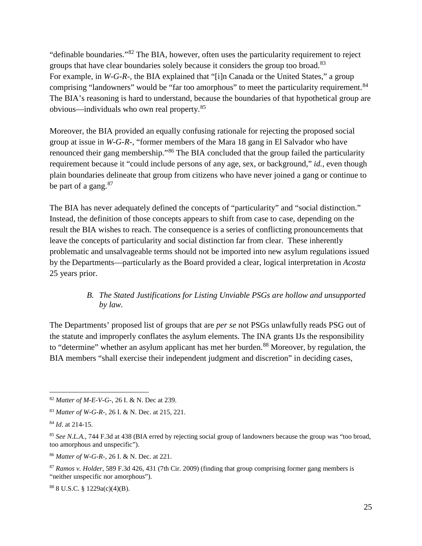"definable boundaries."[82](#page-24-0) The BIA, however, often uses the particularity requirement to reject groups that have clear boundaries solely because it considers the group too broad.<sup>[83](#page-24-1)</sup> For example, in *W-G-R-*, the BIA explained that "[i]n Canada or the United States," a group comprising "landowners" would be "far too amorphous" to meet the particularity requirement.<sup>[84](#page-24-2)</sup> The BIA's reasoning is hard to understand, because the boundaries of that hypothetical group are obvious—individuals who own real property.[85](#page-24-3)

Moreover, the BIA provided an equally confusing rationale for rejecting the proposed social group at issue in *W-G-R-*, "former members of the Mara 18 gang in El Salvador who have renounced their gang membership."[86](#page-24-4) The BIA concluded that the group failed the particularity requirement because it "could include persons of any age, sex, or background," *id.*, even though plain boundaries delineate that group from citizens who have never joined a gang or continue to be part of a gang. $87$ 

The BIA has never adequately defined the concepts of "particularity" and "social distinction." Instead, the definition of those concepts appears to shift from case to case, depending on the result the BIA wishes to reach. The consequence is a series of conflicting pronouncements that leave the concepts of particularity and social distinction far from clear. These inherently problematic and unsalvageable terms should not be imported into new asylum regulations issued by the Departments—particularly as the Board provided a clear, logical interpretation in *Acosta*  25 years prior.

#### *B. The Stated Justifications for Listing Unviable PSGs are hollow and unsupported by law.*

The Departments' proposed list of groups that are *per se* not PSGs unlawfully reads PSG out of the statute and improperly conflates the asylum elements. The INA grants IJs the responsibility to "determine" whether an asylum applicant has met her burden.<sup>[88](#page-24-6)</sup> Moreover, by regulation, the BIA members "shall exercise their independent judgment and discretion" in deciding cases,

<span id="page-24-0"></span> <sup>82</sup> *Matter of M-E-V-G-*, 26 I. & N. Dec at 239.

<span id="page-24-1"></span><sup>83</sup> *Matter of W-G-R-*, 26 I. & N. Dec. at 215, 221.

<span id="page-24-2"></span><sup>84</sup> *Id*. at 214-15.

<span id="page-24-3"></span><sup>&</sup>lt;sup>85</sup> See N.L.A., 744 F.3d at 438 (BIA erred by rejecting social group of landowners because the group was "too broad, too amorphous and unspecific").

<span id="page-24-4"></span><sup>86</sup> *Matter of W-G-R-*, 26 I. & N. Dec. at 221.

<span id="page-24-5"></span><sup>87</sup> *Ramos v. Holder*, 589 F.3d 426, 431 (7th Cir. 2009) (finding that group comprising former gang members is "neither unspecific nor amorphous").

<span id="page-24-6"></span><sup>88</sup> 8 U.S.C. § 1229a(c)(4)(B).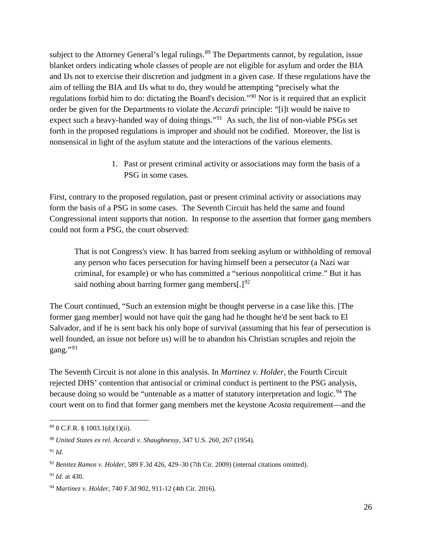subject to the Attorney General's legal rulings.<sup>[89](#page-25-0)</sup> The Departments cannot, by regulation, issue blanket orders indicating whole classes of people are not eligible for asylum and order the BIA and IJs not to exercise their discretion and judgment in a given case. If these regulations have the aim of telling the BIA and IJs what to do, they would be attempting "precisely what the regulations forbid him to do: dictating the Board's decision."[90](#page-25-1) Nor is it required that an explicit order be given for the Departments to violate the *Accardi* principle: "[i]t would be naive to expect such a heavy-handed way of doing things."<sup>[91](#page-25-2)</sup> As such, the list of non-viable PSGs set forth in the proposed regulations is improper and should not be codified. Moreover, the list is nonsensical in light of the asylum statute and the interactions of the various elements.

> 1. Past or present criminal activity or associations may form the basis of a PSG in some cases.

First, contrary to the proposed regulation, past or present criminal activity or associations may form the basis of a PSG in some cases. The Seventh Circuit has held the same and found Congressional intent supports that notion. In response to the assertion that former gang members could not form a PSG, the court observed:

That is not Congress's view. It has barred from seeking asylum or withholding of removal any person who faces persecution for having himself been a persecutor (a Nazi war criminal, for example) or who has committed a "serious nonpolitical crime." But it has said nothing about barring former gang members[.] $^{92}$  $^{92}$  $^{92}$ 

The Court continued, "Such an extension might be thought perverse in a case like this. [The former gang member] would not have quit the gang had he thought he'd be sent back to El Salvador, and if he is sent back his only hope of survival (assuming that his fear of persecution is well founded, an issue not before us) will be to abandon his Christian scruples and rejoin the gang."[93](#page-25-4)

The Seventh Circuit is not alone in this analysis. In *Martinez v. Holder*, the Fourth Circuit rejected DHS' contention that antisocial or criminal conduct is pertinent to the PSG analysis, because doing so would be "untenable as a matter of statutory interpretation and logic.<sup>[94](#page-25-5)</sup> The court went on to find that former gang members met the keystone *Acosta* requirement—and the

<span id="page-25-2"></span><sup>91</sup> *Id*.

<span id="page-25-0"></span> $898$  C.F.R. § 1003.1(d)(1)(ii).

<span id="page-25-1"></span><sup>90</sup> *United States ex rel. Accardi v. Shaughnessy*, 347 U.S. 260, 267 (1954).

<span id="page-25-3"></span><sup>92</sup> *Benitez Ramos v. Holder*, 589 F.3d 426, 429–30 (7th Cir. 2009) (internal citations omitted).

<span id="page-25-4"></span><sup>93</sup> *Id*. at 430.

<span id="page-25-5"></span><sup>94</sup> *Martinez v. Holder*, 740 F.3d 902, 911-12 (4th Cir. 2016).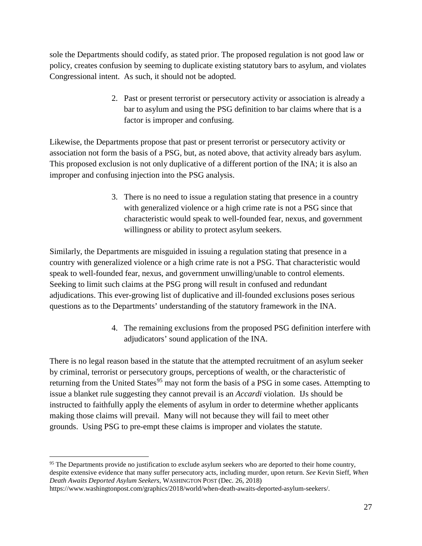sole the Departments should codify, as stated prior. The proposed regulation is not good law or policy, creates confusion by seeming to duplicate existing statutory bars to asylum, and violates Congressional intent. As such, it should not be adopted.

> 2. Past or present terrorist or persecutory activity or association is already a bar to asylum and using the PSG definition to bar claims where that is a factor is improper and confusing.

Likewise, the Departments propose that past or present terrorist or persecutory activity or association not form the basis of a PSG, but, as noted above, that activity already bars asylum. This proposed exclusion is not only duplicative of a different portion of the INA; it is also an improper and confusing injection into the PSG analysis.

> 3. There is no need to issue a regulation stating that presence in a country with generalized violence or a high crime rate is not a PSG since that characteristic would speak to well-founded fear, nexus, and government willingness or ability to protect asylum seekers.

Similarly, the Departments are misguided in issuing a regulation stating that presence in a country with generalized violence or a high crime rate is not a PSG. That characteristic would speak to well-founded fear, nexus, and government unwilling/unable to control elements. Seeking to limit such claims at the PSG prong will result in confused and redundant adjudications. This ever-growing list of duplicative and ill-founded exclusions poses serious questions as to the Departments' understanding of the statutory framework in the INA.

> 4. The remaining exclusions from the proposed PSG definition interfere with adjudicators' sound application of the INA.

There is no legal reason based in the statute that the attempted recruitment of an asylum seeker by criminal, terrorist or persecutory groups, perceptions of wealth, or the characteristic of returning from the United States<sup>[95](#page-26-0)</sup> may not form the basis of a PSG in some cases. Attempting to issue a blanket rule suggesting they cannot prevail is an *Accardi* violation. IJs should be instructed to faithfully apply the elements of asylum in order to determine whether applicants making those claims will prevail. Many will not because they will fail to meet other grounds. Using PSG to pre-empt these claims is improper and violates the statute.

<span id="page-26-0"></span><sup>&</sup>lt;sup>95</sup> The Departments provide no justification to exclude asylum seekers who are deported to their home country, despite extensive evidence that many suffer persecutory acts, including murder, upon return. *See* Kevin Sieff, *When Death Awaits Deported Asylum Seekers*, WASHINGTON POST (Dec. 26, 2018)

https://www.washingtonpost.com/graphics/2018/world/when-death-awaits-deported-asylum-seekers/.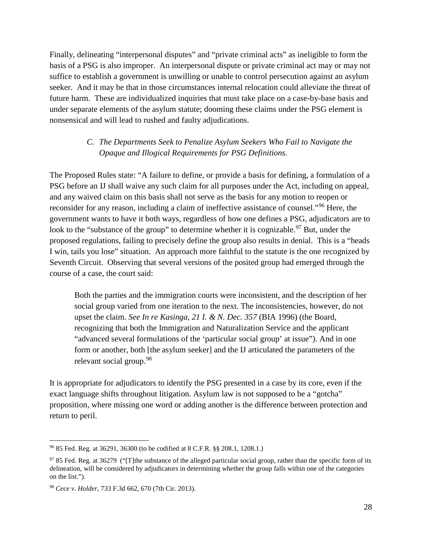Finally, delineating "interpersonal disputes" and "private criminal acts" as ineligible to form the basis of a PSG is also improper. An interpersonal dispute or private criminal act may or may not suffice to establish a government is unwilling or unable to control persecution against an asylum seeker. And it may be that in those circumstances internal relocation could alleviate the threat of future harm. These are individualized inquiries that must take place on a case-by-base basis and under separate elements of the asylum statute; dooming these claims under the PSG element is nonsensical and will lead to rushed and faulty adjudications.

#### *C. The Departments Seek to Penalize Asylum Seekers Who Fail to Navigate the Opaque and Illogical Requirements for PSG Definitions.*

The Proposed Rules state: "A failure to define, or provide a basis for defining, a formulation of a PSG before an IJ shall waive any such claim for all purposes under the Act, including on appeal, and any waived claim on this basis shall not serve as the basis for any motion to reopen or reconsider for any reason, including a claim of ineffective assistance of counsel."[96](#page-27-0) Here, the government wants to have it both ways, regardless of how one defines a PSG, adjudicators are to look to the "substance of the group" to determine whether it is cognizable.<sup>[97](#page-27-1)</sup> But, under the proposed regulations, failing to precisely define the group also results in denial. This is a "heads I win, tails you lose" situation. An approach more faithful to the statute is the one recognized by Seventh Circuit. Observing that several versions of the posited group had emerged through the course of a case, the court said:

Both the parties and the immigration courts were inconsistent, and the description of her social group varied from one iteration to the next. The inconsistencies, however, do not upset the claim. *See In re Kasinga, 21 I. & N. Dec. 357* (BIA 1996) (the Board, recognizing that both the Immigration and Naturalization Service and the applicant "advanced several formulations of the 'particular social group' at issue"). And in one form or another, both [the asylum seeker] and the IJ articulated the parameters of the relevant social group.<sup>[98](#page-27-2)</sup>

It is appropriate for adjudicators to identify the PSG presented in a case by its core, even if the exact language shifts throughout litigation. Asylum law is not supposed to be a "gotcha" proposition, where missing one word or adding another is the difference between protection and return to peril.

<span id="page-27-0"></span> <sup>96</sup> 85 Fed. Reg. at 36291, 36300 (to be codified at 8 C.F.R. §§ 208.1, 1208.1.)

<span id="page-27-1"></span> $97$  85 Fed. Reg. at 36279 ("T]the substance of the alleged particular social group, rather than the specific form of its delineation, will be considered by adjudicators in determining whether the group falls within one of the categories on the list.").

<span id="page-27-2"></span><sup>98</sup> *Cece v. Holder*, 733 F.3d 662, 670 (7th Cir. 2013).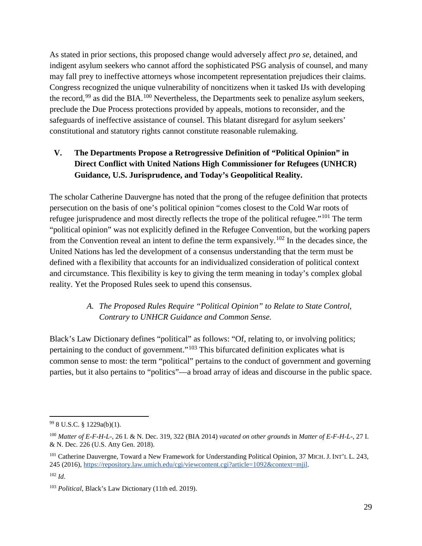As stated in prior sections, this proposed change would adversely affect *pro se*, detained, and indigent asylum seekers who cannot afford the sophisticated PSG analysis of counsel, and many may fall prey to ineffective attorneys whose incompetent representation prejudices their claims. Congress recognized the unique vulnerability of noncitizens when it tasked IJs with developing the record,  $99$  as did the BIA.<sup>[100](#page-28-1)</sup> Nevertheless, the Departments seek to penalize asylum seekers, preclude the Due Process protections provided by appeals, motions to reconsider, and the safeguards of ineffective assistance of counsel. This blatant disregard for asylum seekers' constitutional and statutory rights cannot constitute reasonable rulemaking.

# **V. The Departments Propose a Retrogressive Definition of "Political Opinion" in Direct Conflict with United Nations High Commissioner for Refugees (UNHCR) Guidance, U.S. Jurisprudence, and Today's Geopolitical Reality.**

The scholar Catherine Dauvergne has noted that the prong of the refugee definition that protects persecution on the basis of one's political opinion "comes closest to the Cold War roots of refugee jurisprudence and most directly reflects the trope of the political refugee."[101](#page-28-2) The term "political opinion" was not explicitly defined in the Refugee Convention, but the working papers from the Convention reveal an intent to define the term expansively.[102](#page-28-3) In the decades since, the United Nations has led the development of a consensus understanding that the term must be defined with a flexibility that accounts for an individualized consideration of political context and circumstance. This flexibility is key to giving the term meaning in today's complex global reality. Yet the Proposed Rules seek to upend this consensus.

# *A. The Proposed Rules Require "Political Opinion" to Relate to State Control, Contrary to UNHCR Guidance and Common Sense.*

Black's Law Dictionary defines "political" as follows: "Of, relating to, or involving politics; pertaining to the conduct of government."[103](#page-28-4) This bifurcated definition explicates what is common sense to most: the term "political" pertains to the conduct of government and governing parties, but it also pertains to "politics"—a broad array of ideas and discourse in the public space.

<span id="page-28-0"></span> $998$  U.S.C. § 1229a(b)(1).

<span id="page-28-1"></span><sup>100</sup> *Matter of E-F-H-L-*, 26 I. & N. Dec. 319, 322 (BIA 2014) *vacated on other grounds* in *Matter of E-F-H-L-*, 27 I. & N. Dec. 226 (U.S. Atty Gen. 2018).

<span id="page-28-2"></span><sup>101</sup> Catherine Dauvergne, Toward a New Framework for Understanding Political Opinion, 37 MICH. J. INT'L L. 243, 245 (2016[\),](https://repository.law.umich.edu/cgi/viewcontent.cgi?article=1092&context=mjil) [https://repository.law.umich.edu/cgi/viewcontent.cgi?article=1092&context=mjil.](https://repository.law.umich.edu/cgi/viewcontent.cgi?article=1092&context=mjil)  $102 \, Id$ 

<span id="page-28-4"></span><span id="page-28-3"></span><sup>103</sup> *Political*, Black's Law Dictionary (11th ed. 2019).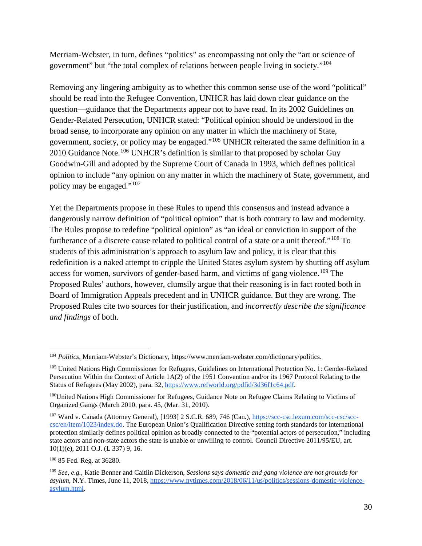Merriam-Webster, in turn, defines "politics" as encompassing not only the "art or science of government" but "the total complex of relations between people living in society."[104](#page-29-0)

Removing any lingering ambiguity as to whether this common sense use of the word "political" should be read into the Refugee Convention, UNHCR has laid down clear guidance on the question—guidance that the Departments appear not to have read. In its 2002 Guidelines on Gender-Related Persecution, UNHCR stated: "Political opinion should be understood in the broad sense, to incorporate any opinion on any matter in which the machinery of State, government, society, or policy may be engaged."[105](#page-29-1) UNHCR reiterated the same definition in a 2010 Guidance Note.<sup>[106](#page-29-2)</sup> UNHCR's definition is similar to that proposed by scholar Guy Goodwin-Gill and adopted by the Supreme Court of Canada in 1993, which defines political opinion to include "any opinion on any matter in which the machinery of State, government, and policy may be engaged."[107](#page-29-3)

Yet the Departments propose in these Rules to upend this consensus and instead advance a dangerously narrow definition of "political opinion" that is both contrary to law and modernity. The Rules propose to redefine "political opinion" as "an ideal or conviction in support of the furtherance of a discrete cause related to political control of a state or a unit thereof."[108](#page-29-4) To students of this administration's approach to asylum law and policy, it is clear that this redefinition is a naked attempt to cripple the United States asylum system by shutting off asylum access for women, survivors of gender-based harm, and victims of gang violence.<sup>[109](#page-29-5)</sup> The Proposed Rules' authors, however, clumsily argue that their reasoning is in fact rooted both in Board of Immigration Appeals precedent and in UNHCR guidance. But they are wrong. The Proposed Rules cite two sources for their justification, and *incorrectly describe the significance and findings* of both.

<span id="page-29-4"></span><sup>108</sup> 85 Fed. Reg. at 36280.

<span id="page-29-0"></span> <sup>104</sup> *Politics*, Merriam-Webster's Dictionary, [https://www.merriam-webster.com/dictionary/politics.](https://www.merriam-webster.com/dictionary/politics) 

<span id="page-29-1"></span><sup>&</sup>lt;sup>105</sup> United Nations High Commissioner for Refugees, Guidelines on International Protection No. 1: Gender-Related Persecution Within the Context of Article 1A(2) of the 1951 Convention and/or its 1967 Protocol Relating to the Status of Refugees (May 2002), para. 3[2,](https://www.refworld.org/pdfid/3d36f1c64.pdf) [https://www.refworld.org/pdfid/3d36f1c64.pdf.](https://www.refworld.org/pdfid/3d36f1c64.pdf)

<span id="page-29-2"></span><sup>&</sup>lt;sup>106</sup>United Nations High Commissioner for Refugees, Guidance Note on Refugee Claims Relating to Victims of Organized Gangs (March 2010, para. 45, (Mar. 31, 2010).

<span id="page-29-3"></span><sup>107</sup> Ward v. Canada (Attorney General), [1993] 2 S.C.R. 689, 746 (Can.[\),](https://scc-csc.lexum.com/scc-csc/scc-csc/en/item/1023/index.do) [https://scc-csc.lexum.com/scc-csc/scc](https://scc-csc.lexum.com/scc-csc/scc-csc/en/item/1023/index.do)[csc/en/item/1023/index.do.](https://scc-csc.lexum.com/scc-csc/scc-csc/en/item/1023/index.do) The European Union's Qualification Directive setting forth standards for international protection similarly defines political opinion as broadly connected to the "potential actors of persecution," including state actors and non-state actors the state is unable or unwilling to control. Council Directive 2011/95/EU, art. 10(1)(e), 2011 O.J. (L 337) 9, 16.

<span id="page-29-5"></span><sup>109</sup> *See, e.g.,* Katie Benner and Caitlin Dickerson, *Sessions says domestic and gang violence are not grounds for asylum*, N.Y. Times, June 11, 201[8,](https://www.nytimes.com/2018/06/11/us/politics/sessions-domestic-violence-asylum.html) [https://www.nytimes.com/2018/06/11/us/politics/sessions-domestic-violence](https://www.nytimes.com/2018/06/11/us/politics/sessions-domestic-violence-asylum.html)[asylum.html.](https://www.nytimes.com/2018/06/11/us/politics/sessions-domestic-violence-asylum.html)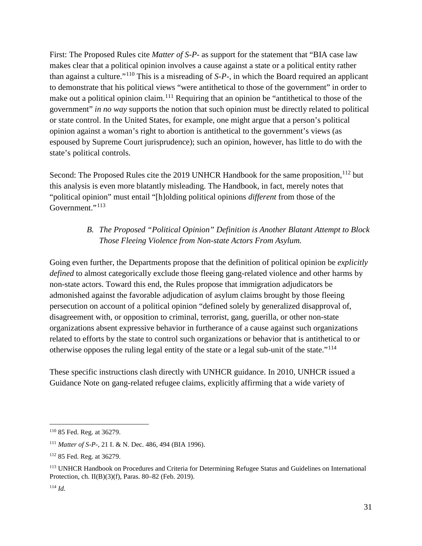First: The Proposed Rules cite *Matter of S-P-* as support for the statement that "BIA case law makes clear that a political opinion involves a cause against a state or a political entity rather than against a culture."[110](#page-30-0) This is a misreading of *S-P*-, in which the Board required an applicant to demonstrate that his political views "were antithetical to those of the government" in order to make out a political opinion claim.<sup>[111](#page-30-1)</sup> Requiring that an opinion be "antithetical to those of the government" *in no way* supports the notion that such opinion must be directly related to political or state control. In the United States, for example, one might argue that a person's political opinion against a woman's right to abortion is antithetical to the government's views (as espoused by Supreme Court jurisprudence); such an opinion, however, has little to do with the state's political controls.

Second: The Proposed Rules cite the 2019 UNHCR Handbook for the same proposition,<sup>[112](#page-30-2)</sup> but this analysis is even more blatantly misleading. The Handbook, in fact, merely notes that "political opinion" must entail "[h]olding political opinions *different* from those of the Government."<sup>[113](#page-30-3)</sup>

# *B. The Proposed "Political Opinion" Definition is Another Blatant Attempt to Block Those Fleeing Violence from Non-state Actors From Asylum.*

Going even further, the Departments propose that the definition of political opinion be *explicitly defined* to almost categorically exclude those fleeing gang-related violence and other harms by non-state actors. Toward this end, the Rules propose that immigration adjudicators be admonished against the favorable adjudication of asylum claims brought by those fleeing persecution on account of a political opinion "defined solely by generalized disapproval of, disagreement with, or opposition to criminal, terrorist, gang, guerilla, or other non-state organizations absent expressive behavior in furtherance of a cause against such organizations related to efforts by the state to control such organizations or behavior that is antithetical to or otherwise opposes the ruling legal entity of the state or a legal sub-unit of the state."[114](#page-30-4)

These specific instructions clash directly with UNHCR guidance. In 2010, UNHCR issued a Guidance Note on gang-related refugee claims, explicitly affirming that a wide variety of

<span id="page-30-0"></span> <sup>110</sup> 85 Fed. Reg. at 36279.

<span id="page-30-1"></span><sup>111</sup> *Matter of S-P-*, 21 I. & N. Dec. 486, 494 (BIA 1996).

<span id="page-30-2"></span><sup>112</sup> 85 Fed. Reg. at 36279.

<span id="page-30-3"></span><sup>113</sup> UNHCR Handbook on Procedures and Criteria for Determining Refugee Status and Guidelines on International Protection, ch. II(B)(3)(f), Paras. 80–82 (Feb. 2019).

<span id="page-30-4"></span><sup>114</sup> *Id.*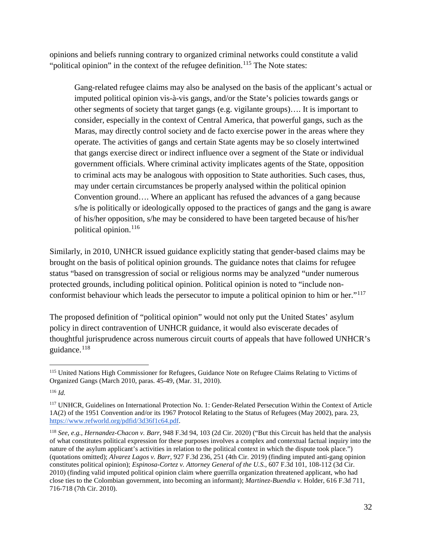opinions and beliefs running contrary to organized criminal networks could constitute a valid "political opinion" in the context of the refugee definition.<sup>[115](#page-31-0)</sup> The Note states:

Gang-related refugee claims may also be analysed on the basis of the applicant's actual or imputed political opinion vis-à-vis gangs, and/or the State's policies towards gangs or other segments of society that target gangs (e.g. vigilante groups)…. It is important to consider, especially in the context of Central America, that powerful gangs, such as the Maras, may directly control society and de facto exercise power in the areas where they operate. The activities of gangs and certain State agents may be so closely intertwined that gangs exercise direct or indirect influence over a segment of the State or individual government officials. Where criminal activity implicates agents of the State, opposition to criminal acts may be analogous with opposition to State authorities. Such cases, thus, may under certain circumstances be properly analysed within the political opinion Convention ground…. Where an applicant has refused the advances of a gang because s/he is politically or ideologically opposed to the practices of gangs and the gang is aware of his/her opposition, s/he may be considered to have been targeted because of his/her political opinion.<sup>[116](#page-31-1)</sup>

Similarly, in 2010, UNHCR issued guidance explicitly stating that gender-based claims may be brought on the basis of political opinion grounds. The guidance notes that claims for refugee status "based on transgression of social or religious norms may be analyzed "under numerous protected grounds, including political opinion. Political opinion is noted to "include non-conformist behaviour which leads the persecutor to impute a political opinion to him or her."<sup>[117](#page-31-2)</sup>

The proposed definition of "political opinion" would not only put the United States' asylum policy in direct contravention of UNHCR guidance, it would also eviscerate decades of thoughtful jurisprudence across numerous circuit courts of appeals that have followed UNHCR's guidance.<sup>[118](#page-31-3)</sup>

<span id="page-31-0"></span><sup>&</sup>lt;sup>115</sup> United Nations High Commissioner for Refugees, Guidance Note on Refugee Claims Relating to Victims of Organized Gangs (March 2010, paras. 45-49, (Mar. 31, 2010).

<span id="page-31-1"></span><sup>116</sup> *Id.*

<span id="page-31-2"></span><sup>117</sup> UNHCR, Guidelines on International Protection No. 1: Gender-Related Persecution Within the Context of Article 1A(2) of the 1951 Convention and/or its 1967 Protocol Relating to the Status of Refugees (May 2002), para. 2[3,](https://www.refworld.org/pdfid/3d36f1c64.pdf) [https://www.refworld.org/pdfid/3d36f1c64.pdf.](https://www.refworld.org/pdfid/3d36f1c64.pdf)

<span id="page-31-3"></span><sup>118</sup> *See*, *e.g., Hernandez-Chacon v. Barr*, 948 F.3d 94, 103 (2d Cir. 2020) ("But this Circuit has held that the analysis of what constitutes political expression for these purposes involves a complex and contextual factual inquiry into the nature of the asylum applicant's activities in relation to the political context in which the dispute took place.") (quotations omitted); *Alvarez Lagos v. Barr,* 927 F.3d 236, 251 (4th Cir. 2019) (finding imputed anti-gang opinion constitutes political opinion); *Espinosa-Cortez v. Attorney General of the U.S.*, 607 F.3d 101, 108-112 (3d Cir. 2010) (finding valid imputed political opinion claim where guerrilla organization threatened applicant, who had close ties to the Colombian government, into becoming an informant); *Martinez-Buendia v.* Holder, 616 F.3d 711, 716-718 (7th Cir. 2010).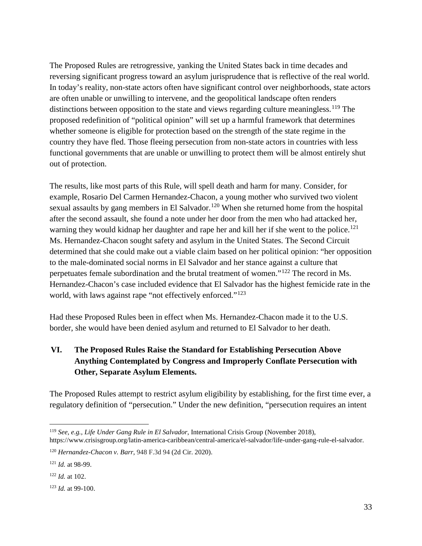The Proposed Rules are retrogressive, yanking the United States back in time decades and reversing significant progress toward an asylum jurisprudence that is reflective of the real world. In today's reality, non-state actors often have significant control over neighborhoods, state actors are often unable or unwilling to intervene, and the geopolitical landscape often renders distinctions between opposition to the state and views regarding culture meaningless.<sup>[119](#page-32-0)</sup> The proposed redefinition of "political opinion" will set up a harmful framework that determines whether someone is eligible for protection based on the strength of the state regime in the country they have fled. Those fleeing persecution from non-state actors in countries with less functional governments that are unable or unwilling to protect them will be almost entirely shut out of protection.

The results, like most parts of this Rule, will spell death and harm for many. Consider, for example, Rosario Del Carmen Hernandez-Chacon, a young mother who survived two violent sexual assaults by gang members in El Salvador.<sup>[120](#page-32-1)</sup> When she returned home from the hospital after the second assault, she found a note under her door from the men who had attacked her, warning they would kidnap her daughter and rape her and kill her if she went to the police.<sup>[121](#page-32-2)</sup> Ms. Hernandez-Chacon sought safety and asylum in the United States. The Second Circuit determined that she could make out a viable claim based on her political opinion: "her opposition to the male-dominated social norms in El Salvador and her stance against a culture that perpetuates female subordination and the brutal treatment of women."[122](#page-32-3) The record in Ms. Hernandez-Chacon's case included evidence that El Salvador has the highest femicide rate in the world, with laws against rape "not effectively enforced."<sup>[123](#page-32-4)</sup>

Had these Proposed Rules been in effect when Ms. Hernandez-Chacon made it to the U.S. border, she would have been denied asylum and returned to El Salvador to her death.

# **VI. The Proposed Rules Raise the Standard for Establishing Persecution Above Anything Contemplated by Congress and Improperly Conflate Persecution with Other, Separate Asylum Elements.**

The Proposed Rules attempt to restrict asylum eligibility by establishing, for the first time ever, a regulatory definition of "persecution." Under the new definition, "persecution requires an intent

<span id="page-32-0"></span> <sup>119</sup> *See, e.g., Life Under Gang Rule in El Salvador*, International Crisis Group (November 2018), [https://www.crisisgroup.org/latin-america-caribbean/central-america/el-salvador/life-under-gang-rule-el-salvador.](https://www.crisisgroup.org/latin-america-caribbean/central-america/el-salvador/life-under-gang-rule-el-salvador)

<span id="page-32-1"></span><sup>120</sup> *Hernandez-Chacon v. Barr*, 948 F.3d 94 (2d Cir. 2020).

<span id="page-32-2"></span><sup>121</sup> *Id.* at 98-99.

<span id="page-32-3"></span><sup>122</sup> *Id.* at 102.

<span id="page-32-4"></span><sup>123</sup> *Id.* at 99-100.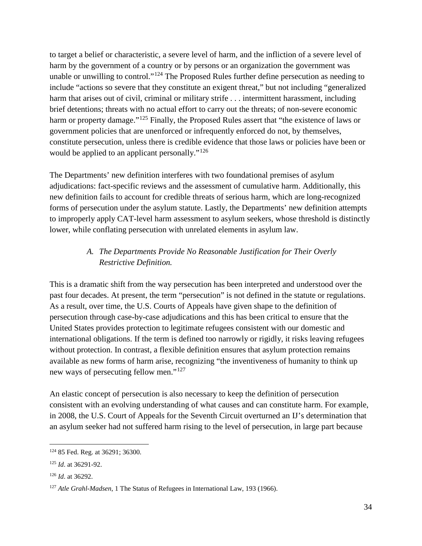to target a belief or characteristic, a severe level of harm, and the infliction of a severe level of harm by the government of a country or by persons or an organization the government was unable or unwilling to control."<sup>[124](#page-33-0)</sup> The Proposed Rules further define persecution as needing to include "actions so severe that they constitute an exigent threat," but not including "generalized harm that arises out of civil, criminal or military strife . . . intermittent harassment, including brief detentions; threats with no actual effort to carry out the threats; of non-severe economic harm or property damage."<sup>[125](#page-33-1)</sup> Finally, the Proposed Rules assert that "the existence of laws or government policies that are unenforced or infrequently enforced do not, by themselves, constitute persecution, unless there is credible evidence that those laws or policies have been or would be applied to an applicant personally."<sup>[126](#page-33-2)</sup>

The Departments' new definition interferes with two foundational premises of asylum adjudications: fact-specific reviews and the assessment of cumulative harm. Additionally, this new definition fails to account for credible threats of serious harm, which are long-recognized forms of persecution under the asylum statute. Lastly, the Departments' new definition attempts to improperly apply CAT-level harm assessment to asylum seekers, whose threshold is distinctly lower, while conflating persecution with unrelated elements in asylum law.

## *A. The Departments Provide No Reasonable Justification for Their Overly Restrictive Definition.*

This is a dramatic shift from the way persecution has been interpreted and understood over the past four decades. At present, the term "persecution" is not defined in the statute or regulations. As a result, over time, the U.S. Courts of Appeals have given shape to the definition of persecution through case-by-case adjudications and this has been critical to ensure that the United States provides protection to legitimate refugees consistent with our domestic and international obligations. If the term is defined too narrowly or rigidly, it risks leaving refugees without protection. In contrast, a flexible definition ensures that asylum protection remains available as new forms of harm arise, recognizing "the inventiveness of humanity to think up new ways of persecuting fellow men."[127](#page-33-3)

An elastic concept of persecution is also necessary to keep the definition of persecution consistent with an evolving understanding of what causes and can constitute harm. For example, in 2008, the U.S. Court of Appeals for the Seventh Circuit overturned an IJ's determination that an asylum seeker had not suffered harm rising to the level of persecution, in large part because

<span id="page-33-0"></span> <sup>124</sup> 85 Fed. Reg. at 36291; 36300.

<span id="page-33-1"></span><sup>125</sup> *Id*. at 36291-92.

<span id="page-33-2"></span><sup>126</sup> *Id*. at 36292.

<span id="page-33-3"></span><sup>127</sup> *Atle Grahl-Madsen*, 1 The Status of Refugees in International Law, 193 (1966).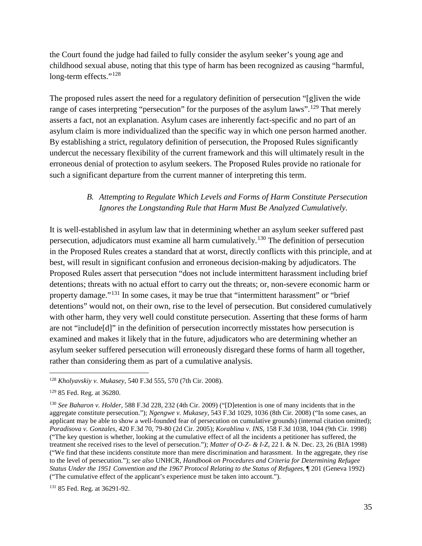the Court found the judge had failed to fully consider the asylum seeker's young age and childhood sexual abuse, noting that this type of harm has been recognized as causing "harmful, long-term effects."<sup>[128](#page-34-0)</sup>

The proposed rules assert the need for a regulatory definition of persecution "[g]iven the wide range of cases interpreting "persecution" for the purposes of the asylum laws".<sup>[129](#page-34-1)</sup> That merely asserts a fact, not an explanation. Asylum cases are inherently fact-specific and no part of an asylum claim is more individualized than the specific way in which one person harmed another. By establishing a strict, regulatory definition of persecution, the Proposed Rules significantly undercut the necessary flexibility of the current framework and this will ultimately result in the erroneous denial of protection to asylum seekers. The Proposed Rules provide no rationale for such a significant departure from the current manner of interpreting this term.

#### *B. Attempting to Regulate Which Levels and Forms of Harm Constitute Persecution Ignores the Longstanding Rule that Harm Must Be Analyzed Cumulatively.*

It is well-established in asylum law that in determining whether an asylum seeker suffered past persecution, adjudicators must examine all harm cumulatively.[130](#page-34-2) The definition of persecution in the Proposed Rules creates a standard that at worst, directly conflicts with this principle, and at best, will result in significant confusion and erroneous decision-making by adjudicators. The Proposed Rules assert that persecution "does not include intermittent harassment including brief detentions; threats with no actual effort to carry out the threats; or, non-severe economic harm or property damage."[131](#page-34-3) In some cases, it may be true that "intermittent harassment" or "brief detentions" would not, on their own, rise to the level of persecution. But considered cumulatively with other harm, they very well could constitute persecution. Asserting that these forms of harm are not "include[d]" in the definition of persecution incorrectly misstates how persecution is examined and makes it likely that in the future, adjudicators who are determining whether an asylum seeker suffered persecution will erroneously disregard these forms of harm all together, rather than considering them as part of a cumulative analysis.

<span id="page-34-0"></span> <sup>128</sup> *Kholyavskiy v. Mukasey*, 540 F.3d 555, 570 (7th Cir. 2008).

<span id="page-34-1"></span><sup>129</sup> 85 Fed. Reg. at 36280.

<span id="page-34-2"></span><sup>130</sup> *See Baharon v. Holder,* 588 F.3d 228, 232 (4th Cir. 2009) ("[D]etention is one of many incidents that in the aggregate constitute persecution."); *Ngengwe v. Mukasey*, 543 F.3d 1029, 1036 (8th Cir. 2008) ("In some cases, an applicant may be able to show a well-founded fear of persecution on cumulative grounds) (internal citation omitted); *Poradisova v. Gonzales*, 420 F.3d 70, 79-80 (2d Cir. 2005); *Korablina v. INS*, 158 F.3d 1038, 1044 (9th Cir. 1998) ("The key question is whether, looking at the cumulative effect of all the incidents a petitioner has suffered, the treatment she received rises to the level of persecution."); *Matter of O-Z- & I-Z*, 22 I. & N. Dec. 23, 26 (BIA 1998) ("We find that these incidents constitute more than mere discrimination and harassment. In the aggregate, they rise to the level of persecution."); *see also* UNHCR, *Handbook on Procedures and Criteria for Determining Refugee Status Under the 1951 Convention and the 1967 Protocol Relating to the Status of Refugees*, ¶ 201 (Geneva 1992) ("The cumulative effect of the applicant's experience must be taken into account.").

<span id="page-34-3"></span><sup>131</sup> 85 Fed. Reg. at 36291-92.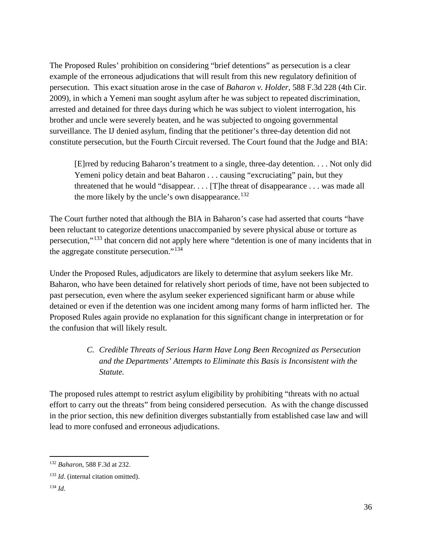The Proposed Rules' prohibition on considering "brief detentions" as persecution is a clear example of the erroneous adjudications that will result from this new regulatory definition of persecution. This exact situation arose in the case of *Baharon v. Holder*, 588 F.3d 228 (4th Cir. 2009), in which a Yemeni man sought asylum after he was subject to repeated discrimination, arrested and detained for three days during which he was subject to violent interrogation, his brother and uncle were severely beaten, and he was subjected to ongoing governmental surveillance. The IJ denied asylum, finding that the petitioner's three-day detention did not constitute persecution, but the Fourth Circuit reversed. The Court found that the Judge and BIA:

[E]rred by reducing Baharon's treatment to a single, three-day detention. . . . Not only did Yemeni policy detain and beat Baharon . . . causing "excruciating" pain, but they threatened that he would "disappear. . . . [T]he threat of disappearance . . . was made all the more likely by the uncle's own disappearance.<sup>[132](#page-35-0)</sup>

The Court further noted that although the BIA in Baharon's case had asserted that courts "have been reluctant to categorize detentions unaccompanied by severe physical abuse or torture as persecution,"[133](#page-35-1) that concern did not apply here where "detention is one of many incidents that in the aggregate constitute persecution."[134](#page-35-2)

Under the Proposed Rules, adjudicators are likely to determine that asylum seekers like Mr. Baharon, who have been detained for relatively short periods of time, have not been subjected to past persecution, even where the asylum seeker experienced significant harm or abuse while detained or even if the detention was one incident among many forms of harm inflicted her. The Proposed Rules again provide no explanation for this significant change in interpretation or for the confusion that will likely result.

### *C. Credible Threats of Serious Harm Have Long Been Recognized as Persecution and the Departments' Attempts to Eliminate this Basis is Inconsistent with the Statute.*

The proposed rules attempt to restrict asylum eligibility by prohibiting "threats with no actual effort to carry out the threats" from being considered persecution. As with the change discussed in the prior section, this new definition diverges substantially from established case law and will lead to more confused and erroneous adjudications.

<span id="page-35-0"></span> <sup>132</sup> *Baharon*, 588 F.3d at 232.

<span id="page-35-1"></span><sup>&</sup>lt;sup>133</sup> *Id.* (internal citation omitted).

<span id="page-35-2"></span><sup>134</sup> *Id*.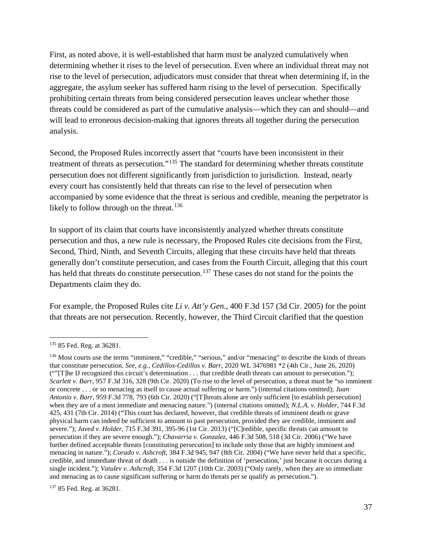First, as noted above, it is well-established that harm must be analyzed cumulatively when determining whether it rises to the level of persecution. Even where an individual threat may not rise to the level of persecution, adjudicators must consider that threat when determining if, in the aggregate, the asylum seeker has suffered harm rising to the level of persecution. Specifically prohibiting certain threats from being considered persecution leaves unclear whether those threats could be considered as part of the cumulative analysis—which they can and should—and will lead to erroneous decision-making that ignores threats all together during the persecution analysis.

Second, the Proposed Rules incorrectly assert that "courts have been inconsistent in their treatment of threats as persecution."[135](#page-36-0) The standard for determining whether threats constitute persecution does not different significantly from jurisdiction to jurisdiction. Instead, nearly every court has consistently held that threats can rise to the level of persecution when accompanied by some evidence that the threat is serious and credible, meaning the perpetrator is likely to follow through on the threat.<sup>[136](#page-36-1)</sup>

In support of its claim that courts have inconsistently analyzed whether threats constitute persecution and thus, a new rule is necessary, the Proposed Rules cite decisions from the First, Second, Third, Ninth, and Seventh Circuits, alleging that these circuits have held that threats generally don't constitute persecution, and cases from the Fourth Circuit, alleging that this court has held that threats do constitute persecution.<sup>[137](#page-36-2)</sup> These cases do not stand for the points the Departments claim they do.

For example, the Proposed Rules cite *Li v. Att'y Gen.*, 400 F.3d 157 (3d Cir. 2005) for the point that threats are not persecution. Recently, however, the Third Circuit clarified that the question

<span id="page-36-0"></span> <sup>135</sup> 85 Fed. Reg. at 36281.

<span id="page-36-1"></span><sup>&</sup>lt;sup>136</sup> Most courts use the terms "imminent," "credible," "serious," and/or "menacing" to describe the kinds of threats that constitute persecution. *See, e.g.*, *Cedillos-Cedillos v. Barr*, 2020 WL 3476981 \*2 (4th Cir., June 26, 2020) (""[T]he IJ recognized this circuit's determination . . . that credible death threats can amount to persecution."); *Scarlett v. Barr*, 957 F.3d 316, 328 (9th Cir. 2020) (To rise to the level of persecution, a threat must be "so imminent or concrete . . . or so menacing as itself to cause actual suffering or harm.") (internal citations omitted); *Juan Antonio v. Barr*, 959 F.3d 778, 793 (6th Cir. 2020) ("[T]hreats alone are only sufficient [to establish persecution] when they are of a most immediate and menacing nature.") (internal citations omitted); *N.L.A. v. Holder*, 744 F.3d 425, 431 (7th Cir. 2014) ("This court has declared, however, that credible threats of imminent death or grave physical harm can indeed be sufficient to amount to past persecution, provided they are credible, imminent and severe."); *Javed v. Holder*, 715 F.3d 391, 395-96 (1st Cir. 2013) ("[C]redible, specific threats can amount to persecution if they are severe enough."); *Chavarria v. Gonzalez*, 446 F.3d 508, 518 (3d Cir. 2006) ("We have further defined acceptable threats [constituting persecution] to include only those that are highly imminent and menacing in nature."); *Corado v. Ashcroft*, 384 F.3d 945, 947 (8th Cir. 2004) ("We have never held that a specific, credible, and immediate threat of death . . . is outside the definition of 'persecution,' just because it occurs during a single incident."); *Vatulev v. Ashcroft*, 354 F.3d 1207 (10th Cir. 2003) ("Only rarely, when they are so immediate and menacing as to cause significant suffering or harm do threats per se qualify as persecution.").

<span id="page-36-2"></span><sup>137</sup> 85 Fed. Reg. at 36281.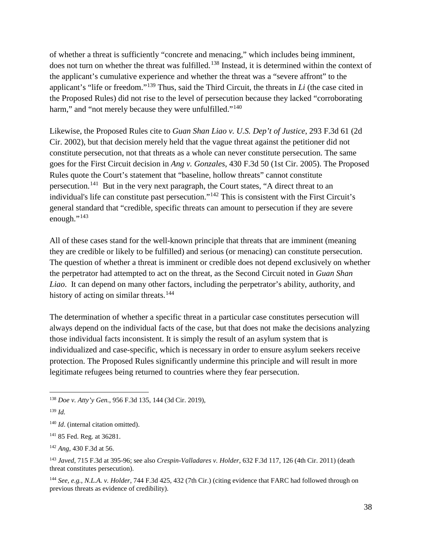of whether a threat is sufficiently "concrete and menacing," which includes being imminent, does not turn on whether the threat was fulfilled.<sup>[138](#page-37-0)</sup> Instead, it is determined within the context of the applicant's cumulative experience and whether the threat was a "severe affront" to the applicant's "life or freedom."[139](#page-37-1) Thus, said the Third Circuit, the threats in *Li* (the case cited in the Proposed Rules) did not rise to the level of persecution because they lacked "corroborating harm," and "not merely because they were unfulfilled."<sup>[140](#page-37-2)</sup>

Likewise, the Proposed Rules cite to *Guan Shan Liao v. U.S. Dep't of Justice*, 293 F.3d 61 (2d Cir. 2002), but that decision merely held that the vague threat against the petitioner did not constitute persecution, not that threats as a whole can never constitute persecution. The same goes for the First Circuit decision in *Ang v. Gonzales*, 430 F.3d 50 (1st Cir. 2005). The Proposed Rules quote the Court's statement that "baseline, hollow threats" cannot constitute persecution.[141](#page-37-3) But in the very next paragraph, the Court states, "A direct threat to an individual's life can constitute past persecution."[142](#page-37-4) This is consistent with the First Circuit's general standard that "credible, specific threats can amount to persecution if they are severe enough." $143$ 

All of these cases stand for the well-known principle that threats that are imminent (meaning they are credible or likely to be fulfilled) and serious (or menacing) can constitute persecution. The question of whether a threat is imminent or credible does not depend exclusively on whether the perpetrator had attempted to act on the threat, as the Second Circuit noted in *Guan Shan Liao*. It can depend on many other factors, including the perpetrator's ability, authority, and history of acting on similar threats.<sup>[144](#page-37-6)</sup>

The determination of whether a specific threat in a particular case constitutes persecution will always depend on the individual facts of the case, but that does not make the decisions analyzing those individual facts inconsistent. It is simply the result of an asylum system that is individualized and case-specific, which is necessary in order to ensure asylum seekers receive protection. The Proposed Rules significantly undermine this principle and will result in more legitimate refugees being returned to countries where they fear persecution.

<span id="page-37-0"></span> <sup>138</sup> *Doe v. Atty'y Gen.*, 956 F.3d 135, 144 (3d Cir. 2019),

<span id="page-37-1"></span><sup>139</sup> *Id.*

<span id="page-37-2"></span><sup>&</sup>lt;sup>140</sup> *Id.* (internal citation omitted).

<span id="page-37-3"></span><sup>141</sup> 85 Fed. Reg. at 36281.

<span id="page-37-4"></span><sup>142</sup> *Ang*, 430 F.3d at 56.

<span id="page-37-5"></span><sup>143</sup> *Javed*, 715 F.3d at 395-96; see also *Crespin-Valladares v. Holder*, 632 F.3d 117, 126 (4th Cir. 2011) (death threat constitutes persecution).

<span id="page-37-6"></span><sup>144</sup> *See, e.g.*, *N.L.A. v. Holder*, 744 F.3d 425, 432 (7th Cir.) (citing evidence that FARC had followed through on previous threats as evidence of credibility).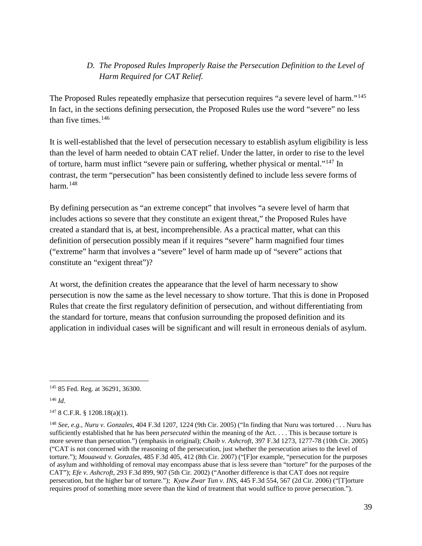## *D. The Proposed Rules Improperly Raise the Persecution Definition to the Level of Harm Required for CAT Relief.*

The Proposed Rules repeatedly emphasize that persecution requires "a severe level of harm."[145](#page-38-0)  In fact, in the sections defining persecution, the Proposed Rules use the word "severe" no less than five times. $146$ 

It is well-established that the level of persecution necessary to establish asylum eligibility is less than the level of harm needed to obtain CAT relief. Under the latter, in order to rise to the level of torture, harm must inflict "severe pain or suffering, whether physical or mental."[147](#page-38-2) In contrast, the term "persecution" has been consistently defined to include less severe forms of harm. $148$ 

By defining persecution as "an extreme concept" that involves "a severe level of harm that includes actions so severe that they constitute an exigent threat," the Proposed Rules have created a standard that is, at best, incomprehensible. As a practical matter, what can this definition of persecution possibly mean if it requires "severe" harm magnified four times ("extreme" harm that involves a "severe" level of harm made up of "severe" actions that constitute an "exigent threat")?

At worst, the definition creates the appearance that the level of harm necessary to show persecution is now the same as the level necessary to show torture. That this is done in Proposed Rules that create the first regulatory definition of persecution, and without differentiating from the standard for torture, means that confusion surrounding the proposed definition and its application in individual cases will be significant and will result in erroneous denials of asylum.

<span id="page-38-1"></span><sup>146</sup> *Id*.

<span id="page-38-0"></span> <sup>145</sup> 85 Fed. Reg. at 36291, 36300.

<span id="page-38-2"></span> $147$  8 C.F.R. § 1208.18(a)(1).

<span id="page-38-3"></span><sup>148</sup> *See, e.g.*, *Nuru v. Gonzales*, 404 F.3d 1207, 1224 (9th Cir. 2005) ("In finding that Nuru was tortured . . . Nuru has sufficiently established that he has been *persecuted* within the meaning of the Act. . . . This is because torture is more severe than persecution.") (emphasis in original); *Chaib v. Ashcroft*, 397 F.3d 1273, 1277-78 (10th Cir. 2005) ("CAT is not concerned with the reasoning of the persecution, just whether the persecution arises to the level of torture."); *Mouawad v. Gonzales*, 485 F.3d 405, 412 (8th Cir. 2007) ("[F]or example, "persecution for the purposes of asylum and withholding of removal may encompass abuse that is less severe than "torture" for the purposes of the CAT"); *Efe v. Ashcroft*, 293 F.3d 899, 907 (5th Cir. 2002) ("Another difference is that CAT does not require persecution, but the higher bar of torture."); *Kyaw Zwar Tun v. INS*, 445 F.3d 554, 567 (2d Cir. 2006) ("[T]orture requires proof of something more severe than the kind of treatment that would suffice to prove persecution.").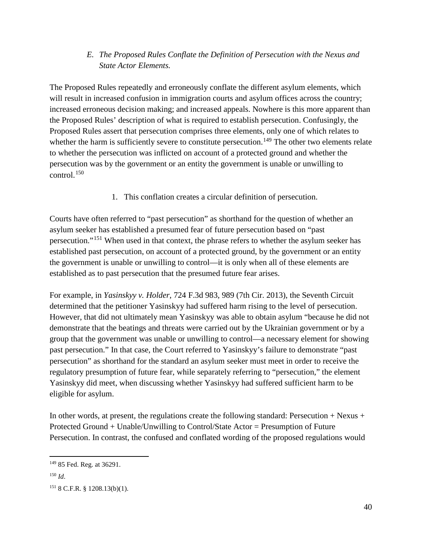#### *E. The Proposed Rules Conflate the Definition of Persecution with the Nexus and State Actor Elements.*

The Proposed Rules repeatedly and erroneously conflate the different asylum elements, which will result in increased confusion in immigration courts and asylum offices across the country; increased erroneous decision making; and increased appeals. Nowhere is this more apparent than the Proposed Rules' description of what is required to establish persecution. Confusingly, the Proposed Rules assert that persecution comprises three elements, only one of which relates to whether the harm is sufficiently severe to constitute persecution.<sup>[149](#page-39-0)</sup> The other two elements relate to whether the persecution was inflicted on account of a protected ground and whether the persecution was by the government or an entity the government is unable or unwilling to control. $150$ 

1. This conflation creates a circular definition of persecution.

Courts have often referred to "past persecution" as shorthand for the question of whether an asylum seeker has established a presumed fear of future persecution based on "past persecution."[151](#page-39-2) When used in that context, the phrase refers to whether the asylum seeker has established past persecution, on account of a protected ground, by the government or an entity the government is unable or unwilling to control—it is only when all of these elements are established as to past persecution that the presumed future fear arises.

For example, in *Yasinskyy v. Holder*, 724 F.3d 983, 989 (7th Cir. 2013), the Seventh Circuit determined that the petitioner Yasinskyy had suffered harm rising to the level of persecution. However, that did not ultimately mean Yasinskyy was able to obtain asylum "because he did not demonstrate that the beatings and threats were carried out by the Ukrainian government or by a group that the government was unable or unwilling to control—a necessary element for showing past persecution." In that case, the Court referred to Yasinskyy's failure to demonstrate "past persecution" as shorthand for the standard an asylum seeker must meet in order to receive the regulatory presumption of future fear, while separately referring to "persecution," the element Yasinskyy did meet, when discussing whether Yasinskyy had suffered sufficient harm to be eligible for asylum.

In other words, at present, the regulations create the following standard: Persecution + Nexus + Protected Ground + Unable/Unwilling to Control/State Actor = Presumption of Future Persecution. In contrast, the confused and conflated wording of the proposed regulations would

<span id="page-39-0"></span> <sup>149</sup> 85 Fed. Reg. at 36291.

<span id="page-39-1"></span><sup>150</sup> *Id*.

<span id="page-39-2"></span><sup>151</sup> 8 C.F.R. § 1208.13(b)(1).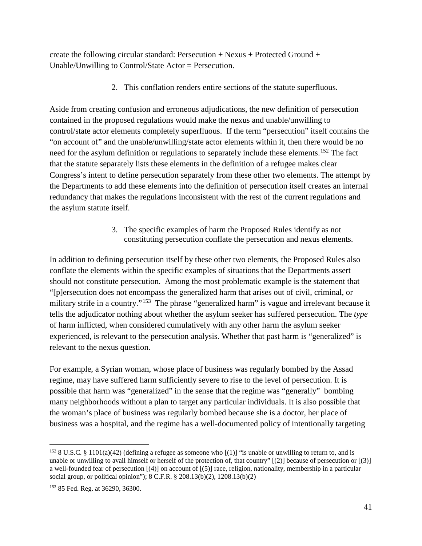create the following circular standard: Persecution  $+$  Nexus  $+$  Protected Ground  $+$ Unable/Unwilling to Control/State Actor = Persecution.

2. This conflation renders entire sections of the statute superfluous.

Aside from creating confusion and erroneous adjudications, the new definition of persecution contained in the proposed regulations would make the nexus and unable/unwilling to control/state actor elements completely superfluous. If the term "persecution" itself contains the "on account of" and the unable/unwilling/state actor elements within it, then there would be no need for the asylum definition or regulations to separately include these elements.<sup>[152](#page-40-0)</sup> The fact that the statute separately lists these elements in the definition of a refugee makes clear Congress's intent to define persecution separately from these other two elements. The attempt by the Departments to add these elements into the definition of persecution itself creates an internal redundancy that makes the regulations inconsistent with the rest of the current regulations and the asylum statute itself.

> 3. The specific examples of harm the Proposed Rules identify as not constituting persecution conflate the persecution and nexus elements.

In addition to defining persecution itself by these other two elements, the Proposed Rules also conflate the elements within the specific examples of situations that the Departments assert should not constitute persecution. Among the most problematic example is the statement that "[p]ersecution does not encompass the generalized harm that arises out of civil, criminal, or military strife in a country."[153](#page-40-1) The phrase "generalized harm" is vague and irrelevant because it tells the adjudicator nothing about whether the asylum seeker has suffered persecution. The *type* of harm inflicted, when considered cumulatively with any other harm the asylum seeker experienced, is relevant to the persecution analysis. Whether that past harm is "generalized" is relevant to the nexus question.

For example, a Syrian woman, whose place of business was regularly bombed by the Assad regime, may have suffered harm sufficiently severe to rise to the level of persecution. It is possible that harm was "generalized" in the sense that the regime was "generally" bombing many neighborhoods without a plan to target any particular individuals. It is also possible that the woman's place of business was regularly bombed because she is a doctor, her place of business was a hospital, and the regime has a well-documented policy of intentionally targeting

<span id="page-40-0"></span><sup>&</sup>lt;sup>152</sup> 8 U.S.C. § 1101(a)(42) (defining a refugee as someone who  $[(1)]$  "is unable or unwilling to return to, and is unable or unwilling to avail himself or herself of the protection of, that country"  $[2]$  because of persecution or  $[3]$ a well-founded fear of persecution [(4)] on account of [(5)] race, religion, nationality, membership in a particular social group, or political opinion"); 8 C.F.R. § 208.13(b)(2), 1208.13(b)(2)

<span id="page-40-1"></span><sup>153</sup> 85 Fed. Reg. at 36290, 36300.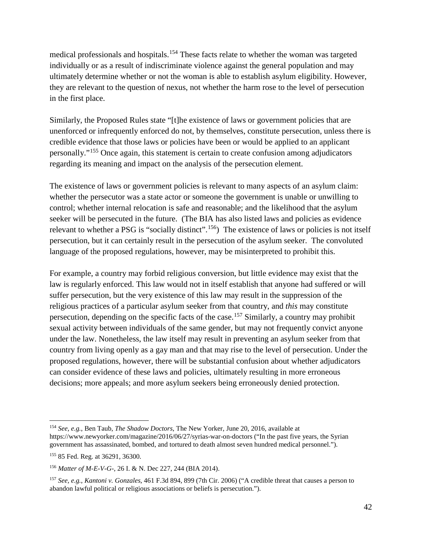medical professionals and hospitals.<sup>[154](#page-41-0)</sup> These facts relate to whether the woman was targeted individually or as a result of indiscriminate violence against the general population and may ultimately determine whether or not the woman is able to establish asylum eligibility. However, they are relevant to the question of nexus, not whether the harm rose to the level of persecution in the first place.

Similarly, the Proposed Rules state "[t]he existence of laws or government policies that are unenforced or infrequently enforced do not, by themselves, constitute persecution, unless there is credible evidence that those laws or policies have been or would be applied to an applicant personally."[155](#page-41-1) Once again, this statement is certain to create confusion among adjudicators regarding its meaning and impact on the analysis of the persecution element.

The existence of laws or government policies is relevant to many aspects of an asylum claim: whether the persecutor was a state actor or someone the government is unable or unwilling to control; whether internal relocation is safe and reasonable; and the likelihood that the asylum seeker will be persecuted in the future. (The BIA has also listed laws and policies as evidence relevant to whether a PSG is "socially distinct".<sup>[156](#page-41-2)</sup>) The existence of laws or policies is not itself persecution, but it can certainly result in the persecution of the asylum seeker. The convoluted language of the proposed regulations, however, may be misinterpreted to prohibit this.

For example, a country may forbid religious conversion, but little evidence may exist that the law is regularly enforced. This law would not in itself establish that anyone had suffered or will suffer persecution, but the very existence of this law may result in the suppression of the religious practices of a particular asylum seeker from that country, and *this* may constitute persecution, depending on the specific facts of the case.<sup>[157](#page-41-3)</sup> Similarly, a country may prohibit sexual activity between individuals of the same gender, but may not frequently convict anyone under the law. Nonetheless, the law itself may result in preventing an asylum seeker from that country from living openly as a gay man and that may rise to the level of persecution. Under the proposed regulations, however, there will be substantial confusion about whether adjudicators can consider evidence of these laws and policies, ultimately resulting in more erroneous decisions; more appeals; and more asylum seekers being erroneously denied protection.

<span id="page-41-0"></span> <sup>154</sup> *See, e.g.*, Ben Taub, *The Shadow Doctors*, The New Yorker, June 20, 2016, available at <https://www.newyorker.com/magazine/2016/06/27/syrias-war-on-doctors> ("In the past five years, the Syrian government has assassinated, bombed, and tortured to death almost seven hundred medical personnel.").

<span id="page-41-1"></span><sup>155</sup> 85 Fed. Reg. at 36291, 36300.

<span id="page-41-2"></span><sup>156</sup> *Matter of M-E-V-G-*, 26 I. & N. Dec 227, 244 (BIA 2014).

<span id="page-41-3"></span><sup>157</sup> *See, e.g.*, *Kantoni v. Gonzales*, 461 F.3d 894, 899 (7th Cir. 2006) ("A credible threat that causes a person to abandon lawful political or religious associations or beliefs is persecution.").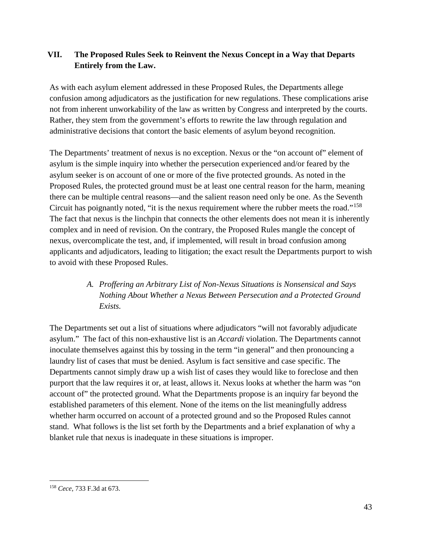### **VII. The Proposed Rules Seek to Reinvent the Nexus Concept in a Way that Departs Entirely from the Law.**

As with each asylum element addressed in these Proposed Rules, the Departments allege confusion among adjudicators as the justification for new regulations. These complications arise not from inherent unworkability of the law as written by Congress and interpreted by the courts. Rather, they stem from the government's efforts to rewrite the law through regulation and administrative decisions that contort the basic elements of asylum beyond recognition.

The Departments' treatment of nexus is no exception. Nexus or the "on account of" element of asylum is the simple inquiry into whether the persecution experienced and/or feared by the asylum seeker is on account of one or more of the five protected grounds. As noted in the Proposed Rules, the protected ground must be at least one central reason for the harm, meaning there can be multiple central reasons—and the salient reason need only be one. As the Seventh Circuit has poignantly noted, "it is the nexus requirement where the rubber meets the road."[158](#page-42-0) The fact that nexus is the linchpin that connects the other elements does not mean it is inherently complex and in need of revision. On the contrary, the Proposed Rules mangle the concept of nexus, overcomplicate the test, and, if implemented, will result in broad confusion among applicants and adjudicators, leading to litigation; the exact result the Departments purport to wish to avoid with these Proposed Rules.

# *A. Proffering an Arbitrary List of Non-Nexus Situations is Nonsensical and Says Nothing About Whether a Nexus Between Persecution and a Protected Ground Exists.*

The Departments set out a list of situations where adjudicators "will not favorably adjudicate asylum." The fact of this non-exhaustive list is an *Accardi* violation. The Departments cannot inoculate themselves against this by tossing in the term "in general" and then pronouncing a laundry list of cases that must be denied. Asylum is fact sensitive and case specific. The Departments cannot simply draw up a wish list of cases they would like to foreclose and then purport that the law requires it or, at least, allows it. Nexus looks at whether the harm was "on account of" the protected ground. What the Departments propose is an inquiry far beyond the established parameters of this element. None of the items on the list meaningfully address whether harm occurred on account of a protected ground and so the Proposed Rules cannot stand. What follows is the list set forth by the Departments and a brief explanation of why a blanket rule that nexus is inadequate in these situations is improper.

<span id="page-42-0"></span> <sup>158</sup> *Cece*, 733 F.3d at 673.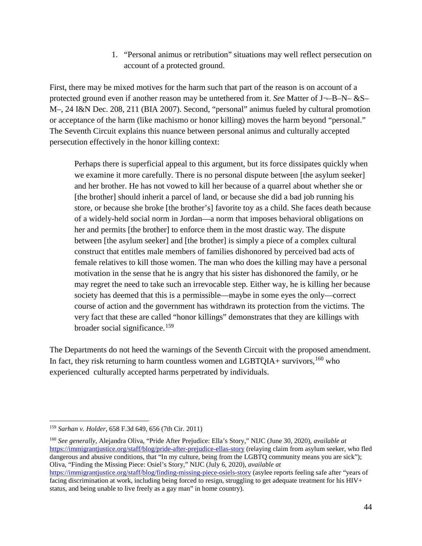1. "Personal animus or retribution" situations may well reflect persecution on account of a protected ground.

First, there may be mixed motives for the harm such that part of the reason is on account of a protected ground even if another reason may be untethered from it. *See* Matter of J¬–B–N– &S– M–, 24 I&N Dec. 208, 211 (BIA 2007). Second, "personal" animus fueled by cultural promotion or acceptance of the harm (like machismo or honor killing) moves the harm beyond "personal." The Seventh Circuit explains this nuance between personal animus and culturally accepted persecution effectively in the honor killing context:

Perhaps there is superficial appeal to this argument, but its force dissipates quickly when we examine it more carefully. There is no personal dispute between [the asylum seeker] and her brother. He has not vowed to kill her because of a quarrel about whether she or [the brother] should inherit a parcel of land, or because she did a bad job running his store, or because she broke [the brother's] favorite toy as a child. She faces death because of a widely-held social norm in Jordan—a norm that imposes behavioral obligations on her and permits [the brother] to enforce them in the most drastic way. The dispute between [the asylum seeker] and [the brother] is simply a piece of a complex cultural construct that entitles male members of families dishonored by perceived bad acts of female relatives to kill those women. The man who does the killing may have a personal motivation in the sense that he is angry that his sister has dishonored the family, or he may regret the need to take such an irrevocable step. Either way, he is killing her because society has deemed that this is a permissible—maybe in some eyes the only—correct course of action and the government has withdrawn its protection from the victims. The very fact that these are called "honor killings" demonstrates that they are killings with broader social significance.<sup>[159](#page-43-0)</sup>

The Departments do not heed the warnings of the Seventh Circuit with the proposed amendment. In fact, they risk returning to harm countless women and LGBTQIA+ survivors, $160$  who experienced culturally accepted harms perpetrated by individuals.

<span id="page-43-0"></span> <sup>159</sup> *Sarhan v. Holder*, 658 F.3d 649, 656 (7th Cir. 2011)

<span id="page-43-1"></span><sup>160</sup> *See generally*, Alejandra Oliva, "Pride After Prejudice: Ella's Story," NIJC (June 30, 2020), *available at*  <https://immigrantjustice.org/staff/blog/pride-after-prejudice-ellas-story> (relaying claim from asylum seeker, who fled dangerous and abusive conditions, that "In my culture, being from the LGBTQ community means you are sick"); Oliva, "Finding the Missing Piece: Osiel's Story," NIJC (July 6, 2020), *available at* <https://immigrantjustice.org/staff/blog/finding-missing-piece-osiels-story> (asylee reports feeling safe after "years of facing discrimination at work, including being forced to resign, struggling to get adequate treatment for his HIV+

status, and being unable to live freely as a gay man" in home country).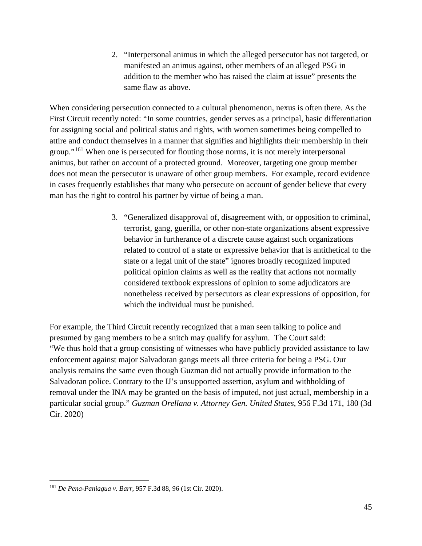2. "Interpersonal animus in which the alleged persecutor has not targeted, or manifested an animus against, other members of an alleged PSG in addition to the member who has raised the claim at issue" presents the same flaw as above.

When considering persecution connected to a cultural phenomenon, nexus is often there. As the First Circuit recently noted: "In some countries, gender serves as a principal, basic differentiation for assigning social and political status and rights, with women sometimes being compelled to attire and conduct themselves in a manner that signifies and highlights their membership in their group."[161](#page-44-0) When one is persecuted for flouting those norms, it is not merely interpersonal animus, but rather on account of a protected ground. Moreover, targeting one group member does not mean the persecutor is unaware of other group members. For example, record evidence in cases frequently establishes that many who persecute on account of gender believe that every man has the right to control his partner by virtue of being a man.

> 3. "Generalized disapproval of, disagreement with, or opposition to criminal, terrorist, gang, guerilla, or other non-state organizations absent expressive behavior in furtherance of a discrete cause against such organizations related to control of a state or expressive behavior that is antithetical to the state or a legal unit of the state" ignores broadly recognized imputed political opinion claims as well as the reality that actions not normally considered textbook expressions of opinion to some adjudicators are nonetheless received by persecutors as clear expressions of opposition, for which the individual must be punished.

For example, the Third Circuit recently recognized that a man seen talking to police and presumed by gang members to be a snitch may qualify for asylum. The Court said: "We thus hold that a group consisting of witnesses who have publicly provided assistance to law enforcement against major Salvadoran gangs meets all three criteria for being a PSG. Our analysis remains the same even though Guzman did not actually provide information to the Salvadoran police. Contrary to the IJ's unsupported assertion, asylum and withholding of removal under the INA may be granted on the basis of imputed, not just actual, membership in a particular social group." *Guzman Orellana v. Attorney Gen. United States*, 956 F.3d 171, 180 (3d Cir. 2020)

<span id="page-44-0"></span> <sup>161</sup> *De Pena-Paniagua v. Barr*, 957 F.3d 88, 96 (1st Cir. 2020).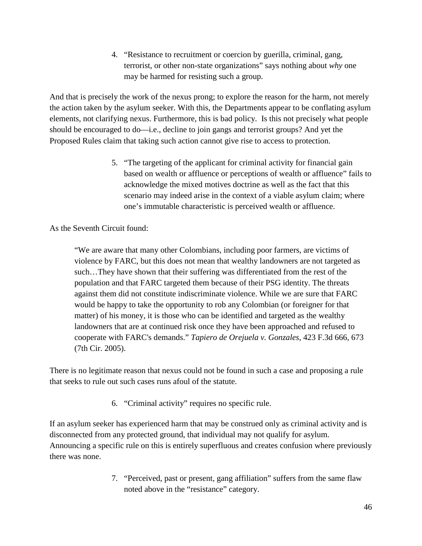4. "Resistance to recruitment or coercion by guerilla, criminal, gang, terrorist, or other non-state organizations" says nothing about *why* one may be harmed for resisting such a group.

And that is precisely the work of the nexus prong; to explore the reason for the harm, not merely the action taken by the asylum seeker. With this, the Departments appear to be conflating asylum elements, not clarifying nexus. Furthermore, this is bad policy. Is this not precisely what people should be encouraged to do—i.e., decline to join gangs and terrorist groups? And yet the Proposed Rules claim that taking such action cannot give rise to access to protection.

> 5. "The targeting of the applicant for criminal activity for financial gain based on wealth or affluence or perceptions of wealth or affluence" fails to acknowledge the mixed motives doctrine as well as the fact that this scenario may indeed arise in the context of a viable asylum claim; where one's immutable characteristic is perceived wealth or affluence.

As the Seventh Circuit found:

"We are aware that many other Colombians, including poor farmers, are victims of violence by FARC, but this does not mean that wealthy landowners are not targeted as such…They have shown that their suffering was differentiated from the rest of the population and that FARC targeted them because of their PSG identity. The threats against them did not constitute indiscriminate violence. While we are sure that FARC would be happy to take the opportunity to rob any Colombian (or foreigner for that matter) of his money, it is those who can be identified and targeted as the wealthy landowners that are at continued risk once they have been approached and refused to cooperate with FARC's demands." *Tapiero de Orejuela v. Gonzales*, 423 F.3d 666, 673 (7th Cir. 2005).

There is no legitimate reason that nexus could not be found in such a case and proposing a rule that seeks to rule out such cases runs afoul of the statute.

6. "Criminal activity" requires no specific rule.

If an asylum seeker has experienced harm that may be construed only as criminal activity and is disconnected from any protected ground, that individual may not qualify for asylum. Announcing a specific rule on this is entirely superfluous and creates confusion where previously there was none.

> 7. "Perceived, past or present, gang affiliation" suffers from the same flaw noted above in the "resistance" category.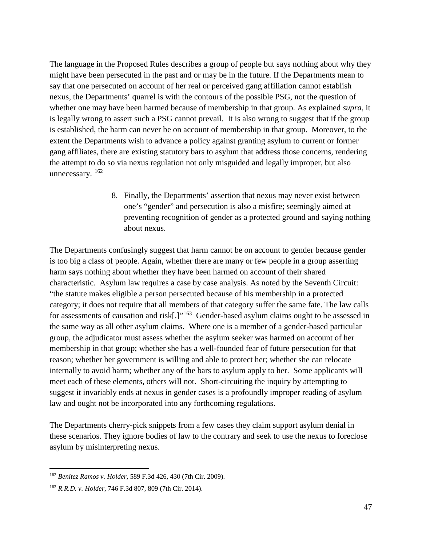The language in the Proposed Rules describes a group of people but says nothing about why they might have been persecuted in the past and or may be in the future. If the Departments mean to say that one persecuted on account of her real or perceived gang affiliation cannot establish nexus, the Departments' quarrel is with the contours of the possible PSG, not the question of whether one may have been harmed because of membership in that group. As explained *supra*, it is legally wrong to assert such a PSG cannot prevail. It is also wrong to suggest that if the group is established, the harm can never be on account of membership in that group. Moreover, to the extent the Departments wish to advance a policy against granting asylum to current or former gang affiliates, there are existing statutory bars to asylum that address those concerns, rendering the attempt to do so via nexus regulation not only misguided and legally improper, but also unnecessary.  $162$ 

> 8. Finally, the Departments' assertion that nexus may never exist between one's "gender" and persecution is also a misfire; seemingly aimed at preventing recognition of gender as a protected ground and saying nothing about nexus.

The Departments confusingly suggest that harm cannot be on account to gender because gender is too big a class of people. Again, whether there are many or few people in a group asserting harm says nothing about whether they have been harmed on account of their shared characteristic. Asylum law requires a case by case analysis. As noted by the Seventh Circuit: "the statute makes eligible a person persecuted because of his membership in a protected category; it does not require that all members of that category suffer the same fate. The law calls for assessments of causation and risk[.]"<sup>163</sup> Gender-based asylum claims ought to be assessed in the same way as all other asylum claims. Where one is a member of a gender-based particular group, the adjudicator must assess whether the asylum seeker was harmed on account of her membership in that group; whether she has a well-founded fear of future persecution for that reason; whether her government is willing and able to protect her; whether she can relocate internally to avoid harm; whether any of the bars to asylum apply to her. Some applicants will meet each of these elements, others will not. Short-circuiting the inquiry by attempting to suggest it invariably ends at nexus in gender cases is a profoundly improper reading of asylum law and ought not be incorporated into any forthcoming regulations.

The Departments cherry-pick snippets from a few cases they claim support asylum denial in these scenarios. They ignore bodies of law to the contrary and seek to use the nexus to foreclose asylum by misinterpreting nexus.

<span id="page-46-0"></span> <sup>162</sup> *Benitez Ramos v. Holder*, 589 F.3d 426, 430 (7th Cir. 2009).

<span id="page-46-1"></span><sup>163</sup> *R.R.D. v. Holder*, 746 F.3d 807, 809 (7th Cir. 2014).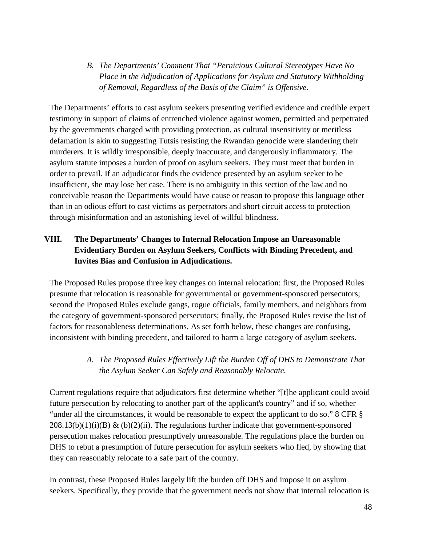*B. The Departments' Comment That "Pernicious Cultural Stereotypes Have No Place in the Adjudication of Applications for Asylum and Statutory Withholding of Removal, Regardless of the Basis of the Claim" is Offensive.*

The Departments' efforts to cast asylum seekers presenting verified evidence and credible expert testimony in support of claims of entrenched violence against women, permitted and perpetrated by the governments charged with providing protection, as cultural insensitivity or meritless defamation is akin to suggesting Tutsis resisting the Rwandan genocide were slandering their murderers. It is wildly irresponsible, deeply inaccurate, and dangerously inflammatory. The asylum statute imposes a burden of proof on asylum seekers. They must meet that burden in order to prevail. If an adjudicator finds the evidence presented by an asylum seeker to be insufficient, she may lose her case. There is no ambiguity in this section of the law and no conceivable reason the Departments would have cause or reason to propose this language other than in an odious effort to cast victims as perpetrators and short circuit access to protection through misinformation and an astonishing level of willful blindness.

# **VIII. The Departments' Changes to Internal Relocation Impose an Unreasonable Evidentiary Burden on Asylum Seekers, Conflicts with Binding Precedent, and Invites Bias and Confusion in Adjudications.**

The Proposed Rules propose three key changes on internal relocation: first, the Proposed Rules presume that relocation is reasonable for governmental or government-sponsored persecutors; second the Proposed Rules exclude gangs, rogue officials, family members, and neighbors from the category of government-sponsored persecutors; finally, the Proposed Rules revise the list of factors for reasonableness determinations. As set forth below, these changes are confusing, inconsistent with binding precedent, and tailored to harm a large category of asylum seekers.

## *A. The Proposed Rules Effectively Lift the Burden Off of DHS to Demonstrate That the Asylum Seeker Can Safely and Reasonably Relocate.*

Current regulations require that adjudicators first determine whether "[t]he applicant could avoid future persecution by relocating to another part of the applicant's country" and if so, whether "under all the circumstances, it would be reasonable to expect the applicant to do so." 8 CFR §  $208.13(b)(1)(i)(B)$  &  $(b)(2)(ii)$ . The regulations further indicate that government-sponsored persecution makes relocation presumptively unreasonable. The regulations place the burden on DHS to rebut a presumption of future persecution for asylum seekers who fled, by showing that they can reasonably relocate to a safe part of the country.

In contrast, these Proposed Rules largely lift the burden off DHS and impose it on asylum seekers. Specifically, they provide that the government needs not show that internal relocation is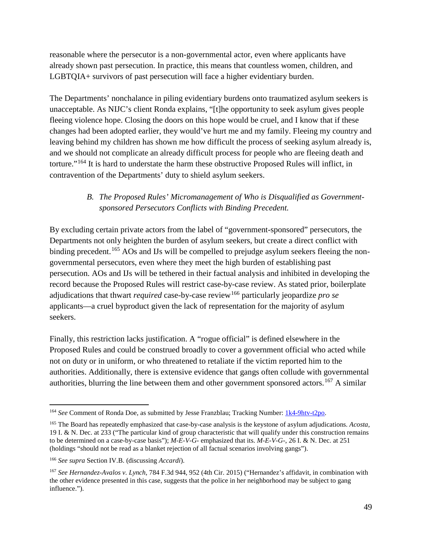reasonable where the persecutor is a non-governmental actor, even where applicants have already shown past persecution. In practice, this means that countless women, children, and LGBTQIA+ survivors of past persecution will face a higher evidentiary burden.

The Departments' nonchalance in piling evidentiary burdens onto traumatized asylum seekers is unacceptable. As NIJC's client Ronda explains, "[t]he opportunity to seek asylum gives people fleeing violence hope. Closing the doors on this hope would be cruel, and I know that if these changes had been adopted earlier, they would've hurt me and my family. Fleeing my country and leaving behind my children has shown me how difficult the process of seeking asylum already is, and we should not complicate an already difficult process for people who are fleeing death and torture."[164](#page-48-0) It is hard to understate the harm these obstructive Proposed Rules will inflict, in contravention of the Departments' duty to shield asylum seekers.

#### *B. The Proposed Rules' Micromanagement of Who is Disqualified as Governmentsponsored Persecutors Conflicts with Binding Precedent.*

By excluding certain private actors from the label of "government-sponsored" persecutors, the Departments not only heighten the burden of asylum seekers, but create a direct conflict with binding precedent.<sup>[165](#page-48-1)</sup> AOs and IJs will be compelled to prejudge asylum seekers fleeing the nongovernmental persecutors, even where they meet the high burden of establishing past persecution. AOs and IJs will be tethered in their factual analysis and inhibited in developing the record because the Proposed Rules will restrict case-by-case review. As stated prior, boilerplate adjudications that thwart *required* case-by-case review<sup>[166](#page-48-2)</sup> particularly jeopardize *pro se* applicants—a cruel byproduct given the lack of representation for the majority of asylum seekers.

Finally, this restriction lacks justification. A "rogue official" is defined elsewhere in the Proposed Rules and could be construed broadly to cover a government official who acted while not on duty or in uniform, or who threatened to retaliate if the victim reported him to the authorities. Additionally, there is extensive evidence that gangs often collude with governmental authorities, blurring the line between them and other government sponsored actors.<sup>[167](#page-48-3)</sup> A similar

<span id="page-48-0"></span> <sup>164</sup> *See* Comment of Ronda Doe, as submitted by Jesse Franzblau; Tracking Number: [1k4-9htv-t2po.](https://www.regulations.gov/searchResults?rpp=25&po=0&s=1k4-9htv-t2po)

<span id="page-48-1"></span><sup>165</sup> The Board has repeatedly emphasized that case-by-case analysis is the keystone of asylum adjudications. *Acosta*, 19 I. & N. Dec. at 233 ("The particular kind of group characteristic that will qualify under this construction remains to be determined on a case-by-case basis"); *M-E-V-G-* emphasized that its. *M-E-V-G-*, 26 I. & N. Dec. at 251 (holdings "should not be read as a blanket rejection of all factual scenarios involving gangs").

<span id="page-48-2"></span><sup>166</sup> *See supra* Section IV.B. (discussing *Accardi*).

<span id="page-48-3"></span><sup>167</sup> *See Hernandez-Avalos v. Lynch*, 784 F.3d 944, 952 (4th Cir. 2015) ("Hernandez's affidavit, in combination with the other evidence presented in this case, suggests that the police in her neighborhood may be subject to gang influence.").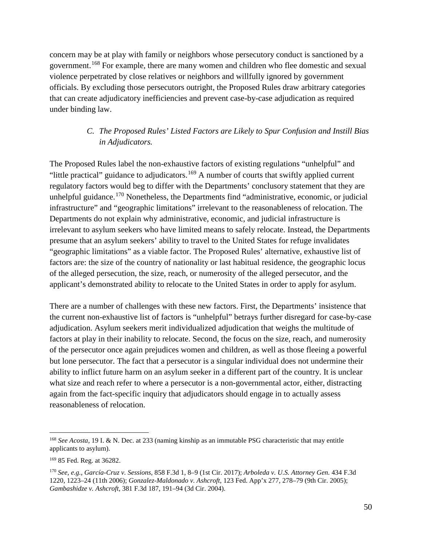concern may be at play with family or neighbors whose persecutory conduct is sanctioned by a government.[168](#page-49-0) For example, there are many women and children who flee domestic and sexual violence perpetrated by close relatives or neighbors and willfully ignored by government officials. By excluding those persecutors outright, the Proposed Rules draw arbitrary categories that can create adjudicatory inefficiencies and prevent case-by-case adjudication as required under binding law.

#### *C. The Proposed Rules' Listed Factors are Likely to Spur Confusion and Instill Bias in Adjudicators.*

The Proposed Rules label the non-exhaustive factors of existing regulations "unhelpful" and "little practical" guidance to adjudicators.<sup>[169](#page-49-1)</sup> A number of courts that swiftly applied current regulatory factors would beg to differ with the Departments' conclusory statement that they are unhelpful guidance.<sup>[170](#page-49-2)</sup> Nonetheless, the Departments find "administrative, economic, or judicial infrastructure" and "geographic limitations" irrelevant to the reasonableness of relocation. The Departments do not explain why administrative, economic, and judicial infrastructure is irrelevant to asylum seekers who have limited means to safely relocate. Instead, the Departments presume that an asylum seekers' ability to travel to the United States for refuge invalidates "geographic limitations" as a viable factor. The Proposed Rules' alternative, exhaustive list of factors are: the size of the country of nationality or last habitual residence, the geographic locus of the alleged persecution, the size, reach, or numerosity of the alleged persecutor, and the applicant's demonstrated ability to relocate to the United States in order to apply for asylum.

There are a number of challenges with these new factors. First, the Departments' insistence that the current non-exhaustive list of factors is "unhelpful" betrays further disregard for case-by-case adjudication. Asylum seekers merit individualized adjudication that weighs the multitude of factors at play in their inability to relocate. Second, the focus on the size, reach, and numerosity of the persecutor once again prejudices women and children, as well as those fleeing a powerful but lone persecutor. The fact that a persecutor is a singular individual does not undermine their ability to inflict future harm on an asylum seeker in a different part of the country. It is unclear what size and reach refer to where a persecutor is a non-governmental actor, either, distracting again from the fact-specific inquiry that adjudicators should engage in to actually assess reasonableness of relocation.

<span id="page-49-0"></span> <sup>168</sup> *See Acosta*, 19 I. & N. Dec. at 233 (naming kinship as an immutable PSG characteristic that may entitle applicants to asylum).

<span id="page-49-1"></span><sup>169</sup> 85 Fed. Reg. at 36282.

<span id="page-49-2"></span><sup>170</sup> *See, e.g.*, *García-Cruz v. Sessions*, 858 F.3d 1, 8–9 (1st Cir. 2017); *Arboleda v. U.S. Attorney Gen.* 434 F.3d 1220, 1223–24 (11th 2006); *Gonzalez-Maldonado v. Ashcroft*, 123 Fed. App'x 277, 278–79 (9th Cir. 2005); *Gambashidze v. Ashcroft*, 381 F.3d 187, 191–94 (3d Cir. 2004).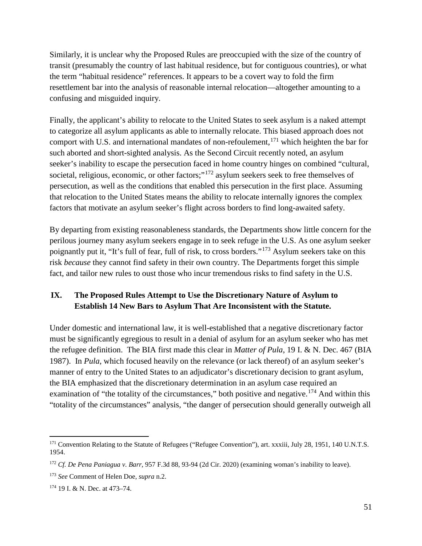Similarly, it is unclear why the Proposed Rules are preoccupied with the size of the country of transit (presumably the country of last habitual residence, but for contiguous countries), or what the term "habitual residence" references. It appears to be a covert way to fold the firm resettlement bar into the analysis of reasonable internal relocation—altogether amounting to a confusing and misguided inquiry.

Finally, the applicant's ability to relocate to the United States to seek asylum is a naked attempt to categorize all asylum applicants as able to internally relocate. This biased approach does not comport with U.S. and international mandates of non-refoulement,  $171$  which heighten the bar for such aborted and short-sighted analysis. As the Second Circuit recently noted, an asylum seeker's inability to escape the persecution faced in home country hinges on combined "cultural, societal, religious, economic, or other factors;"<sup>[172](#page-50-1)</sup> asylum seekers seek to free themselves of persecution, as well as the conditions that enabled this persecution in the first place. Assuming that relocation to the United States means the ability to relocate internally ignores the complex factors that motivate an asylum seeker's flight across borders to find long-awaited safety.

By departing from existing reasonableness standards, the Departments show little concern for the perilous journey many asylum seekers engage in to seek refuge in the U.S. As one asylum seeker poignantly put it, "It's full of fear, full of risk, to cross borders."[173](#page-50-2) Asylum seekers take on this risk *because* they cannot find safety in their own country. The Departments forget this simple fact, and tailor new rules to oust those who incur tremendous risks to find safety in the U.S.

## **IX. The Proposed Rules Attempt to Use the Discretionary Nature of Asylum to Establish 14 New Bars to Asylum That Are Inconsistent with the Statute.**

Under domestic and international law, it is well-established that a negative discretionary factor must be significantly egregious to result in a denial of asylum for an asylum seeker who has met the refugee definition. The BIA first made this clear in *Matter of Pula*, 19 I. & N. Dec. 467 (BIA 1987). In *Pula*, which focused heavily on the relevance (or lack thereof) of an asylum seeker's manner of entry to the United States to an adjudicator's discretionary decision to grant asylum, the BIA emphasized that the discretionary determination in an asylum case required an examination of "the totality of the circumstances," both positive and negative.<sup>[174](#page-50-3)</sup> And within this "totality of the circumstances" analysis, "the danger of persecution should generally outweigh all

<span id="page-50-0"></span><sup>&</sup>lt;sup>171</sup> Convention Relating to the Statute of Refugees ("Refugee Convention"), art. xxxiii, July 28, 1951, 140 U.N.T.S. 1954.

<span id="page-50-1"></span><sup>172</sup> *Cf. De Pena Paniagua v. Barr*, 957 F.3d 88, 93-94 (2d Cir. 2020) (examining woman's inability to leave).

<span id="page-50-2"></span><sup>173</sup> *See* Comment of Helen Doe, *supra* n.2.

<span id="page-50-3"></span><sup>174</sup> 19 I. & N. Dec. at 473–74.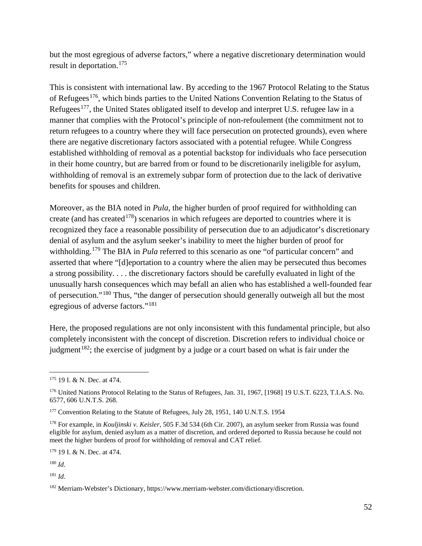but the most egregious of adverse factors," where a negative discretionary determination would result in deportation.[175](#page-51-0)

This is consistent with international law. By acceding to the 1967 Protocol Relating to the Status of Refugees<sup>[176](#page-51-1)</sup>, which binds parties to the United Nations Convention Relating to the Status of Refugees<sup>[177](#page-51-2)</sup>, the United States obligated itself to develop and interpret U.S. refugee law in a manner that complies with the Protocol's principle of non-refoulement (the commitment not to return refugees to a country where they will face persecution on protected grounds), even where there are negative discretionary factors associated with a potential refugee. While Congress established withholding of removal as a potential backstop for individuals who face persecution in their home country, but are barred from or found to be discretionarily ineligible for asylum, withholding of removal is an extremely subpar form of protection due to the lack of derivative benefits for spouses and children.

Moreover, as the BIA noted in *Pula*, the higher burden of proof required for withholding can create (and has created<sup>[178](#page-51-3)</sup>) scenarios in which refugees are deported to countries where it is recognized they face a reasonable possibility of persecution due to an adjudicator's discretionary denial of asylum and the asylum seeker's inability to meet the higher burden of proof for withholding.<sup>[179](#page-51-4)</sup> The BIA in *Pula* referred to this scenario as one "of particular concern" and asserted that where "[d]eportation to a country where the alien may be persecuted thus becomes a strong possibility. . . . the discretionary factors should be carefully evaluated in light of the unusually harsh consequences which may befall an alien who has established a well-founded fear of persecution."[180](#page-51-5) Thus, "the danger of persecution should generally outweigh all but the most egregious of adverse factors."[181](#page-51-6)

Here, the proposed regulations are not only inconsistent with this fundamental principle, but also completely inconsistent with the concept of discretion. Discretion refers to individual choice or judgment<sup>[182](#page-51-7)</sup>; the exercise of judgment by a judge or a court based on what is fair under the

<span id="page-51-4"></span><sup>179</sup> 19 I. & N. Dec. at 474.

<span id="page-51-5"></span><sup>180</sup> *Id*.

<span id="page-51-6"></span><sup>181</sup> *Id*.

<span id="page-51-0"></span> <sup>175</sup> 19 I. & N. Dec. at 474.

<span id="page-51-1"></span><sup>176</sup> United Nations Protocol Relating to the Status of Refugees, Jan. 31, 1967, [1968] 19 U.S.T. 6223, T.I.A.S. No. 6577, 606 U.N.T.S. 268.

<span id="page-51-2"></span><sup>&</sup>lt;sup>177</sup> Convention Relating to the Statute of Refugees, July 28, 1951, 140 U.N.T.S. 1954

<span id="page-51-3"></span><sup>178</sup> For example, in *Kouljinski v. Keisler*, 505 F.3d 534 (6th Cir. 2007), an asylum seeker from Russia was found eligible for asylum, denied asylum as a matter of discretion, and ordered deported to Russia because he could not meet the higher burdens of proof for withholding of removal and CAT relief.

<span id="page-51-7"></span><sup>182</sup> Merriam-Webster's Dictionary, [https://www.merriam-webster.com/dictionary/discretion.](https://www.merriam-webster.com/dictionary/discretion)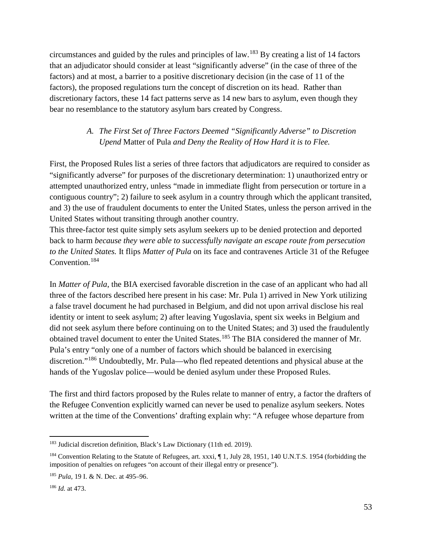circumstances and guided by the rules and principles of law.<sup>[183](#page-52-0)</sup> By creating a list of 14 factors that an adjudicator should consider at least "significantly adverse" (in the case of three of the factors) and at most, a barrier to a positive discretionary decision (in the case of 11 of the factors), the proposed regulations turn the concept of discretion on its head. Rather than discretionary factors, these 14 fact patterns serve as 14 new bars to asylum, even though they bear no resemblance to the statutory asylum bars created by Congress.

#### *A. The First Set of Three Factors Deemed "Significantly Adverse" to Discretion Upend* Matter of Pula *and Deny the Reality of How Hard it is to Flee.*

First, the Proposed Rules list a series of three factors that adjudicators are required to consider as "significantly adverse" for purposes of the discretionary determination: 1) unauthorized entry or attempted unauthorized entry, unless "made in immediate flight from persecution or torture in a contiguous country"; 2) failure to seek asylum in a country through which the applicant transited, and 3) the use of fraudulent documents to enter the United States, unless the person arrived in the United States without transiting through another country.

This three-factor test quite simply sets asylum seekers up to be denied protection and deported back to harm *because they were able to successfully navigate an escape route from persecution to the United States.* It flips *Matter of Pula* on its face and contravenes Article 31 of the Refugee Convention.[184](#page-52-1) 

In *Matter of Pula*, the BIA exercised favorable discretion in the case of an applicant who had all three of the factors described here present in his case: Mr. Pula 1) arrived in New York utilizing a false travel document he had purchased in Belgium, and did not upon arrival disclose his real identity or intent to seek asylum; 2) after leaving Yugoslavia, spent six weeks in Belgium and did not seek asylum there before continuing on to the United States; and 3) used the fraudulently obtained travel document to enter the United States.<sup>[185](#page-52-2)</sup> The BIA considered the manner of Mr. Pula's entry "only one of a number of factors which should be balanced in exercising discretion."<sup>[186](#page-52-3)</sup> Undoubtedly, Mr. Pula—who fled repeated detentions and physical abuse at the hands of the Yugoslav police—would be denied asylum under these Proposed Rules.

The first and third factors proposed by the Rules relate to manner of entry, a factor the drafters of the Refugee Convention explicitly warned can never be used to penalize asylum seekers. Notes written at the time of the Conventions' drafting explain why: "A refugee whose departure from

<span id="page-52-0"></span><sup>&</sup>lt;sup>183</sup> Judicial discretion definition, Black's Law Dictionary (11th ed. 2019).

<span id="page-52-1"></span><sup>&</sup>lt;sup>184</sup> Convention Relating to the Statute of Refugees, art. xxxi, ¶ 1, July 28, 1951, 140 U.N.T.S. 1954 (forbidding the imposition of penalties on refugees "on account of their illegal entry or presence").

<span id="page-52-2"></span><sup>185</sup> *Pula*, 19 I. & N. Dec. at 495–96.

<span id="page-52-3"></span><sup>186</sup> *Id.* at 473.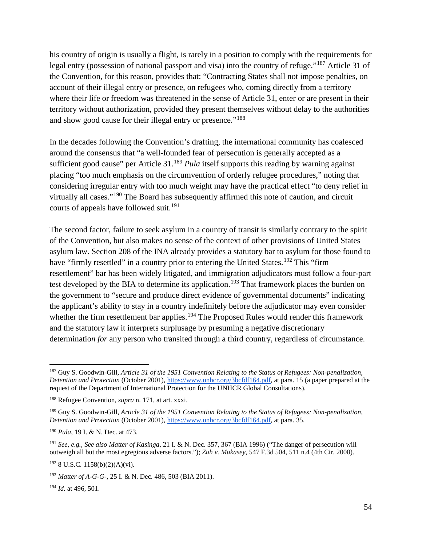his country of origin is usually a flight, is rarely in a position to comply with the requirements for legal entry (possession of national passport and visa) into the country of refuge."[187](#page-53-0) Article 31 of the Convention, for this reason, provides that: "Contracting States shall not impose penalties, on account of their illegal entry or presence, on refugees who, coming directly from a territory where their life or freedom was threatened in the sense of Article 31, enter or are present in their territory without authorization, provided they present themselves without delay to the authorities and show good cause for their illegal entry or presence."<sup>[188](#page-53-1)</sup>

In the decades following the Convention's drafting, the international community has coalesced around the consensus that "a well-founded fear of persecution is generally accepted as a sufficient good cause" per Article 31.<sup>[189](#page-53-2)</sup> *Pula* itself supports this reading by warning against placing "too much emphasis on the circumvention of orderly refugee procedures," noting that considering irregular entry with too much weight may have the practical effect "to deny relief in virtually all cases."<sup>[190](#page-53-3)</sup> The Board has subsequently affirmed this note of caution, and circuit courts of appeals have followed suit.<sup>[191](#page-53-4)</sup>

The second factor, failure to seek asylum in a country of transit is similarly contrary to the spirit of the Convention, but also makes no sense of the context of other provisions of United States asylum law. Section 208 of the INA already provides a statutory bar to asylum for those found to have "firmly resettled" in a country prior to entering the United States.<sup>[192](#page-53-5)</sup> This "firm" resettlement" bar has been widely litigated, and immigration adjudicators must follow a four-part test developed by the BIA to determine its application.<sup>[193](#page-53-6)</sup> That framework places the burden on the government to "secure and produce direct evidence of governmental documents" indicating the applicant's ability to stay in a country indefinitely before the adjudicator may even consider whether the firm resettlement bar applies.<sup>[194](#page-53-7)</sup> The Proposed Rules would render this framework and the statutory law it interprets surplusage by presuming a negative discretionary determinatio*n for* any person who transited through a third country, regardless of circumstance.

<span id="page-53-0"></span> <sup>187</sup> Guy S. Goodwin-Gill, *Article 31 of the 1951 Convention Relating to the Status of Refugees: Non-penalization, Detention and Protection* (October 2001)[, https://www.unhcr.org/3bcfdf164.pdf,](https://www.unhcr.org/3bcfdf164.pdf) at para. 15 (a paper prepared at the request of the Department of International Protection for the UNHCR Global Consultations).

<span id="page-53-1"></span><sup>188</sup> Refugee Convention, *supra* n. 171, at art. xxxi.

<span id="page-53-2"></span><sup>189</sup> Guy S. Goodwin-Gill, *Article 31 of the 1951 Convention Relating to the Status of Refugees: Non-penalization, Detention and Protection* (October 2001)[, https://www.unhcr.org/3bcfdf164.pdf,](https://www.unhcr.org/3bcfdf164.pdf) at para. 35.

<span id="page-53-3"></span><sup>190</sup> *Pula*, 19 I. & N. Dec. at 473.

<span id="page-53-4"></span><sup>191</sup> *See, e.g., See also Matter of Kasinga*, 21 I. & N. Dec. 357, 367 (BIA 1996) ("The danger of persecution will outweigh all but the most egregious adverse factors."); *Zuh v. Mukasey*, 547 F.3d 504, 511 n.4 (4th Cir. 2008).

<span id="page-53-5"></span> $192$  8 U.S.C. 1158(b)(2)(A)(vi).

<span id="page-53-6"></span><sup>193</sup> *Matter of A-G-G-*, 25 I. & N. Dec. 486, 503 (BIA 2011).

<span id="page-53-7"></span><sup>194</sup> *Id.* at 496, 501.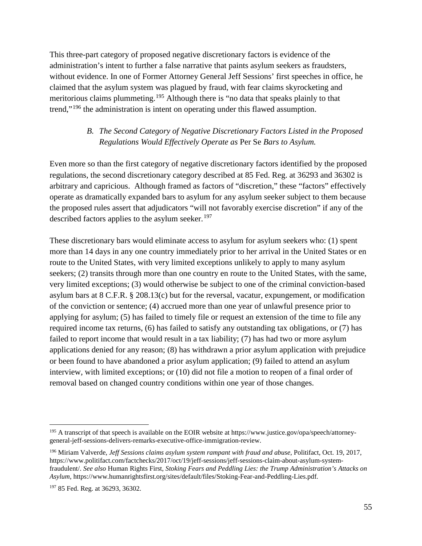This three-part category of proposed negative discretionary factors is evidence of the administration's intent to further a false narrative that paints asylum seekers as fraudsters, without evidence. In one of Former Attorney General Jeff Sessions' first speeches in office, he claimed that the asylum system was plagued by fraud, with fear claims skyrocketing and meritorious claims plummeting.<sup>[195](#page-54-0)</sup> Although there is "no data that speaks plainly to that trend,"<sup>[196](#page-54-1)</sup> the administration is intent on operating under this flawed assumption.

# *B. The Second Category of Negative Discretionary Factors Listed in the Proposed Regulations Would Effectively Operate as* Per Se *Bars to Asylum.*

Even more so than the first category of negative discretionary factors identified by the proposed regulations, the second discretionary category described at 85 Fed. Reg. at 36293 and 36302 is arbitrary and capricious. Although framed as factors of "discretion," these "factors" effectively operate as dramatically expanded bars to asylum for any asylum seeker subject to them because the proposed rules assert that adjudicators "will not favorably exercise discretion" if any of the described factors applies to the asylum seeker.<sup>197</sup>

These discretionary bars would eliminate access to asylum for asylum seekers who: (1) spent more than 14 days in any one country immediately prior to her arrival in the United States or en route to the United States, with very limited exceptions unlikely to apply to many asylum seekers; (2) transits through more than one country en route to the United States, with the same, very limited exceptions; (3) would otherwise be subject to one of the criminal conviction-based asylum bars at 8 C.F.R. § 208.13(c) but for the reversal, vacatur, expungement, or modification of the conviction or sentence; (4) accrued more than one year of unlawful presence prior to applying for asylum; (5) has failed to timely file or request an extension of the time to file any required income tax returns, (6) has failed to satisfy any outstanding tax obligations, or (7) has failed to report income that would result in a tax liability; (7) has had two or more asylum applications denied for any reason; (8) has withdrawn a prior asylum application with prejudice or been found to have abandoned a prior asylum application; (9) failed to attend an asylum interview, with limited exceptions; or (10) did not file a motion to reopen of a final order of removal based on changed country conditions within one year of those changes.

<span id="page-54-0"></span><sup>&</sup>lt;sup>195</sup> A transcript of that speech is available on the EOIR website at [https://www.justice.gov/opa/speech/attorney](https://www.justice.gov/opa/speech/attorney-general-jeff-sessions-delivers-remarks-executive-office-immigration-review)[general-jeff-sessions-delivers-remarks-executive-office-immigration-review.](https://www.justice.gov/opa/speech/attorney-general-jeff-sessions-delivers-remarks-executive-office-immigration-review)

<span id="page-54-1"></span><sup>196</sup> Miriam Valverde, *Jeff Sessions claims asylum system rampant with fraud and abuse*, Politifact, Oct. 19, 2017, [https://www.politifact.com/factchecks/2017/oct/19/jeff-sessions/jeff-sessions-claim-about-asylum-system](https://www.politifact.com/factchecks/2017/oct/19/jeff-sessions/jeff-sessions-claim-about-asylum-system-fraudulent/)[fraudulent/.](https://www.politifact.com/factchecks/2017/oct/19/jeff-sessions/jeff-sessions-claim-about-asylum-system-fraudulent/) *See also* Human Rights First, *Stoking Fears and Peddling Lies: the Trump Administration's Attacks on Asylum*, [https://www.humanrightsfirst.org/sites/default/files/Stoking-Fear-and-Peddling-Lies.pdf.](https://www.humanrightsfirst.org/sites/default/files/Stoking-Fear-and-Peddling-Lies.pdf) 

<span id="page-54-2"></span><sup>197</sup> 85 Fed. Reg. at 36293, 36302.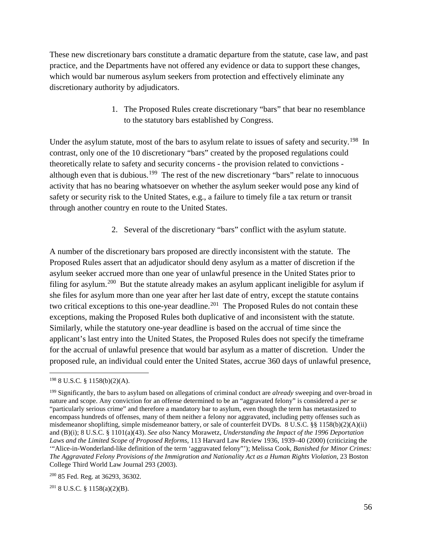These new discretionary bars constitute a dramatic departure from the statute, case law, and past practice, and the Departments have not offered any evidence or data to support these changes, which would bar numerous asylum seekers from protection and effectively eliminate any discretionary authority by adjudicators.

> 1. The Proposed Rules create discretionary "bars" that bear no resemblance to the statutory bars established by Congress.

Under the asylum statute, most of the bars to asylum relate to issues of safety and security.<sup>198</sup> In contrast, only one of the 10 discretionary "bars" created by the proposed regulations could theoretically relate to safety and security concerns - the provision related to convictions - although even that is dubious.<sup>[199](#page-55-1)</sup> The rest of the new discretionary "bars" relate to innocuous activity that has no bearing whatsoever on whether the asylum seeker would pose any kind of safety or security risk to the United States, e.g., a failure to timely file a tax return or transit through another country en route to the United States.

2. Several of the discretionary "bars" conflict with the asylum statute.

A number of the discretionary bars proposed are directly inconsistent with the statute. The Proposed Rules assert that an adjudicator should deny asylum as a matter of discretion if the asylum seeker accrued more than one year of unlawful presence in the United States prior to filing for asylum.<sup>[200](#page-55-2)</sup> But the statute already makes an asylum applicant ineligible for asylum if she files for asylum more than one year after her last date of entry, except the statute contains two critical exceptions to this one-year deadline.<sup>201</sup> The Proposed Rules do not contain these exceptions, making the Proposed Rules both duplicative of and inconsistent with the statute. Similarly, while the statutory one-year deadline is based on the accrual of time since the applicant's last entry into the United States, the Proposed Rules does not specify the timeframe for the accrual of unlawful presence that would bar asylum as a matter of discretion. Under the proposed rule, an individual could enter the United States, accrue 360 days of unlawful presence,

<span id="page-55-3"></span> $201$  8 U.S.C. § 1158(a)(2)(B).

<span id="page-55-0"></span> <sup>198</sup> 8 U.S.C. § 1158(b)(2)(A).

<span id="page-55-1"></span><sup>199</sup> Significantly, the bars to asylum based on allegations of criminal conduct are *already* sweeping and over-broad in nature and scope. Any conviction for an offense determined to be an "aggravated felony" is considered a *per se*  "particularly serious crime" and therefore a mandatory bar to asylum, even though the term has metastasized to encompass hundreds of offenses, many of them neither a felony nor aggravated, including petty offenses such as misdemeanor shoplifting, simple misdemeanor battery, or sale of counterfeit DVDs. 8 U.S.C. §§ 1158(b)(2)(A)(ii) and (B)(i); 8 U.S.C. § 1101(a)(43). *See also* Nancy Morawetz, *Understanding the Impact of the 1996 Deportation Laws and the Limited Scope of Proposed Reforms*, 113 Harvard Law Review 1936, 1939–40 (2000) (criticizing the '"Alice-in-Wonderland-like definition of the term 'aggravated felony"'); Melissa Cook, *Banished for Minor Crimes: The Aggravated Felony Provisions of the Immigration and Nationality Act as a Human Rights Violation*, 23 Boston College Third World Law Journal 293 (2003).

<span id="page-55-2"></span><sup>200</sup> 85 Fed. Reg. at 36293, 36302.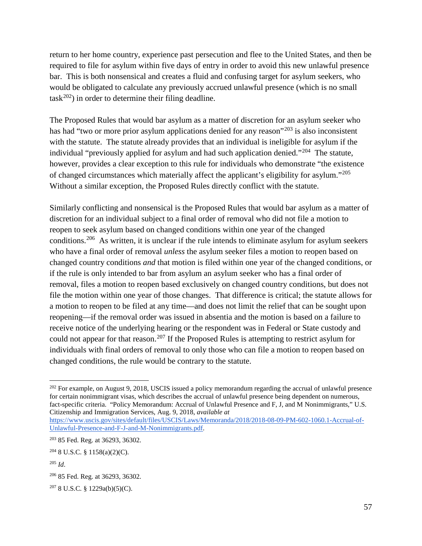return to her home country, experience past persecution and flee to the United States, and then be required to file for asylum within five days of entry in order to avoid this new unlawful presence bar. This is both nonsensical and creates a fluid and confusing target for asylum seekers, who would be obligated to calculate any previously accrued unlawful presence (which is no small  $task^{202})$  $task^{202})$  $task^{202})$  in order to determine their filing deadline.

The Proposed Rules that would bar asylum as a matter of discretion for an asylum seeker who has had "two or more prior asylum applications denied for any reason"<sup>[203](#page-56-1)</sup> is also inconsistent with the statute. The statute already provides that an individual is ineligible for asylum if the individual "previously applied for asylum and had such application denied."<sup>204</sup> The statute, however, provides a clear exception to this rule for individuals who demonstrate "the existence of changed circumstances which materially affect the applicant's eligibility for asylum."[205](#page-56-3)  Without a similar exception, the Proposed Rules directly conflict with the statute.

Similarly conflicting and nonsensical is the Proposed Rules that would bar asylum as a matter of discretion for an individual subject to a final order of removal who did not file a motion to reopen to seek asylum based on changed conditions within one year of the changed conditions.[206](#page-56-4) As written, it is unclear if the rule intends to eliminate asylum for asylum seekers who have a final order of removal *unless* the asylum seeker files a motion to reopen based on changed country conditions *and* that motion is filed within one year of the changed conditions, or if the rule is only intended to bar from asylum an asylum seeker who has a final order of removal, files a motion to reopen based exclusively on changed country conditions, but does not file the motion within one year of those changes. That difference is critical; the statute allows for a motion to reopen to be filed at any time—and does not limit the relief that can be sought upon reopening—if the removal order was issued in absentia and the motion is based on a failure to receive notice of the underlying hearing or the respondent was in Federal or State custody and could not appear for that reason.<sup>[207](#page-56-5)</sup> If the Proposed Rules is attempting to restrict asylum for individuals with final orders of removal to only those who can file a motion to reopen based on changed conditions, the rule would be contrary to the statute.

<span id="page-56-0"></span><sup>&</sup>lt;sup>202</sup> For example, on August 9, 2018, USCIS issued a policy memorandum regarding the accrual of unlawful presence for certain nonimmigrant visas, which describes the accrual of unlawful presence being dependent on numerous, fact-specific criteria. "Policy Memorandum: Accrual of Unlawful Presence and F, J, and M Nonimmigrants," U.S. Citizenship and Immigration Services, Aug. 9, 2018, *available at* 

[https://www.uscis.gov/sites/default/files/USCIS/Laws/Memoranda/2018/2018-08-09-PM-602-1060.1-Accrual-of-](https://www.uscis.gov/sites/default/files/USCIS/Laws/Memoranda/2018/2018-08-09-PM-602-1060.1-Accrual-of-Unlawful-Presence-and-F-J-and-M-Nonimmigrants.pdf)[Unlawful-Presence-and-F-J-and-M-Nonimmigrants.pdf.](https://www.uscis.gov/sites/default/files/USCIS/Laws/Memoranda/2018/2018-08-09-PM-602-1060.1-Accrual-of-Unlawful-Presence-and-F-J-and-M-Nonimmigrants.pdf) 

<span id="page-56-1"></span><sup>203</sup> 85 Fed. Reg. at 36293, 36302.

<span id="page-56-2"></span> $204$  8 U.S.C. § 1158(a)(2)(C).

<span id="page-56-3"></span><sup>205</sup> *Id*.

<span id="page-56-4"></span><sup>206</sup> 85 Fed. Reg. at 36293, 36302.

<span id="page-56-5"></span> $207$  8 U.S.C. § 1229a(b)(5)(C).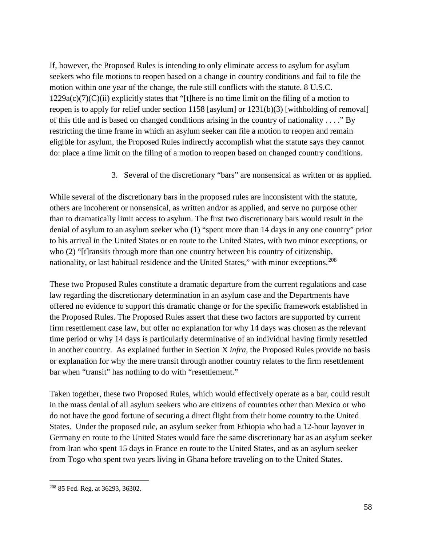If, however, the Proposed Rules is intending to only eliminate access to asylum for asylum seekers who file motions to reopen based on a change in country conditions and fail to file the motion within one year of the change, the rule still conflicts with the statute. 8 U.S.C.  $1229a(c)(7)(C)(ii)$  explicitly states that "[t]here is no time limit on the filing of a motion to reopen is to apply for relief under section 1158 [asylum] or 1231(b)(3) [withholding of removal] of this title and is based on changed conditions arising in the country of nationality . . . ." By restricting the time frame in which an asylum seeker can file a motion to reopen and remain eligible for asylum, the Proposed Rules indirectly accomplish what the statute says they cannot do: place a time limit on the filing of a motion to reopen based on changed country conditions.

3. Several of the discretionary "bars" are nonsensical as written or as applied.

While several of the discretionary bars in the proposed rules are inconsistent with the statute, others are incoherent or nonsensical, as written and/or as applied, and serve no purpose other than to dramatically limit access to asylum. The first two discretionary bars would result in the denial of asylum to an asylum seeker who (1) "spent more than 14 days in any one country" prior to his arrival in the United States or en route to the United States, with two minor exceptions, or who (2) "[t] ransits through more than one country between his country of citizenship, nationality, or last habitual residence and the United States," with minor exceptions.<sup>[208](#page-57-0)</sup>

These two Proposed Rules constitute a dramatic departure from the current regulations and case law regarding the discretionary determination in an asylum case and the Departments have offered no evidence to support this dramatic change or for the specific framework established in the Proposed Rules. The Proposed Rules assert that these two factors are supported by current firm resettlement case law, but offer no explanation for why 14 days was chosen as the relevant time period or why 14 days is particularly determinative of an individual having firmly resettled in another country. As explained further in Section X *infra*, the Proposed Rules provide no basis or explanation for why the mere transit through another country relates to the firm resettlement bar when "transit" has nothing to do with "resettlement."

Taken together, these two Proposed Rules, which would effectively operate as a bar, could result in the mass denial of all asylum seekers who are citizens of countries other than Mexico or who do not have the good fortune of securing a direct flight from their home country to the United States. Under the proposed rule, an asylum seeker from Ethiopia who had a 12-hour layover in Germany en route to the United States would face the same discretionary bar as an asylum seeker from Iran who spent 15 days in France en route to the United States, and as an asylum seeker from Togo who spent two years living in Ghana before traveling on to the United States.

<span id="page-57-0"></span> <sup>208</sup> 85 Fed. Reg. at 36293, 36302.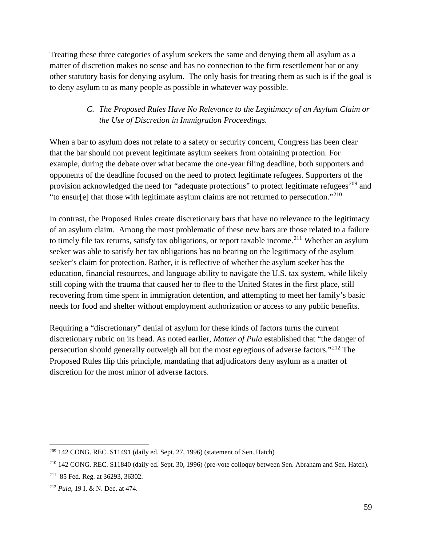Treating these three categories of asylum seekers the same and denying them all asylum as a matter of discretion makes no sense and has no connection to the firm resettlement bar or any other statutory basis for denying asylum. The only basis for treating them as such is if the goal is to deny asylum to as many people as possible in whatever way possible.

## *C. The Proposed Rules Have No Relevance to the Legitimacy of an Asylum Claim or the Use of Discretion in Immigration Proceedings.*

When a bar to asylum does not relate to a safety or security concern, Congress has been clear that the bar should not prevent legitimate asylum seekers from obtaining protection. For example, during the debate over what became the one-year filing deadline, both supporters and opponents of the deadline focused on the need to protect legitimate refugees. Supporters of the provision acknowledged the need for "adequate protections" to protect legitimate refugees<sup>[209](#page-58-0)</sup> and "to ensur[e] that those with legitimate asylum claims are not returned to persecution."[210](#page-58-1)

In contrast, the Proposed Rules create discretionary bars that have no relevance to the legitimacy of an asylum claim. Among the most problematic of these new bars are those related to a failure to timely file tax returns, satisfy tax obligations, or report taxable income.<sup>[211](#page-58-2)</sup> Whether an asylum seeker was able to satisfy her tax obligations has no bearing on the legitimacy of the asylum seeker's claim for protection. Rather, it is reflective of whether the asylum seeker has the education, financial resources, and language ability to navigate the U.S. tax system, while likely still coping with the trauma that caused her to flee to the United States in the first place, still recovering from time spent in immigration detention, and attempting to meet her family's basic needs for food and shelter without employment authorization or access to any public benefits.

Requiring a "discretionary" denial of asylum for these kinds of factors turns the current discretionary rubric on its head. As noted earlier, *Matter of Pula* established that "the danger of persecution should generally outweigh all but the most egregious of adverse factors."[212](#page-58-3) The Proposed Rules flip this principle, mandating that adjudicators deny asylum as a matter of discretion for the most minor of adverse factors.

<span id="page-58-0"></span> <sup>209</sup> 142 CONG. REC. S11491 (daily ed. Sept. 27, 1996) (statement of Sen. Hatch)

<span id="page-58-1"></span><sup>210</sup> 142 CONG. REC. S11840 (daily ed. Sept. 30, 1996) (pre-vote colloquy between Sen. Abraham and Sen. Hatch).

<span id="page-58-2"></span><sup>211 85</sup> Fed. Reg. at 36293, 36302.

<span id="page-58-3"></span><sup>212</sup> *Pula*, 19 I. & N. Dec. at 474.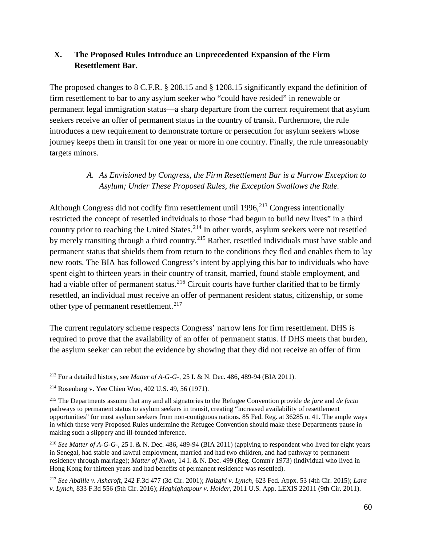#### **X. The Proposed Rules Introduce an Unprecedented Expansion of the Firm Resettlement Bar.**

The proposed changes to 8 C.F.R. § 208.15 and § 1208.15 significantly expand the definition of firm resettlement to bar to any asylum seeker who "could have resided" in renewable or permanent legal immigration status—a sharp departure from the current requirement that asylum seekers receive an offer of permanent status in the country of transit. Furthermore, the rule introduces a new requirement to demonstrate torture or persecution for asylum seekers whose journey keeps them in transit for one year or more in one country. Finally, the rule unreasonably targets minors.

#### *A. As Envisioned by Congress, the Firm Resettlement Bar is a Narrow Exception to Asylum; Under These Proposed Rules, the Exception Swallows the Rule.*

Although Congress did not codify firm resettlement until  $1996$ ,  $^{213}$  $^{213}$  $^{213}$  Congress intentionally restricted the concept of resettled individuals to those "had begun to build new lives" in a third country prior to reaching the United States.<sup>[214](#page-59-1)</sup> In other words, asylum seekers were not resettled by merely transiting through a third country.<sup>[215](#page-59-2)</sup> Rather, resettled individuals must have stable and permanent status that shields them from return to the conditions they fled and enables them to lay new roots. The BIA has followed Congress's intent by applying this bar to individuals who have spent eight to thirteen years in their country of transit, married, found stable employment, and had a viable offer of permanent status.<sup>[216](#page-59-3)</sup> Circuit courts have further clarified that to be firmly resettled, an individual must receive an offer of permanent resident status, citizenship, or some other type of permanent resettlement.<sup>[217](#page-59-4)</sup>

The current regulatory scheme respects Congress' narrow lens for firm resettlement. DHS is required to prove that the availability of an offer of permanent status. If DHS meets that burden, the asylum seeker can rebut the evidence by showing that they did not receive an offer of firm

<span id="page-59-0"></span> <sup>213</sup> For a detailed history, see *Matter of A-G-G-*, 25 I. & N. Dec. 486, 489-94 (BIA 2011).

<span id="page-59-1"></span><sup>214</sup> Rosenberg v. Yee Chien Woo, 402 U.S. 49, 56 (1971).

<span id="page-59-2"></span><sup>215</sup> The Departments assume that any and all signatories to the Refugee Convention provide *de jure* and *de facto* pathways to permanent status to asylum seekers in transit, creating "increased availability of resettlement opportunities" for most asylum seekers from non-contiguous nations. 85 Fed. Reg. at 36285 n. 41. The ample ways in which these very Proposed Rules undermine the Refugee Convention should make these Departments pause in making such a slippery and ill-founded inference.

<span id="page-59-3"></span><sup>216</sup> *See Matter of A-G-G-*, 25 I. & N. Dec. 486, 489-94 (BIA 2011) (applying to respondent who lived for eight years in Senegal, had stable and lawful employment, married and had two children, and had pathway to permanent residency through marriage); *Matter of Kwan*, 14 I. & N. Dec. 499 (Reg. Comm'r 1973) (individual who lived in Hong Kong for thirteen years and had benefits of permanent residence was resettled).

<span id="page-59-4"></span><sup>217</sup> *See Abdille v. Ashcroft*, 242 F.3d 477 (3d Cir. 2001); *Naizghi v. Lynch*, 623 Fed. Appx. 53 (4th Cir. 2015); *Lara v. Lynch*, 833 F.3d 556 (5th Cir. 2016); *Haghighatpour v. Holder*, 2011 U.S. App. LEXIS 22011 (9th Cir. 2011).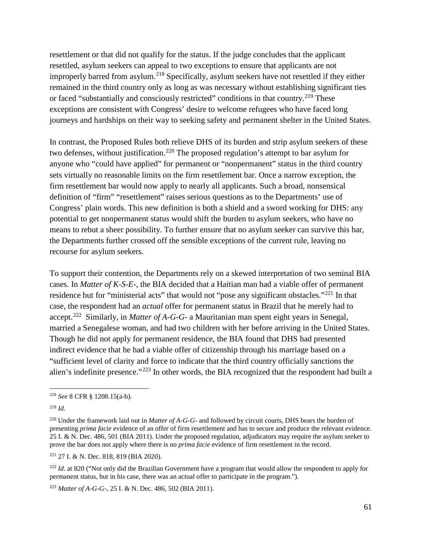resettlement or that did not qualify for the status. If the judge concludes that the applicant resettled, asylum seekers can appeal to two exceptions to ensure that applicants are not improperly barred from asylum.[218](#page-60-0) Specifically, asylum seekers have not resettled if they either remained in the third country only as long as was necessary without establishing significant ties or faced "substantially and consciously restricted" conditions in that country.<sup>[219](#page-60-1)</sup> These exceptions are consistent with Congress' desire to welcome refugees who have faced long journeys and hardships on their way to seeking safety and permanent shelter in the United States.

In contrast, the Proposed Rules both relieve DHS of its burden and strip asylum seekers of these two defenses, without justification.<sup>[220](#page-60-2)</sup> The proposed regulation's attempt to bar asylum for anyone who "could have applied" for permanent or "nonpermanent" status in the third country sets virtually no reasonable limits on the firm resettlement bar. Once a narrow exception, the firm resettlement bar would now apply to nearly all applicants. Such a broad, nonsensical definition of "firm" "resettlement" raises serious questions as to the Departments' use of Congress' plain words. This new definition is both a shield and a sword working for DHS: any potential to get nonpermanent status would shift the burden to asylum seekers, who have no means to rebut a sheer possibility. To further ensure that no asylum seeker can survive this bar, the Departments further crossed off the sensible exceptions of the current rule, leaving no recourse for asylum seekers.

To support their contention, the Departments rely on a skewed interpretation of two seminal BIA cases. In *Matter of K-S-E-*, the BIA decided that a Haitian man had a viable offer of permanent residence but for "ministerial acts" that would not "pose any significant obstacles."<sup>[221](#page-60-3)</sup> In that case, the respondent had an *actual* offer for permanent status in Brazil that he merely had to accept.[222](#page-60-4) Similarly, in *Matter of A-G-G-* a Mauritanian man spent eight years in Senegal, married a Senegalese woman, and had two children with her before arriving in the United States. Though he did not apply for permanent residence, the BIA found that DHS had presented indirect evidence that he had a viable offer of citizenship through his marriage based on a "sufficient level of clarity and force to indicate that the third country officially sanctions the alien's indefinite presence."[223](#page-60-5) In other words, the BIA recognized that the respondent had built a

<span id="page-60-3"></span><sup>221</sup> 27 I. & N. Dec. 818, 819 (BIA 2020).

<span id="page-60-4"></span><sup>222</sup> *Id.* at 820 ("Not only did the Brazilian Government have a program that would allow the respondent to apply for permanent status, but in his case, there was an actual offer to participate in the program.").

<span id="page-60-5"></span><sup>223</sup> *Matter of A-G-G-*, 25 I. & N. Dec. 486, 502 (BIA 2011).

<span id="page-60-0"></span> <sup>218</sup> *See* 8 CFR § 1208.15(a-b).

<span id="page-60-1"></span><sup>219</sup> *Id.*

<span id="page-60-2"></span><sup>220</sup> Under the framework laid out in *Matter of A-G-G-* and followed by circuit courts, DHS bears the burden of presenting *prima facie* evidence of an offer of firm resettlement and has to secure and produce the relevant evidence. 25 I. & N. Dec. 486, 501 (BIA 2011). Under the proposed regulation, adjudicators may require the asylum seeker to prove the bar does not apply where there is no *prima facie* evidence of firm resettlement in the record.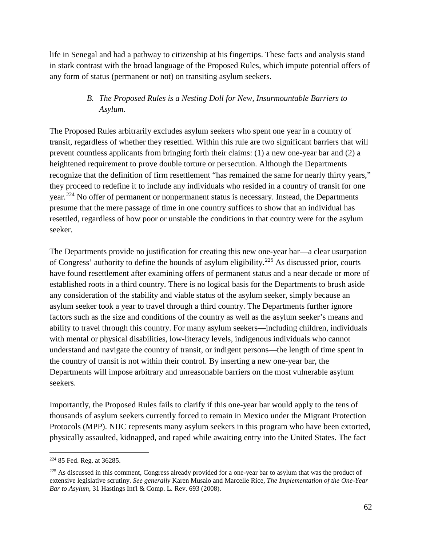life in Senegal and had a pathway to citizenship at his fingertips. These facts and analysis stand in stark contrast with the broad language of the Proposed Rules, which impute potential offers of any form of status (permanent or not) on transiting asylum seekers.

#### *B. The Proposed Rules is a Nesting Doll for New, Insurmountable Barriers to Asylum.*

The Proposed Rules arbitrarily excludes asylum seekers who spent one year in a country of transit, regardless of whether they resettled. Within this rule are two significant barriers that will prevent countless applicants from bringing forth their claims: (1) a new one-year bar and (2) a heightened requirement to prove double torture or persecution. Although the Departments recognize that the definition of firm resettlement "has remained the same for nearly thirty years," they proceed to redefine it to include any individuals who resided in a country of transit for one year.[224](#page-61-0) No offer of permanent or nonpermanent status is necessary. Instead, the Departments presume that the mere passage of time in one country suffices to show that an individual has resettled, regardless of how poor or unstable the conditions in that country were for the asylum seeker.

The Departments provide no justification for creating this new one-year bar—a clear usurpation of Congress' authority to define the bounds of asylum eligibility.[225](#page-61-1) As discussed prior, courts have found resettlement after examining offers of permanent status and a near decade or more of established roots in a third country. There is no logical basis for the Departments to brush aside any consideration of the stability and viable status of the asylum seeker, simply because an asylum seeker took a year to travel through a third country. The Departments further ignore factors such as the size and conditions of the country as well as the asylum seeker's means and ability to travel through this country. For many asylum seekers—including children, individuals with mental or physical disabilities, low-literacy levels, indigenous individuals who cannot understand and navigate the country of transit, or indigent persons—the length of time spent in the country of transit is not within their control. By inserting a new one-year bar, the Departments will impose arbitrary and unreasonable barriers on the most vulnerable asylum seekers.

Importantly, the Proposed Rules fails to clarify if this one-year bar would apply to the tens of thousands of asylum seekers currently forced to remain in Mexico under the Migrant Protection Protocols (MPP). NIJC represents many asylum seekers in this program who have been extorted, physically assaulted, kidnapped, and raped while awaiting entry into the United States. The fact

<span id="page-61-0"></span> <sup>224</sup> 85 Fed. Reg. at 36285.

<span id="page-61-1"></span><sup>&</sup>lt;sup>225</sup> As discussed in this comment, Congress already provided for a one-year bar to asylum that was the product of extensive legislative scrutiny. *See generally* Karen Musalo and Marcelle Rice, *The Implementation of the One-Year Bar to Asylum*, 31 Hastings Int'l & Comp. L. Rev. 693 (2008).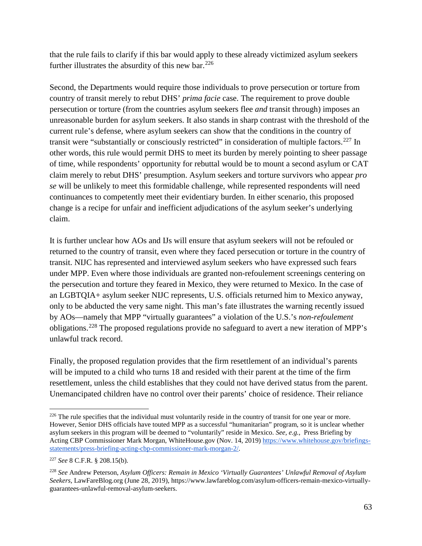that the rule fails to clarify if this bar would apply to these already victimized asylum seekers further illustrates the absurdity of this new bar.  $226$ 

Second, the Departments would require those individuals to prove persecution or torture from country of transit merely to rebut DHS' *prima facie* case. The requirement to prove double persecution or torture (from the countries asylum seekers flee *and* transit through) imposes an unreasonable burden for asylum seekers. It also stands in sharp contrast with the threshold of the current rule's defense, where asylum seekers can show that the conditions in the country of transit were "substantially or consciously restricted" in consideration of multiple factors.<sup>[227](#page-62-1)</sup> In other words, this rule would permit DHS to meet its burden by merely pointing to sheer passage of time, while respondents' opportunity for rebuttal would be to mount a second asylum or CAT claim merely to rebut DHS' presumption. Asylum seekers and torture survivors who appear *pro se* will be unlikely to meet this formidable challenge, while represented respondents will need continuances to competently meet their evidentiary burden. In either scenario, this proposed change is a recipe for unfair and inefficient adjudications of the asylum seeker's underlying claim.

It is further unclear how AOs and IJs will ensure that asylum seekers will not be refouled or returned to the country of transit, even where they faced persecution or torture in the country of transit. NIJC has represented and interviewed asylum seekers who have expressed such fears under MPP. Even where those individuals are granted non-refoulement screenings centering on the persecution and torture they feared in Mexico, they were returned to Mexico. In the case of an LGBTQIA+ asylum seeker NIJC represents, U.S. officials returned him to Mexico anyway, only to be abducted the very same night. This man's fate illustrates the warning recently issued by AOs—namely that MPP "virtually guarantees" a violation of the U.S.'s *non-refoulement* obligations.[228](#page-62-2) The proposed regulations provide no safeguard to avert a new iteration of MPP's unlawful track record.

Finally, the proposed regulation provides that the firm resettlement of an individual's parents will be imputed to a child who turns 18 and resided with their parent at the time of the firm resettlement, unless the child establishes that they could not have derived status from the parent. Unemancipated children have no control over their parents' choice of residence. Their reliance

<span id="page-62-0"></span> $226$  The rule specifies that the individual must voluntarily reside in the country of transit for one year or more. However, Senior DHS officials have touted MPP as a successful "humanitarian" program, so it is unclear whether asylum seekers in this program will be deemed to "voluntarily" reside in Mexico. *See, e.g.*, Press Briefing by Acting CBP Commissioner Mark Morgan, WhiteHouse.gov (Nov. 14, 2019) [https://www.whitehouse.gov/briefings](https://www.whitehouse.gov/briefings-statements/press-briefing-acting-cbp-commissioner-mark-morgan-2/)[statements/press-briefing-acting-cbp-commissioner-mark-morgan-2/.](https://www.whitehouse.gov/briefings-statements/press-briefing-acting-cbp-commissioner-mark-morgan-2/)

<span id="page-62-1"></span><sup>227</sup> *See* 8 C.F.R. § 208.15(b).

<span id="page-62-2"></span><sup>228</sup> *See* Andrew Peterson, *Asylum Officers: Remain in Mexico 'Virtually Guarantees' Unlawful Removal of Asylum Seekers*, LawFareBlog.org (June 28, 2019), https://www.lawfareblog.com/asylum-officers-remain-mexico-virtuallyguarantees-unlawful-removal-asylum-seekers.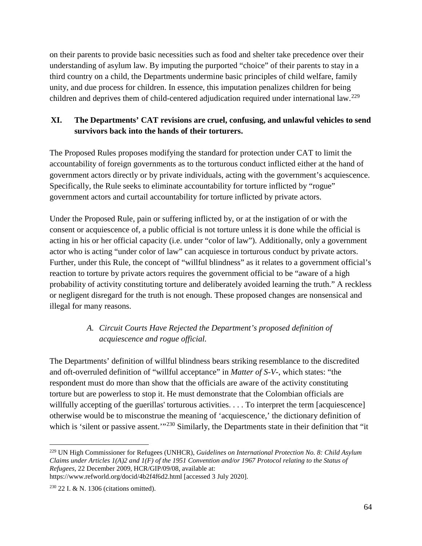on their parents to provide basic necessities such as food and shelter take precedence over their understanding of asylum law. By imputing the purported "choice" of their parents to stay in a third country on a child, the Departments undermine basic principles of child welfare, family unity, and due process for children. In essence, this imputation penalizes children for being children and deprives them of child-centered adjudication required under international law.<sup>[229](#page-63-0)</sup>

## **XI. The Departments' CAT revisions are cruel, confusing, and unlawful vehicles to send survivors back into the hands of their torturers.**

The Proposed Rules proposes modifying the standard for protection under CAT to limit the accountability of foreign governments as to the torturous conduct inflicted either at the hand of government actors directly or by private individuals, acting with the government's acquiescence. Specifically, the Rule seeks to eliminate accountability for torture inflicted by "rogue" government actors and curtail accountability for torture inflicted by private actors.

Under the Proposed Rule, pain or suffering inflicted by, or at the instigation of or with the consent or acquiescence of, a public official is not torture unless it is done while the official is acting in his or her official capacity (i.e. under "color of law"). Additionally, only a government actor who is acting "under color of law" can acquiesce in torturous conduct by private actors. Further, under this Rule, the concept of "willful blindness" as it relates to a government official's reaction to torture by private actors requires the government official to be "aware of a high probability of activity constituting torture and deliberately avoided learning the truth." A reckless or negligent disregard for the truth is not enough. These proposed changes are nonsensical and illegal for many reasons.

# *A. Circuit Courts Have Rejected the Department's proposed definition of acquiescence and rogue official.*

The Departments' definition of willful blindness bears striking resemblance to the discredited and oft-overruled definition of "willful acceptance" in *Matter of S-V-*, which states: "the respondent must do more than show that the officials are aware of the activity constituting torture but are powerless to stop it. He must demonstrate that the Colombian officials are willfully accepting of the guerillas' torturous activities. . . . To interpret the term [acquiescence] otherwise would be to misconstrue the meaning of 'acquiescence,' the dictionary definition of which is 'silent or passive assent.'"<sup>[230](#page-63-1)</sup> Similarly, the Departments state in their definition that "it

<span id="page-63-0"></span> <sup>229</sup> UN High Commissioner for Refugees (UNHCR), *Guidelines on International Protection No. 8: Child Asylum Claims under Articles 1(A)2 and 1(F) of the 1951 Convention and/or 1967 Protocol relating to the Status of Refugees*, 22 December 2009, HCR/GIP/09/08, available at:

https://www.refworld.org/docid/4b2f4f6d2.html [accessed 3 July 2020].

<span id="page-63-1"></span><sup>230</sup> 22 I. & N. 1306 (citations omitted).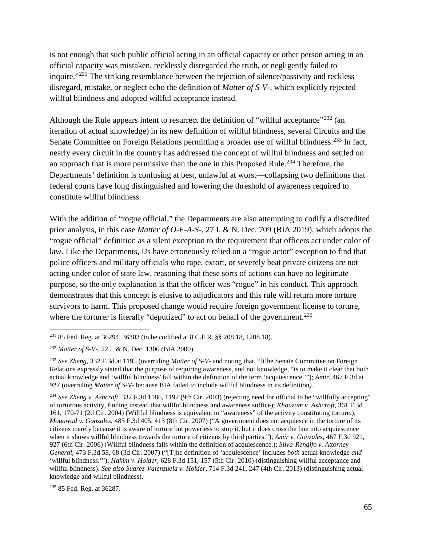is not enough that such public official acting in an official capacity or other person acting in an official capacity was mistaken, recklessly disregarded the truth, or negligently failed to inquire."[231](#page-64-0) The striking resemblance between the rejection of silence/passivity and reckless disregard, mistake, or neglect echo the definition of *Matter of S-V-*, which explicitly rejected willful blindness and adopted willful acceptance instead.

Although the Rule appears intent to resurrect the definition of "willful acceptance"<sup>[232](#page-64-1)</sup> (an iteration of actual knowledge) in its new definition of willful blindness, several Circuits and the Senate Committee on Foreign Relations permitting a broader use of willful blindness.<sup>[233](#page-64-2)</sup> In fact, nearly every circuit in the country has addressed the concept of willful blindness and settled on an approach that is more permissive than the one in this Proposed Rule.<sup>[234](#page-64-3)</sup> Therefore, the Departments' definition is confusing at best, unlawful at worst—collapsing two definitions that federal courts have long distinguished and lowering the threshold of awareness required to constitute willful blindness.

With the addition of "rogue official," the Departments are also attempting to codify a discredited prior analysis, in this case *Matter of O-F-A-S-*, 27 I. & N. Dec. 709 (BIA 2019), which adopts the "rogue official" definition as a silent exception to the requirement that officers act under color of law. Like the Departments, IJs have erroneously relied on a "rogue actor" exception to find that police officers and military officials who rape, extort, or severely beat private citizens are not acting under color of state law, reasoning that these sorts of actions can have no legitimate purpose, so the only explanation is that the officer was "rogue" in his conduct. This approach demonstrates that this concept is elusive to adjudicators and this rule will return more torture survivors to harm. This proposed change would require foreign government license to torture, where the torturer is literally "deputized" to act on behalf of the government.<sup>[235](#page-64-4)</sup>

<span id="page-64-4"></span><sup>235</sup> 85 Fed. Reg. at 36287.

<span id="page-64-0"></span> <sup>231</sup> 85 Fed. Reg. at 36294, 36303 (to be codified at 8 C.F.R. §§ 208.18, 1208.18).

<span id="page-64-1"></span><sup>232</sup> *Matter of S-V-*, 22 I. & N. Dec. 1306 (BIA 2000).

<span id="page-64-2"></span><sup>233</sup> *See Zheng*, 332 F.3d at 1195 (overruling *Matter of S-V-* and noting that "[t]he Senate Committee on Foreign Relations expressly stated that the purpose of requiring awareness, and not knowledge, "is to make it clear that both actual knowledge and 'willful blindness' fall within the definition of the term 'acquiescence.'"); *Amir*, 467 F.3d at 927 (overruling *Matter of S-V-* because BIA failed to include willful blindness in its definition*).*

<span id="page-64-3"></span><sup>234</sup> *See Zheng v. Ashcroft*, 332 F.3d 1186, 1197 (9th Cir. 2003) (rejecting need for official to be "willfully accepting" of torturous activity, finding instead that willful blindness and awareness suffice); *Khouzam v. Ashcroft*, 361 F.3d 161, 170-71 (2d Cir. 2004) (Willful blindness is equivalent to "awareness" of the activity constituting torture.); *Mouawad v. Gonzales*, 485 F.3d 405, 413 (8th Cir. 2007) ("A government does not acquiesce in the torture of its citizens merely because it is aware of torture but powerless to stop it, but it does cross the line into acquiescence when it shows willful blindness towards the torture of citizens by third parties."); *Amir v. Gonzales*, 467 F.3d 921, 927 (6th Cir. 2006) (Willful blindness falls within the definition of acquiescence.); *Silva-Rengifo v. Attorney General*, 473 F.3d 58, 68 (3d Cir. 2007) ("[T]he definition of 'acquiescence' includes *both* actual knowledge *and* 'willful blindness.'"); *Hakim v. Holder*, 628 F.3d 151, 157 (5th Cir. 2010) (distinguishing willful acceptance and willful blindness). *See also Suarez-Valenzuela v. Holder*, 714 F.3d 241, 247 (4th Cir. 2013) (distinguishing actual knowledge and willful blindness).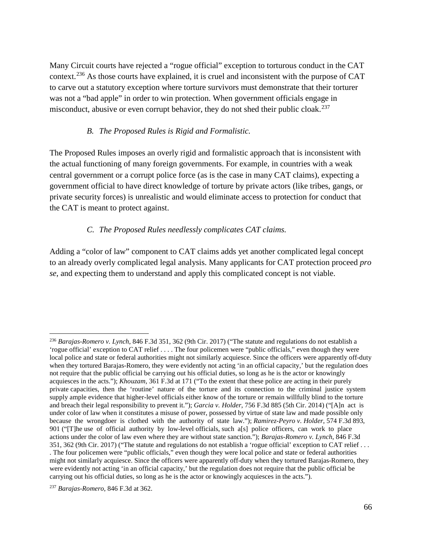Many Circuit courts have rejected a "rogue official" exception to torturous conduct in the CAT context.[236](#page-65-0) As those courts have explained, it is cruel and inconsistent with the purpose of CAT to carve out a statutory exception where torture survivors must demonstrate that their torturer was not a "bad apple" in order to win protection. When government officials engage in misconduct, abusive or even corrupt behavior, they do not shed their public cloak.<sup>[237](#page-65-1)</sup>

#### *B. The Proposed Rules is Rigid and Formalistic.*

The Proposed Rules imposes an overly rigid and formalistic approach that is inconsistent with the actual functioning of many foreign governments. For example, in countries with a weak central government or a corrupt police force (as is the case in many CAT claims), expecting a government official to have direct knowledge of torture by private actors (like tribes, gangs, or private security forces) is unrealistic and would eliminate access to protection for conduct that the CAT is meant to protect against.

#### *C. The Proposed Rules needlessly complicates CAT claims.*

Adding a "color of law" component to CAT claims adds yet another complicated legal concept to an already overly complicated legal analysis. Many applicants for CAT protection proceed *pro se*, and expecting them to understand and apply this complicated concept is not viable.

<span id="page-65-0"></span> <sup>236</sup> *Barajas-Romero v. Lynch*, 846 F.3d 351, 362 (9th Cir. 2017) ("The statute and regulations do not establish a 'rogue official' exception to CAT relief . . . . The four policemen were "public officials," even though they were local police and state or federal authorities might not similarly acquiesce. Since the officers were apparently off-duty when they tortured Barajas-Romero, they were evidently not acting 'in an official capacity,' but the regulation does not require that the public official be carrying out his official duties, so long as he is the actor or knowingly acquiesces in the acts."); *Khouzam*, 361 F.3d at 171 ("To the extent that these police are acting in their purely private capacities, then the 'routine' nature of the torture and its connection to the criminal justice system supply ample evidence that higher-level officials either know of the torture or remain willfully blind to the torture and breach their legal responsibility to prevent it."); *Garcia v. Holder*, 756 F.3d 885 (5th Cir. 2014) ("[A]n act is under color of law when it constitutes a misuse of power, possessed by virtue of state law and made possible only because the wrongdoer is clothed with the authority of state law."); *Ramirez-Peyro v. Holder*, 574 F.3d 893, 901 ("[T]he use of official authority by low-level officials, such a[s] police officers, can work to place actions under the color of law even where they are without state sanction."); *Barajas-Romero v. Lynch*, 846 F.3d 351, 362 (9th Cir. 2017) ("The statute and regulations do not establish a 'rogue official' exception to CAT relief . . . . The four policemen were "public officials," even though they were local police and state or federal authorities might not similarly acquiesce. Since the officers were apparently off-duty when they tortured Barajas-Romero, they were evidently not acting 'in an official capacity,' but the regulation does not require that the public official be carrying out his official duties, so long as he is the actor or knowingly acquiesces in the acts.").

<span id="page-65-1"></span><sup>237</sup> *Barajas-Romero*, 846 F.3d at 362.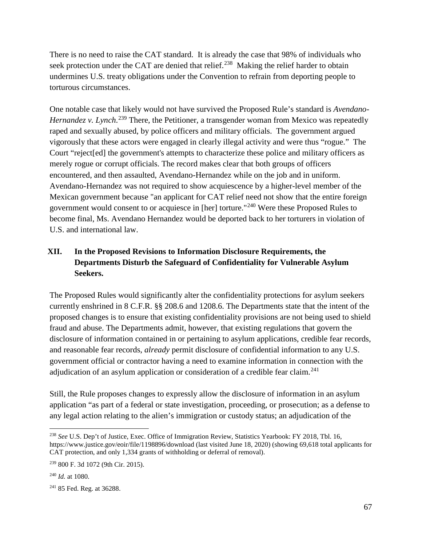There is no need to raise the CAT standard. It is already the case that 98% of individuals who seek protection under the CAT are denied that relief.<sup>238</sup> Making the relief harder to obtain undermines U.S. treaty obligations under the Convention to refrain from deporting people to torturous circumstances.

One notable case that likely would not have survived the Proposed Rule's standard is *Avendano-*Hernandez v. Lynch.<sup>[239](#page-66-1)</sup> There, the Petitioner, a transgender woman from Mexico was repeatedly raped and sexually abused, by police officers and military officials. The government argued vigorously that these actors were engaged in clearly illegal activity and were thus "rogue." The Court "reject[ed] the government's attempts to characterize these police and military officers as merely rogue or corrupt officials. The record makes clear that both groups of officers encountered, and then assaulted, Avendano-Hernandez while on the job and in uniform. Avendano-Hernandez was not required to show acquiescence by a higher-level member of the Mexican government because "an applicant for CAT relief need not show that the entire foreign government would consent to or acquiesce in [her] torture."[240](#page-66-2) Were these Proposed Rules to become final, Ms. Avendano Hernandez would be deported back to her torturers in violation of U.S. and international law.

# **XII. In the Proposed Revisions to Information Disclosure Requirements, the Departments Disturb the Safeguard of Confidentiality for Vulnerable Asylum Seekers.**

The Proposed Rules would significantly alter the confidentiality protections for asylum seekers currently enshrined in 8 C.F.R. §§ 208.6 and 1208.6. The Departments state that the intent of the proposed changes is to ensure that existing confidentiality provisions are not being used to shield fraud and abuse. The Departments admit, however, that existing regulations that govern the disclosure of information contained in or pertaining to asylum applications, credible fear records, and reasonable fear records, *already* permit disclosure of confidential information to any U.S. government official or contractor having a need to examine information in connection with the adjudication of an asylum application or consideration of a credible fear claim.<sup>[241](#page-66-3)</sup>

Still, the Rule proposes changes to expressly allow the disclosure of information in an asylum application "as part of a federal or state investigation, proceeding, or prosecution; as a defense to any legal action relating to the alien's immigration or custody status; an adjudication of the

<span id="page-66-0"></span> <sup>238</sup> *See* U.S. Dep't of Justice, Exec. Office of Immigration Review, Statistics Yearbook: FY 2018, Tbl. 16, https://www.justice.gov/eoir/file/1198896/download (last visited June 18, 2020) (showing 69,618 total applicants for CAT protection, and only 1,334 grants of withholding or deferral of removal).

<span id="page-66-1"></span><sup>239</sup> 800 F. 3d 1072 (9th Cir. 2015).

<span id="page-66-2"></span><sup>240</sup> *Id.* at 1080.

<span id="page-66-3"></span><sup>241</sup> 85 Fed. Reg. at 36288.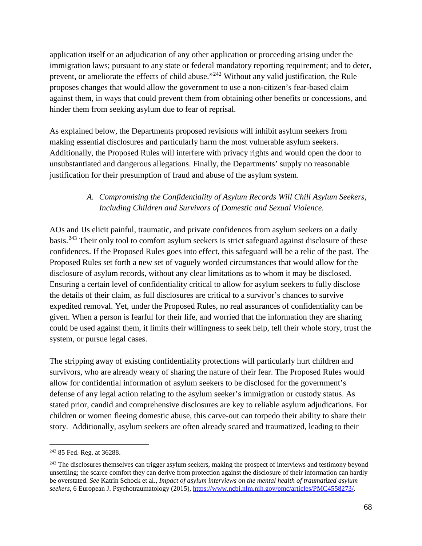application itself or an adjudication of any other application or proceeding arising under the immigration laws; pursuant to any state or federal mandatory reporting requirement; and to deter, prevent, or ameliorate the effects of child abuse."[242](#page-67-0) Without any valid justification, the Rule proposes changes that would allow the government to use a non-citizen's fear-based claim against them, in ways that could prevent them from obtaining other benefits or concessions, and hinder them from seeking asylum due to fear of reprisal.

As explained below, the Departments proposed revisions will inhibit asylum seekers from making essential disclosures and particularly harm the most vulnerable asylum seekers. Additionally, the Proposed Rules will interfere with privacy rights and would open the door to unsubstantiated and dangerous allegations. Finally, the Departments' supply no reasonable justification for their presumption of fraud and abuse of the asylum system.

#### *A. Compromising the Confidentiality of Asylum Records Will Chill Asylum Seekers, Including Children and Survivors of Domestic and Sexual Violence.*

AOs and IJs elicit painful, traumatic, and private confidences from asylum seekers on a daily basis.[243](#page-67-1) Their only tool to comfort asylum seekers is strict safeguard against disclosure of these confidences. If the Proposed Rules goes into effect, this safeguard will be a relic of the past. The Proposed Rules set forth a new set of vaguely worded circumstances that would allow for the disclosure of asylum records, without any clear limitations as to whom it may be disclosed. Ensuring a certain level of confidentiality critical to allow for asylum seekers to fully disclose the details of their claim, as full disclosures are critical to a survivor's chances to survive expedited removal. Yet, under the Proposed Rules, no real assurances of confidentiality can be given. When a person is fearful for their life, and worried that the information they are sharing could be used against them, it limits their willingness to seek help, tell their whole story, trust the system, or pursue legal cases.

The stripping away of existing confidentiality protections will particularly hurt children and survivors, who are already weary of sharing the nature of their fear. The Proposed Rules would allow for confidential information of asylum seekers to be disclosed for the government's defense of any legal action relating to the asylum seeker's immigration or custody status. As stated prior, candid and comprehensive disclosures are key to reliable asylum adjudications. For children or women fleeing domestic abuse, this carve-out can torpedo their ability to share their story. Additionally, asylum seekers are often already scared and traumatized, leading to their

<span id="page-67-0"></span><sup>&</sup>lt;sup>242</sup> 85 Fed. Reg. at 36288.

<span id="page-67-1"></span><sup>&</sup>lt;sup>243</sup> The disclosures themselves can trigger asylum seekers, making the prospect of interviews and testimony beyond unsettling; the scarce comfort they can derive from protection against the disclosure of their information can hardly be overstated. *See* Katrin Schock et al., *Impact of asylum interviews on the mental health of traumatized asylum seekers*, 6 European J. Psychotraumatology (2015), [https://www.ncbi.nlm.nih.gov/pmc/articles/PMC4558273/.](https://www.ncbi.nlm.nih.gov/pmc/articles/PMC4558273/)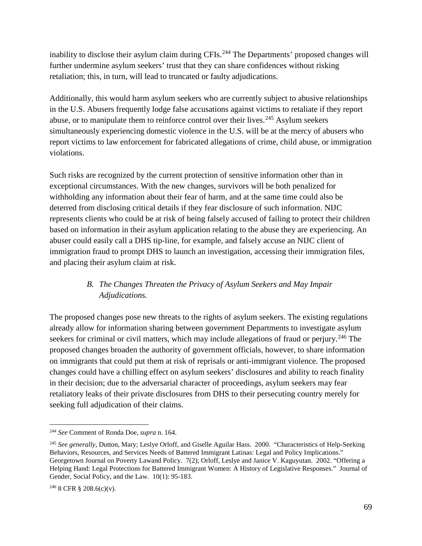inability to disclose their asylum claim during CFIs.<sup>[244](#page-68-0)</sup> The Departments' proposed changes will further undermine asylum seekers' trust that they can share confidences without risking retaliation; this, in turn, will lead to truncated or faulty adjudications.

Additionally, this would harm asylum seekers who are currently subject to abusive relationships in the U.S. Abusers frequently lodge false accusations against victims to retaliate if they report abuse, or to manipulate them to reinforce control over their lives.<sup>[245](#page-68-1)</sup> Asylum seekers simultaneously experiencing domestic violence in the U.S. will be at the mercy of abusers who report victims to law enforcement for fabricated allegations of crime, child abuse, or immigration violations.

Such risks are recognized by the current protection of sensitive information other than in exceptional circumstances. With the new changes, survivors will be both penalized for withholding any information about their fear of harm, and at the same time could also be deterred from disclosing critical details if they fear disclosure of such information. NIJC represents clients who could be at risk of being falsely accused of failing to protect their children based on information in their asylum application relating to the abuse they are experiencing. An abuser could easily call a DHS tip-line, for example, and falsely accuse an NIJC client of immigration fraud to prompt DHS to launch an investigation, accessing their immigration files, and placing their asylum claim at risk.

# *B. The Changes Threaten the Privacy of Asylum Seekers and May Impair Adjudications.*

The proposed changes pose new threats to the rights of asylum seekers. The existing regulations already allow for information sharing between government Departments to investigate asylum seekers for criminal or civil matters, which may include allegations of fraud or perjury.<sup>[246](#page-68-2)</sup> The proposed changes broaden the authority of government officials, however, to share information on immigrants that could put them at risk of reprisals or anti-immigrant violence. The proposed changes could have a chilling effect on asylum seekers' disclosures and ability to reach finality in their decision; due to the adversarial character of proceedings, asylum seekers may fear retaliatory leaks of their private disclosures from DHS to their persecuting country merely for seeking full adjudication of their claims.

<span id="page-68-0"></span> <sup>244</sup> *See* Comment of Ronda Doe, *supra* n. 164.

<span id="page-68-1"></span><sup>245</sup> *See generally*, Dutton, Mary; Leslye Orloff, and Giselle Aguilar Hass. 2000. "Characteristics of Help-Seeking Behaviors, Resources, and Services Needs of Battered Immigrant Latinas: Legal and Policy Implications." Georgetown Journal on Poverty Lawand Policy. 7(2); Orloff, Leslye and Janice V. Kaguyutan. 2002. "Offering a Helping Hand: Legal Protections for Battered Immigrant Women: A History of Legislative Responses." Journal of Gender, Social Policy, and the Law. 10(1): 95-183.

<span id="page-68-2"></span> $246$  8 CFR § 208.6(c)(v).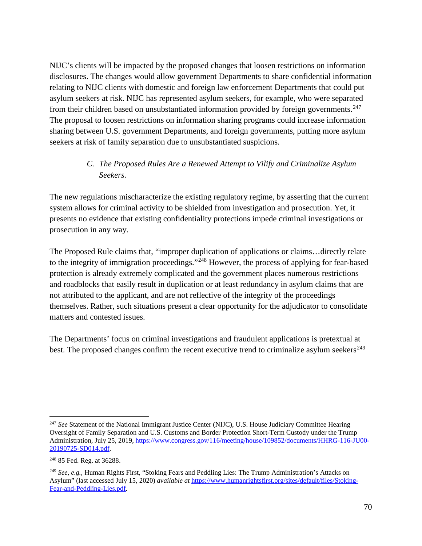NIJC's clients will be impacted by the proposed changes that loosen restrictions on information disclosures. The changes would allow government Departments to share confidential information relating to NIJC clients with domestic and foreign law enforcement Departments that could put asylum seekers at risk. NIJC has represented asylum seekers, for example, who were separated from their children based on unsubstantiated information provided by foreign governments.<sup>[247](#page-69-0)</sup> The proposal to loosen restrictions on information sharing programs could increase information sharing between U.S. government Departments, and foreign governments, putting more asylum seekers at risk of family separation due to unsubstantiated suspicions.

#### *C. The Proposed Rules Are a Renewed Attempt to Vilify and Criminalize Asylum Seekers.*

The new regulations mischaracterize the existing regulatory regime, by asserting that the current system allows for criminal activity to be shielded from investigation and prosecution. Yet, it presents no evidence that existing confidentiality protections impede criminal investigations or prosecution in any way.

The Proposed Rule claims that, "improper duplication of applications or claims…directly relate to the integrity of immigration proceedings."<sup>[248](#page-69-1)</sup> However, the process of applying for fear-based protection is already extremely complicated and the government places numerous restrictions and roadblocks that easily result in duplication or at least redundancy in asylum claims that are not attributed to the applicant, and are not reflective of the integrity of the proceedings themselves. Rather, such situations present a clear opportunity for the adjudicator to consolidate matters and contested issues.

The Departments' focus on criminal investigations and fraudulent applications is pretextual at best. The proposed changes confirm the recent executive trend to criminalize asylum seekers<sup>[249](#page-69-2)</sup>

<span id="page-69-0"></span><sup>&</sup>lt;sup>247</sup> See Statement of the National Immigrant Justice Center (NIJC), U.S. House Judiciary Committee Hearing Oversight of Family Separation and U.S. Customs and Border Protection Short-Term Custody under the Trump Administration, July 25, 2019[, https://www.congress.gov/116/meeting/house/109852/documents/HHRG-116-JU00-](https://www.congress.gov/116/meeting/house/109852/documents/HHRG-116-JU00-20190725-SD014.pdf) [20190725-SD014.pdf.](https://www.congress.gov/116/meeting/house/109852/documents/HHRG-116-JU00-20190725-SD014.pdf)

<span id="page-69-1"></span><sup>248</sup> 85 Fed. Reg. at 36288.

<span id="page-69-2"></span><sup>249</sup> *See, e.g.,* Human Rights First, "Stoking Fears and Peddling Lies: The Trump Administration's Attacks on Asylum" (last accessed July 15, 2020) *available at* [https://www.humanrightsfirst.org/sites/default/files/Stoking-](https://www.humanrightsfirst.org/sites/default/files/Stoking-Fear-and-Peddling-Lies.pdf)[Fear-and-Peddling-Lies.pdf.](https://www.humanrightsfirst.org/sites/default/files/Stoking-Fear-and-Peddling-Lies.pdf)